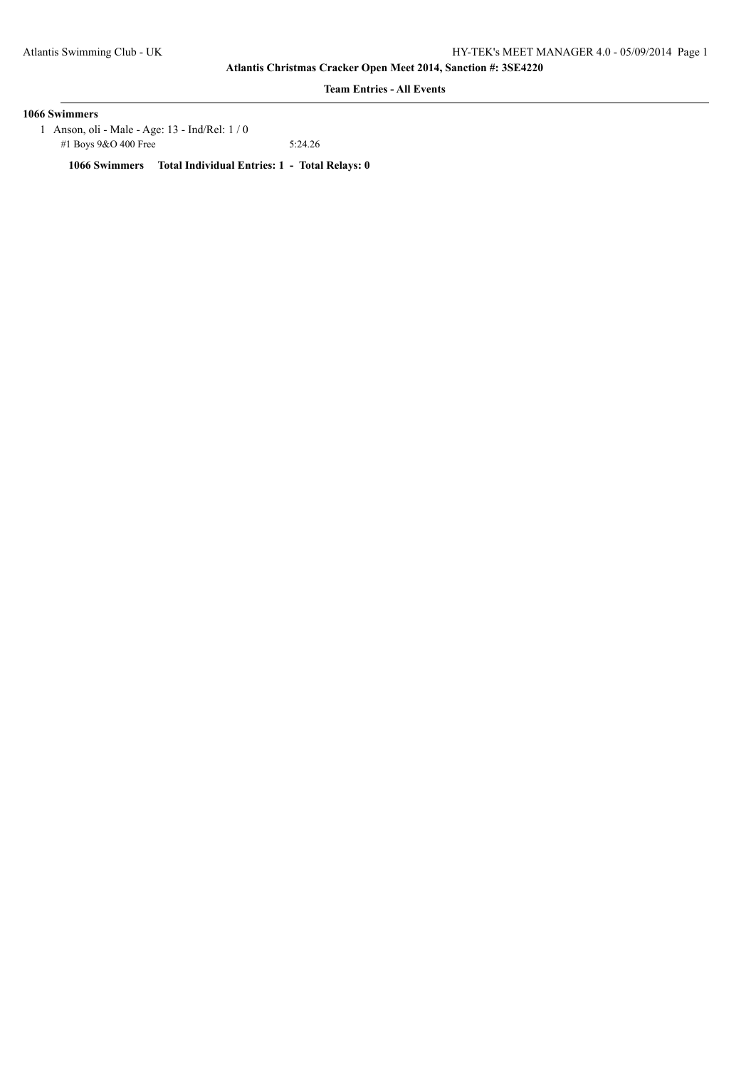**Team Entries - All Events**

## **1066 Swimmers**

 1 Anson, oli - Male - Age: 13 - Ind/Rel: 1 / 0 #1 Boys 9&O 400 Free 5:24.26

**1066 Swimmers Total Individual Entries: 1 - Total Relays: 0**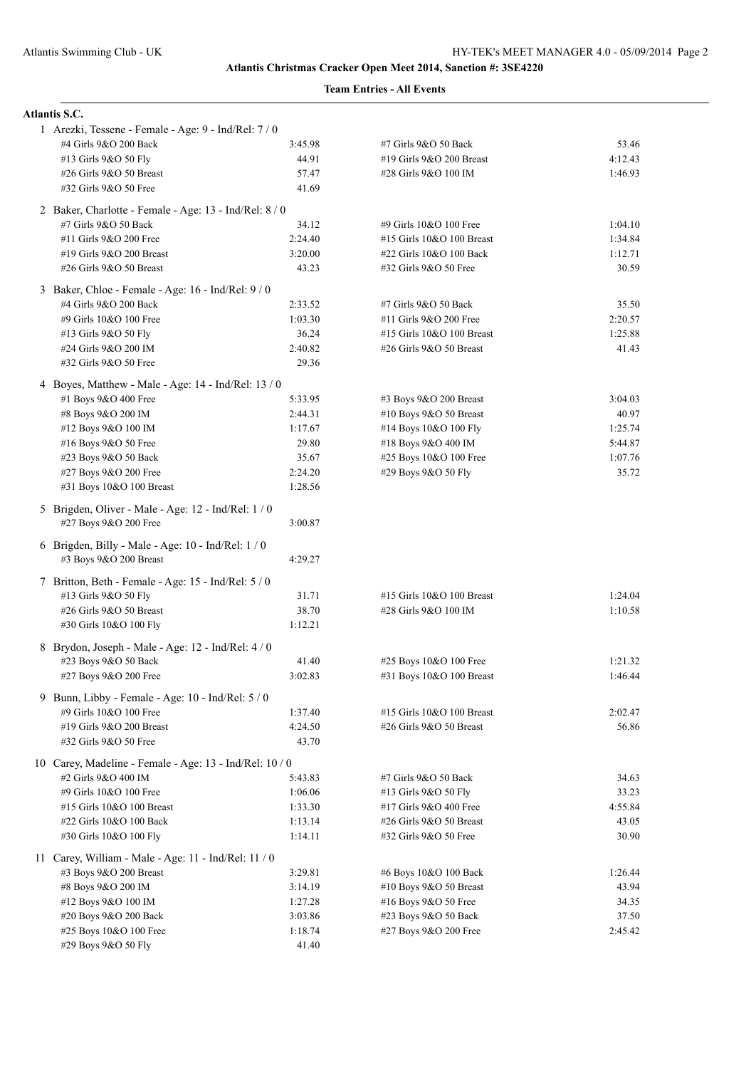| <b>Atlantis S.C.</b>                                    |                  |                           |         |
|---------------------------------------------------------|------------------|---------------------------|---------|
| 1 Arezki, Tessene - Female - Age: 9 - Ind/Rel: 7 / 0    |                  |                           |         |
| #4 Girls 9&O 200 Back                                   | 3:45.98          | #7 Girls 9&O 50 Back      | 53.46   |
| #13 Girls 9&O 50 Fly                                    | 44.91            | #19 Girls 9&O 200 Breast  | 4:12.43 |
| #26 Girls 9&O 50 Breast                                 | 57.47            | #28 Girls 9&O 100 IM      | 1:46.93 |
| #32 Girls 9&O 50 Free                                   | 41.69            |                           |         |
| 2 Baker, Charlotte - Female - Age: 13 - Ind/Rel: 8/0    |                  |                           |         |
| #7 Girls 9&O 50 Back                                    | 34.12            | #9 Girls 10&O 100 Free    | 1:04.10 |
| #11 Girls 9&O 200 Free                                  | 2:24.40          | #15 Girls 10&O 100 Breast | 1:34.84 |
| #19 Girls 9&O 200 Breast                                | 3:20.00          | #22 Girls 10&O 100 Back   | 1:12.71 |
| #26 Girls 9&O 50 Breast                                 | 43.23            | #32 Girls 9&O 50 Free     | 30.59   |
| 3 Baker, Chloe - Female - Age: 16 - Ind/Rel: 9 / 0      |                  |                           |         |
| #4 Girls 9&O 200 Back                                   | 2:33.52          | #7 Girls 9&O 50 Back      | 35.50   |
| #9 Girls 10&O 100 Free                                  | 1:03.30          | #11 Girls 9&O 200 Free    | 2:20.57 |
| #13 Girls 9&O 50 Fly                                    | 36.24            | #15 Girls 10&O 100 Breast | 1:25.88 |
| #24 Girls 9&O 200 IM                                    | 2:40.82          | #26 Girls 9&O 50 Breast   | 41.43   |
| #32 Girls 9&O 50 Free                                   | 29.36            |                           |         |
| 4 Boyes, Matthew - Male - Age: 14 - Ind/Rel: 13 / 0     |                  |                           |         |
| #1 Boys 9&O 400 Free                                    | 5:33.95          | #3 Boys 9&O 200 Breast    | 3:04.03 |
| #8 Boys 9&O 200 IM                                      | 2:44.31          | #10 Boys 9&O 50 Breast    | 40.97   |
| #12 Boys 9&O 100 IM                                     | 1:17.67          | #14 Boys 10&O 100 Fly     | 1:25.74 |
| #16 Boys 9&O 50 Free                                    | 29.80            | #18 Boys 9&O 400 IM       | 5:44.87 |
| #23 Boys 9&O 50 Back                                    | 35.67            | #25 Boys 10&O 100 Free    | 1:07.76 |
| #27 Boys 9&O 200 Free                                   | 2:24.20          | #29 Boys 9&O 50 Fly       | 35.72   |
| #31 Boys 10&O 100 Breast                                | 1:28.56          |                           |         |
| 5 Brigden, Oliver - Male - Age: 12 - Ind/Rel: 1 / 0     |                  |                           |         |
| #27 Boys 9&O 200 Free                                   | 3:00.87          |                           |         |
| 6 Brigden, Billy - Male - Age: $10$ - Ind/Rel: $1/0$    |                  |                           |         |
| #3 Boys 9&O 200 Breast                                  | 4:29.27          |                           |         |
| 7 Britton, Beth - Female - Age: 15 - Ind/Rel: 5 / 0     |                  |                           |         |
| #13 Girls 9&O 50 Fly                                    | 31.71            | #15 Girls 10&O 100 Breast | 1:24.04 |
| #26 Girls 9&O 50 Breast                                 | 38.70            | #28 Girls 9&O 100 IM      | 1:10.58 |
| #30 Girls 10&O 100 Fly                                  | 1:12.21          |                           |         |
| 8 Brydon, Joseph - Male - Age: 12 - Ind/Rel: 4 / 0      |                  |                           |         |
| #23 Boys 9&O 50 Back                                    | 41.40            | #25 Boys 10&O 100 Free    | 1:21.32 |
| #27 Boys 9&O 200 Free                                   | 3:02.83          | #31 Boys 10&O 100 Breast  | 1:46.44 |
|                                                         |                  |                           |         |
| 9 Bunn, Libby - Female - Age: 10 - Ind/Rel: 5 / 0       |                  |                           |         |
| #9 Girls 10&O 100 Free                                  | 1:37.40          | #15 Girls 10&O 100 Breast | 2:02.47 |
| #19 Girls 9&O 200 Breast<br>#32 Girls 9&O 50 Free       | 4:24.50<br>43.70 | #26 Girls 9&O 50 Breast   | 56.86   |
|                                                         |                  |                           |         |
| 10 Carey, Madeline - Female - Age: 13 - Ind/Rel: 10 / 0 |                  |                           |         |
| #2 Girls 9&O 400 IM                                     | 5:43.83          | #7 Girls 9&O 50 Back      | 34.63   |
| #9 Girls 10&O 100 Free                                  | 1:06.06          | #13 Girls 9&O 50 Fly      | 33.23   |
| #15 Girls 10&O 100 Breast                               | 1:33.30          | #17 Girls 9&O 400 Free    | 4:55.84 |
| #22 Girls 10&O 100 Back                                 | 1:13.14          | #26 Girls 9&O 50 Breast   | 43.05   |
| #30 Girls 10&O 100 Fly                                  | 1:14.11          | #32 Girls 9&O 50 Free     | 30.90   |
| 11 Carey, William - Male - Age: $11$ - Ind/Rel: $11/0$  |                  |                           |         |
| #3 Boys 9&O 200 Breast                                  | 3:29.81          | #6 Boys 10&O 100 Back     | 1:26.44 |
| #8 Boys 9&O 200 IM                                      | 3:14.19          | #10 Boys 9&O 50 Breast    | 43.94   |
| #12 Boys 9&O 100 IM                                     | 1:27.28          | #16 Boys 9&O 50 Free      | 34.35   |
| #20 Boys 9&O 200 Back                                   | 3:03.86          | #23 Boys 9&O 50 Back      | 37.50   |
| #25 Boys 10&O 100 Free                                  | 1:18.74          | #27 Boys 9&O 200 Free     | 2:45.42 |
| #29 Boys 9&O 50 Fly                                     | 41.40            |                           |         |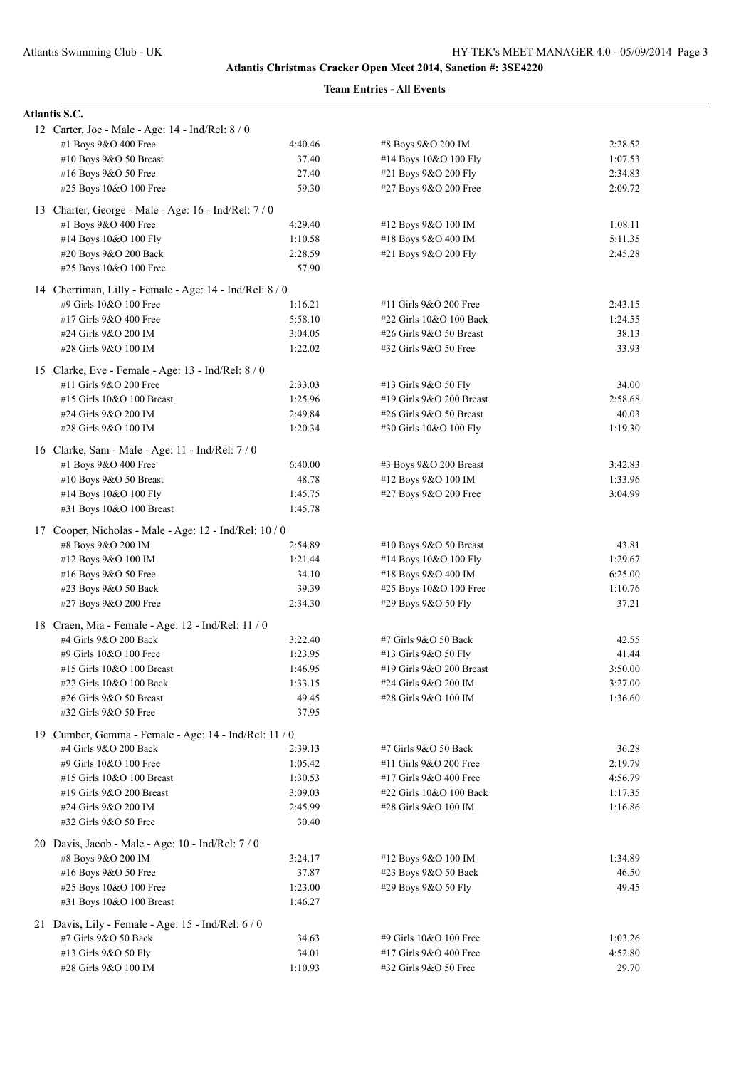| <b>Atlantis S.C.</b>                                                              |                |                          |         |
|-----------------------------------------------------------------------------------|----------------|--------------------------|---------|
| 12 Carter, Joe - Male - Age: 14 - Ind/Rel: 8 / 0                                  |                |                          |         |
| #1 Boys 9&O 400 Free                                                              | 4:40.46        | #8 Boys 9&O 200 IM       | 2:28.52 |
| #10 Boys 9&O 50 Breast                                                            | 37.40          | #14 Boys 10&O 100 Fly    | 1:07.53 |
| #16 Boys 9&O 50 Free                                                              | 27.40          | #21 Boys 9&O 200 Fly     | 2:34.83 |
| #25 Boys 10&O 100 Free                                                            | 59.30          | #27 Boys 9&O 200 Free    | 2:09.72 |
| 13 Charter, George - Male - Age: 16 - Ind/Rel: 7/0                                |                |                          |         |
| #1 Boys 9&O 400 Free                                                              | 4:29.40        | #12 Boys 9&O 100 IM      | 1:08.11 |
| #14 Boys 10&O 100 Fly                                                             | 1:10.58        | #18 Boys 9&O 400 IM      | 5:11.35 |
| #20 Boys 9&O 200 Back                                                             | 2:28.59        | #21 Boys 9&O 200 Fly     | 2:45.28 |
| #25 Boys 10&O 100 Free                                                            | 57.90          |                          |         |
|                                                                                   |                |                          |         |
| 14 Cherriman, Lilly - Female - Age: 14 - Ind/Rel: 8 / 0<br>#9 Girls 10&O 100 Free | 1:16.21        | #11 Girls 9&O 200 Free   | 2:43.15 |
| #17 Girls 9&O 400 Free                                                            | 5:58.10        | #22 Girls 10&O 100 Back  | 1:24.55 |
| #24 Girls 9&O 200 IM                                                              | 3:04.05        | #26 Girls 9&O 50 Breast  | 38.13   |
| #28 Girls 9&O 100 IM                                                              | 1:22.02        | #32 Girls 9&O 50 Free    | 33.93   |
|                                                                                   |                |                          |         |
| 15 Clarke, Eve - Female - Age: 13 - Ind/Rel: 8 / 0                                |                |                          |         |
| #11 Girls 9&O 200 Free                                                            | 2:33.03        | #13 Girls 9&O 50 Fly     | 34.00   |
| #15 Girls 10&O 100 Breast                                                         | 1:25.96        | #19 Girls 9&O 200 Breast | 2:58.68 |
| #24 Girls 9&O 200 IM                                                              | 2:49.84        | #26 Girls 9&O 50 Breast  | 40.03   |
| #28 Girls 9&O 100 IM                                                              | 1:20.34        | #30 Girls 10&O 100 Fly   | 1:19.30 |
| 16 Clarke, Sam - Male - Age: 11 - Ind/Rel: 7 / 0                                  |                |                          |         |
| #1 Boys $9&O$ 400 Free                                                            | 6:40.00        | #3 Boys 9&O 200 Breast   | 3:42.83 |
| #10 Boys 9&O 50 Breast                                                            | 48.78          | #12 Boys 9&O 100 IM      | 1:33.96 |
| #14 Boys 10&O 100 Fly                                                             | 1:45.75        | #27 Boys 9&O 200 Free    | 3:04.99 |
| #31 Boys 10&O 100 Breast                                                          | 1:45.78        |                          |         |
| 17 Cooper, Nicholas - Male - Age: 12 - Ind/Rel: 10 / 0                            |                |                          |         |
| #8 Boys 9&O 200 IM                                                                | 2:54.89        | #10 Boys $9&O 50$ Breast | 43.81   |
| #12 Boys 9&O 100 IM                                                               | 1:21.44        | #14 Boys 10&O 100 Fly    | 1:29.67 |
| #16 Boys $9&O 50$ Free                                                            | 34.10          | #18 Boys 9&O 400 IM      | 6:25.00 |
| #23 Boys 9&O 50 Back                                                              | 39.39          | #25 Boys 10&O 100 Free   | 1:10.76 |
| #27 Boys 9&O 200 Free                                                             | 2:34.30        | #29 Boys 9&O 50 Fly      | 37.21   |
|                                                                                   |                |                          |         |
| 18 Craen, Mia - Female - Age: 12 - Ind/Rel: 11 / 0                                |                |                          |         |
| #4 Girls 9&O 200 Back                                                             | 3:22.40        | #7 Girls 9&O 50 Back     | 42.55   |
| #9 Girls 10&O 100 Free                                                            | 1:23.95        | #13 Girls 9&O 50 Fly     | 41.44   |
| #15 Girls 10&O 100 Breast                                                         | 1:46.95        | #19 Girls 9&O 200 Breast | 3:50.00 |
| #22 Girls 10&O 100 Back                                                           | 1:33.15        | #24 Girls 9&O 200 IM     | 3:27.00 |
| #26 Girls 9&O 50 Breast                                                           | 49.45<br>37.95 | #28 Girls 9&O 100 IM     | 1:36.60 |
| #32 Girls 9&O 50 Free                                                             |                |                          |         |
| 19 Cumber, Gemma - Female - Age: 14 - Ind/Rel: 11 / 0                             |                |                          |         |
| #4 Girls 9&O 200 Back                                                             | 2:39.13        | #7 Girls 9&O 50 Back     | 36.28   |
| #9 Girls 10&O 100 Free                                                            | 1:05.42        | #11 Girls 9&O 200 Free   | 2:19.79 |
| #15 Girls 10&O 100 Breast                                                         | 1:30.53        | #17 Girls 9&O 400 Free   | 4:56.79 |
| #19 Girls 9&O 200 Breast                                                          | 3:09.03        | #22 Girls 10&O 100 Back  | 1:17.35 |
| #24 Girls 9&O 200 IM                                                              | 2:45.99        | #28 Girls 9&O 100 IM     | 1:16.86 |
| #32 Girls 9&O 50 Free                                                             | 30.40          |                          |         |
| 20 Davis, Jacob - Male - Age: 10 - Ind/Rel: 7 / 0                                 |                |                          |         |
| #8 Boys 9&O 200 IM                                                                | 3:24.17        | #12 Boys 9&O 100 IM      | 1:34.89 |
| #16 Boys 9&O 50 Free                                                              | 37.87          | #23 Boys 9&O 50 Back     | 46.50   |
| #25 Boys 10&O 100 Free                                                            | 1:23.00        | #29 Boys 9&O 50 Fly      | 49.45   |
| #31 Boys 10&O 100 Breast                                                          | 1:46.27        |                          |         |
| 21 Davis, Lily - Female - Age: 15 - Ind/Rel: 6 / 0                                |                |                          |         |
| #7 Girls 9&O 50 Back                                                              | 34.63          | #9 Girls 10&O 100 Free   | 1:03.26 |
| #13 Girls 9&O 50 Fly                                                              | 34.01          | #17 Girls 9&O 400 Free   | 4:52.80 |
| #28 Girls 9&O 100 IM                                                              | 1:10.93        | #32 Girls 9&O 50 Free    | 29.70   |
|                                                                                   |                |                          |         |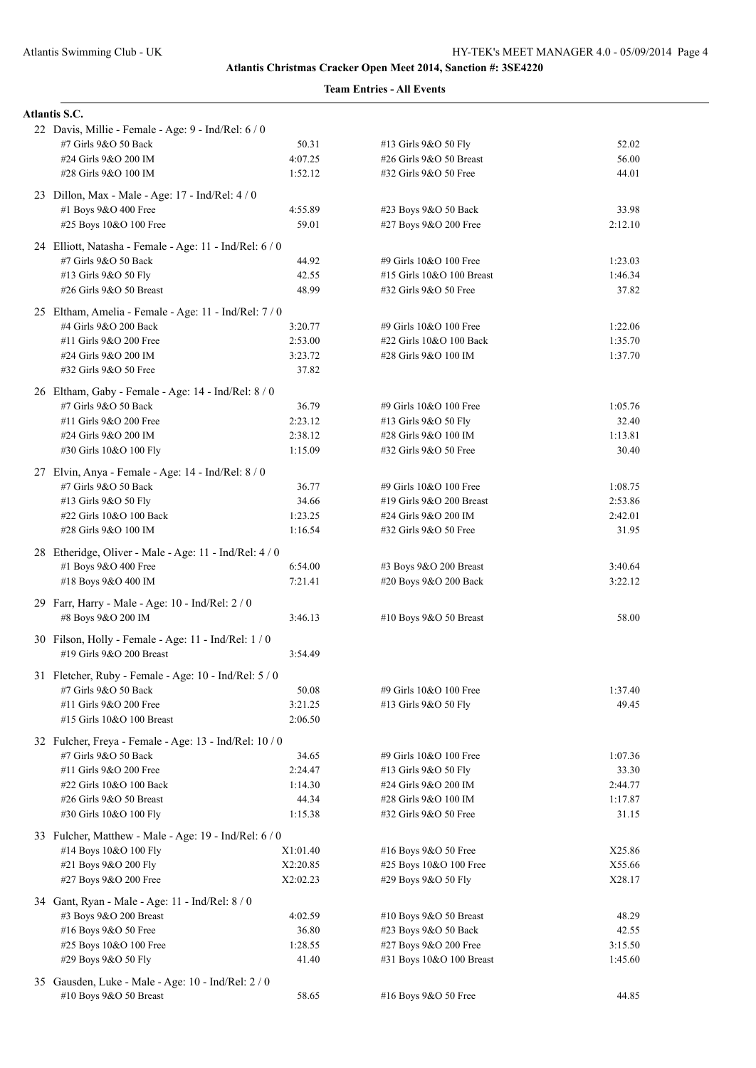| <b>Atlantis S.C.</b>                                                             |          |                           |         |  |
|----------------------------------------------------------------------------------|----------|---------------------------|---------|--|
| 22 Davis, Millie - Female - Age: 9 - Ind/Rel: 6 / 0                              |          |                           |         |  |
| #7 Girls 9&O 50 Back                                                             | 50.31    | #13 Girls 9&O 50 Fly      | 52.02   |  |
| #24 Girls 9&O 200 IM                                                             | 4:07.25  | #26 Girls 9&O 50 Breast   | 56.00   |  |
| #28 Girls 9&O 100 IM                                                             | 1:52.12  | #32 Girls 9&O 50 Free     | 44.01   |  |
| 23 Dillon, Max - Male - Age: 17 - Ind/Rel: 4 / 0                                 |          |                           |         |  |
| #1 Boys 9&O 400 Free                                                             | 4:55.89  | #23 Boys 9&O 50 Back      | 33.98   |  |
| #25 Boys 10&O 100 Free                                                           | 59.01    | #27 Boys 9&O 200 Free     | 2:12.10 |  |
| 24 Elliott, Natasha - Female - Age: 11 - Ind/Rel: 6 / 0                          |          |                           |         |  |
| #7 Girls 9&O 50 Back                                                             | 44.92    | #9 Girls 10&O 100 Free    | 1:23.03 |  |
| #13 Girls 9&O 50 Fly                                                             | 42.55    | #15 Girls 10&O 100 Breast | 1:46.34 |  |
| #26 Girls 9&O 50 Breast                                                          | 48.99    | #32 Girls 9&O 50 Free     | 37.82   |  |
| 25 Eltham, Amelia - Female - Age: 11 - Ind/Rel: 7 / 0                            |          |                           |         |  |
| #4 Girls 9&O 200 Back                                                            | 3:20.77  | #9 Girls 10&O 100 Free    | 1:22.06 |  |
| #11 Girls 9&O 200 Free                                                           | 2:53.00  | #22 Girls 10&O 100 Back   | 1:35.70 |  |
| #24 Girls 9&O 200 IM                                                             | 3:23.72  | #28 Girls 9&O 100 IM      | 1:37.70 |  |
| #32 Girls 9&O 50 Free                                                            | 37.82    |                           |         |  |
| 26 Eltham, Gaby - Female - Age: 14 - Ind/Rel: 8 / 0                              |          |                           |         |  |
| #7 Girls 9&O 50 Back                                                             | 36.79    | #9 Girls 10&O 100 Free    | 1:05.76 |  |
| #11 Girls 9&O 200 Free                                                           | 2:23.12  | #13 Girls 9&O 50 Fly      | 32.40   |  |
| #24 Girls 9&O 200 IM                                                             | 2:38.12  | #28 Girls 9&O 100 IM      | 1:13.81 |  |
| #30 Girls 10&O 100 Fly                                                           | 1:15.09  | #32 Girls 9&O 50 Free     | 30.40   |  |
| 27 Elvin, Anya - Female - Age: 14 - Ind/Rel: 8 / 0                               |          |                           |         |  |
| #7 Girls 9&O 50 Back                                                             | 36.77    | #9 Girls 10&O 100 Free    | 1:08.75 |  |
| #13 Girls 9&O 50 Fly                                                             | 34.66    | #19 Girls 9&O 200 Breast  | 2:53.86 |  |
| #22 Girls 10&O 100 Back                                                          | 1:23.25  | #24 Girls 9&O 200 IM      | 2:42.01 |  |
| #28 Girls 9&O 100 IM                                                             | 1:16.54  | #32 Girls 9&O 50 Free     | 31.95   |  |
| 28 Etheridge, Oliver - Male - Age: 11 - Ind/Rel: 4 / 0                           |          |                           |         |  |
| #1 Boys 9&O 400 Free                                                             | 6:54.00  | #3 Boys 9&O 200 Breast    | 3:40.64 |  |
| #18 Boys 9&O 400 IM                                                              | 7:21.41  | #20 Boys 9&O 200 Back     | 3:22.12 |  |
|                                                                                  |          |                           |         |  |
| 29 Farr, Harry - Male - Age: 10 - Ind/Rel: 2 / 0<br>#8 Boys 9&O 200 IM           | 3:46.13  | #10 Boys 9&O 50 Breast    | 58.00   |  |
|                                                                                  |          |                           |         |  |
| 30 Filson, Holly - Female - Age: 11 - Ind/Rel: 1 / 0<br>#19 Girls 9&O 200 Breast | 3:54.49  |                           |         |  |
|                                                                                  |          |                           |         |  |
| 31 Fletcher, Ruby - Female - Age: 10 - Ind/Rel: 5 / 0                            |          |                           |         |  |
| #7 Girls 9&O 50 Back                                                             | 50.08    | #9 Girls 10&O 100 Free    | 1:37.40 |  |
| #11 Girls 9&O 200 Free                                                           | 3:21.25  | #13 Girls 9&O 50 Fly      | 49.45   |  |
| #15 Girls 10&O 100 Breast                                                        | 2:06.50  |                           |         |  |
| 32 Fulcher, Freya - Female - Age: 13 - Ind/Rel: 10 / 0                           |          |                           |         |  |
| #7 Girls 9&O 50 Back                                                             | 34.65    | #9 Girls 10&O 100 Free    | 1:07.36 |  |
| #11 Girls 9&O 200 Free                                                           | 2:24.47  | #13 Girls 9&O 50 Fly      | 33.30   |  |
| #22 Girls 10&O 100 Back                                                          | 1:14.30  | #24 Girls 9&O 200 IM      | 2:44.77 |  |
| #26 Girls 9&O 50 Breast                                                          | 44.34    | #28 Girls 9&O 100 IM      | 1:17.87 |  |
| #30 Girls 10&O 100 Fly                                                           | 1:15.38  | #32 Girls 9&O 50 Free     | 31.15   |  |
| 33 Fulcher, Matthew - Male - Age: 19 - Ind/Rel: 6 / 0                            |          |                           |         |  |
| #14 Boys 10&O 100 Fly                                                            | X1:01.40 | #16 Boys 9&O 50 Free      | X25.86  |  |
| #21 Boys 9&O 200 Fly                                                             | X2:20.85 | #25 Boys 10&O 100 Free    | X55.66  |  |
| #27 Boys 9&O 200 Free                                                            | X2:02.23 | #29 Boys 9&O 50 Fly       | X28.17  |  |
| 34 Gant, Ryan - Male - Age: 11 - Ind/Rel: 8 / 0                                  |          |                           |         |  |
| #3 Boys 9&O 200 Breast                                                           | 4:02.59  | #10 Boys $9&O 50$ Breast  | 48.29   |  |
| #16 Boys 9&O 50 Free                                                             | 36.80    | #23 Boys 9&O 50 Back      | 42.55   |  |
| #25 Boys 10&O 100 Free                                                           | 1:28.55  | #27 Boys 9&O 200 Free     | 3:15.50 |  |
| #29 Boys 9&O 50 Fly                                                              | 41.40    | #31 Boys 10&O 100 Breast  | 1:45.60 |  |
| 35 Gausden, Luke - Male - Age: 10 - Ind/Rel: 2 / 0                               |          |                           |         |  |
| #10 Boys 9&O 50 Breast                                                           | 58.65    | #16 Boys 9&O 50 Free      | 44.85   |  |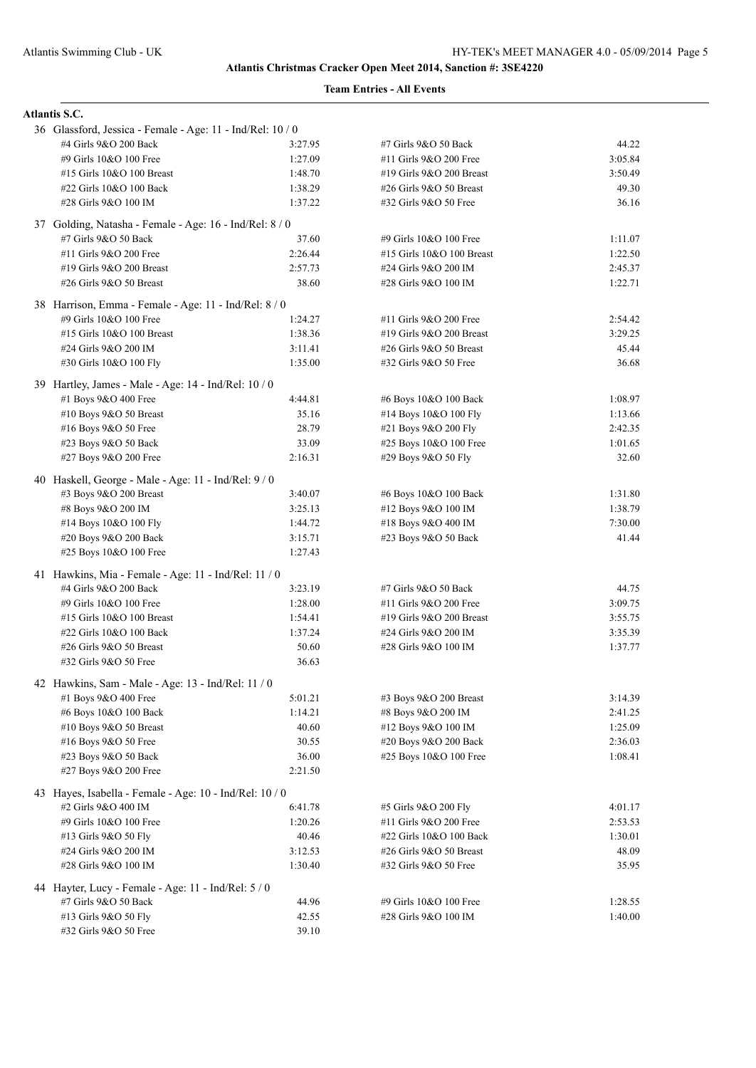| <b>Atlantis S.C.</b>                                       |         |                           |         |
|------------------------------------------------------------|---------|---------------------------|---------|
| 36 Glassford, Jessica - Female - Age: 11 - Ind/Rel: 10 / 0 |         |                           |         |
| #4 Girls 9&O 200 Back                                      | 3:27.95 | #7 Girls 9&O 50 Back      | 44.22   |
| #9 Girls 10&O 100 Free                                     | 1:27.09 | #11 Girls 9&O 200 Free    | 3:05.84 |
| #15 Girls 10&O 100 Breast                                  | 1:48.70 | #19 Girls 9&O 200 Breast  | 3:50.49 |
| #22 Girls 10&O 100 Back                                    | 1:38.29 | #26 Girls 9&O 50 Breast   | 49.30   |
| #28 Girls 9&O 100 IM                                       | 1:37.22 | #32 Girls 9&O 50 Free     | 36.16   |
| 37 Golding, Natasha - Female - Age: 16 - Ind/Rel: 8 / 0    |         |                           |         |
| #7 Girls 9&O 50 Back                                       | 37.60   | #9 Girls 10&O 100 Free    | 1:11.07 |
| #11 Girls 9&O 200 Free                                     | 2:26.44 | #15 Girls 10&O 100 Breast | 1:22.50 |
| #19 Girls 9&O 200 Breast                                   | 2:57.73 | #24 Girls 9&O 200 IM      | 2:45.37 |
| #26 Girls 9&O 50 Breast                                    | 38.60   | #28 Girls 9&O 100 IM      | 1:22.71 |
| 38 Harrison, Emma - Female - Age: 11 - Ind/Rel: 8 / 0      |         |                           |         |
| #9 Girls 10&O 100 Free                                     | 1:24.27 | #11 Girls 9&O 200 Free    | 2:54.42 |
| #15 Girls 10&O 100 Breast                                  | 1:38.36 | #19 Girls 9&O 200 Breast  | 3:29.25 |
| #24 Girls 9&O 200 IM                                       | 3:11.41 | #26 Girls 9&O 50 Breast   | 45.44   |
| #30 Girls 10&O 100 Fly                                     | 1:35.00 | #32 Girls 9&O 50 Free     | 36.68   |
| 39 Hartley, James - Male - Age: 14 - Ind/Rel: 10 / 0       |         |                           |         |
| #1 Boys 9&O 400 Free                                       | 4:44.81 | #6 Boys 10&O 100 Back     | 1:08.97 |
| #10 Boys 9&O 50 Breast                                     | 35.16   | #14 Boys 10&O 100 Fly     | 1:13.66 |
| #16 Boys 9&O 50 Free                                       | 28.79   | #21 Boys 9&O 200 Fly      | 2:42.35 |
| #23 Boys 9&O 50 Back                                       | 33.09   | #25 Boys 10&O 100 Free    | 1:01.65 |
| #27 Boys 9&O 200 Free                                      | 2:16.31 | #29 Boys 9&O 50 Fly       | 32.60   |
| 40 Haskell, George - Male - Age: 11 - Ind/Rel: 9 / 0       |         |                           |         |
| #3 Boys 9&O 200 Breast                                     | 3:40.07 | #6 Boys 10&O 100 Back     | 1:31.80 |
| #8 Boys 9&O 200 IM                                         | 3:25.13 | #12 Boys 9&O 100 IM       | 1:38.79 |
| #14 Boys 10&O 100 Fly                                      | 1:44.72 | #18 Boys 9&O 400 IM       | 7:30.00 |
| #20 Boys 9&O 200 Back                                      | 3:15.71 | #23 Boys 9&O 50 Back      | 41.44   |
| #25 Boys 10&O 100 Free                                     | 1:27.43 |                           |         |
| 41 Hawkins, Mia - Female - Age: 11 - Ind/Rel: 11 / 0       |         |                           |         |
| #4 Girls 9&O 200 Back                                      | 3:23.19 | #7 Girls 9&O 50 Back      | 44.75   |
| #9 Girls 10&O 100 Free                                     | 1:28.00 | #11 Girls 9&O 200 Free    | 3:09.75 |
| #15 Girls 10&O 100 Breast                                  | 1:54.41 | #19 Girls 9&O 200 Breast  | 3:55.75 |
| #22 Girls 10&O 100 Back                                    | 1:37.24 | #24 Girls 9&O 200 IM      | 3:35.39 |
| #26 Girls 9&O 50 Breast                                    | 50.60   | #28 Girls 9&O 100 IM      | 1:37.77 |
| #32 Girls 9&O 50 Free                                      | 36.63   |                           |         |
| 42 Hawkins, Sam - Male - Age: 13 - Ind/Rel: 11 / 0         |         |                           |         |
| #1 Boys 9&O 400 Free                                       | 5:01.21 | #3 Boys 9&O 200 Breast    | 3:14.39 |
| #6 Boys 10&O 100 Back                                      | 1:14.21 | #8 Boys 9&O 200 IM        | 2:41.25 |
| #10 Boys 9&O 50 Breast                                     | 40.60   | #12 Boys 9&O 100 IM       | 1:25.09 |
| #16 Boys 9&O 50 Free                                       | 30.55   | #20 Boys 9&O 200 Back     | 2:36.03 |
| #23 Boys 9&O 50 Back                                       | 36.00   | #25 Boys 10&O 100 Free    | 1:08.41 |
| #27 Boys 9&O 200 Free                                      | 2:21.50 |                           |         |
| 43 Hayes, Isabella - Female - Age: 10 - Ind/Rel: 10 / 0    |         |                           |         |
| #2 Girls 9&O 400 IM                                        | 6:41.78 | #5 Girls 9&O 200 Fly      | 4:01.17 |
| #9 Girls 10&O 100 Free                                     | 1:20.26 | #11 Girls 9&O 200 Free    | 2:53.53 |
| #13 Girls 9&O 50 Fly                                       | 40.46   | #22 Girls 10&O 100 Back   | 1:30.01 |
| #24 Girls 9&O 200 IM                                       | 3:12.53 | #26 Girls 9&O 50 Breast   | 48.09   |
| #28 Girls 9&O 100 IM                                       | 1:30.40 | #32 Girls 9&O 50 Free     | 35.95   |
| 44 Hayter, Lucy - Female - Age: 11 - Ind/Rel: 5 / 0        |         |                           |         |
| #7 Girls 9&O 50 Back                                       | 44.96   | #9 Girls 10&O 100 Free    | 1:28.55 |
| #13 Girls 9&O 50 Fly                                       | 42.55   | #28 Girls 9&O 100 IM      | 1:40.00 |
| #32 Girls 9&O 50 Free                                      | 39.10   |                           |         |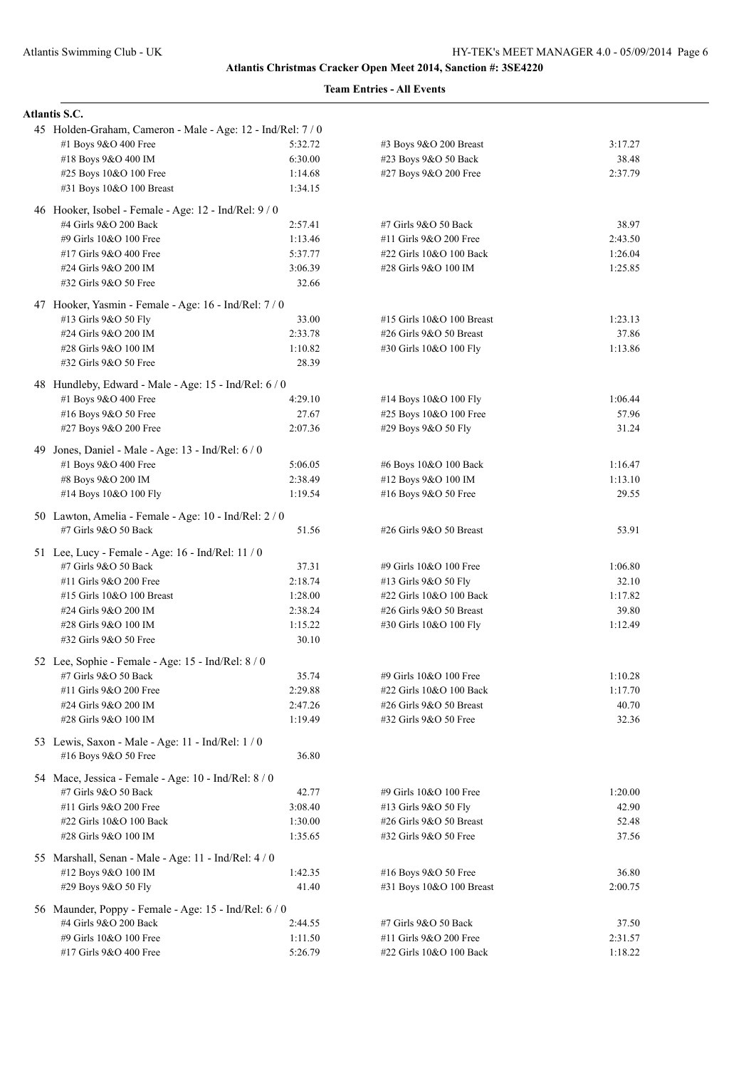|     | <b>Atlantis S.C.</b>                                                          |         |                           |         |
|-----|-------------------------------------------------------------------------------|---------|---------------------------|---------|
|     | 45 Holden-Graham, Cameron - Male - Age: 12 - Ind/Rel: 7 / 0                   |         |                           |         |
|     | #1 Boys 9&O 400 Free                                                          | 5:32.72 | #3 Boys 9&O 200 Breast    | 3:17.27 |
|     | #18 Boys 9&O 400 IM                                                           | 6:30.00 | #23 Boys 9&O 50 Back      | 38.48   |
|     | #25 Boys 10&O 100 Free                                                        | 1:14.68 | #27 Boys 9&O 200 Free     | 2:37.79 |
|     | #31 Boys 10&O 100 Breast                                                      | 1:34.15 |                           |         |
|     | 46 Hooker, Isobel - Female - Age: 12 - Ind/Rel: 9 / 0                         |         |                           |         |
|     | #4 Girls 9&O 200 Back                                                         | 2:57.41 | #7 Girls 9&O 50 Back      | 38.97   |
|     | #9 Girls 10&O 100 Free                                                        | 1:13.46 | #11 Girls 9&O 200 Free    | 2:43.50 |
|     | #17 Girls 9&O 400 Free                                                        | 5:37.77 | #22 Girls 10&O 100 Back   | 1:26.04 |
|     | #24 Girls 9&O 200 IM                                                          | 3:06.39 | #28 Girls 9&O 100 IM      | 1:25.85 |
|     | #32 Girls 9&O 50 Free                                                         | 32.66   |                           |         |
|     | 47 Hooker, Yasmin - Female - Age: 16 - Ind/Rel: 7 / 0                         |         |                           |         |
|     | #13 Girls 9&O 50 Fly                                                          | 33.00   | #15 Girls 10&O 100 Breast | 1:23.13 |
|     | #24 Girls 9&O 200 IM                                                          | 2:33.78 | #26 Girls 9&O 50 Breast   | 37.86   |
|     | #28 Girls 9&O 100 IM                                                          | 1:10.82 | #30 Girls 10&O 100 Fly    | 1:13.86 |
|     | #32 Girls 9&O 50 Free                                                         | 28.39   |                           |         |
|     | 48 Hundleby, Edward - Male - Age: 15 - Ind/Rel: 6 / 0                         |         |                           |         |
|     | #1 Boys 9&O 400 Free                                                          | 4:29.10 | #14 Boys 10&O 100 Fly     | 1:06.44 |
|     | #16 Boys 9&O 50 Free                                                          | 27.67   | #25 Boys 10&O 100 Free    | 57.96   |
|     | #27 Boys 9&O 200 Free                                                         | 2:07.36 | #29 Boys 9&O 50 Fly       | 31.24   |
| 49. | Jones, Daniel - Male - Age: 13 - Ind/Rel: 6 / 0                               |         |                           |         |
|     | #1 Boys 9&O 400 Free                                                          | 5:06.05 | #6 Boys 10&O 100 Back     | 1:16.47 |
|     | #8 Boys 9&O 200 IM                                                            | 2:38.49 | #12 Boys 9&O 100 IM       | 1:13.10 |
|     | #14 Boys 10&O 100 Fly                                                         | 1:19.54 | #16 Boys 9&O 50 Free      | 29.55   |
|     |                                                                               |         |                           |         |
|     | 50 Lawton, Amelia - Female - Age: 10 - Ind/Rel: 2 / 0<br>#7 Girls 9&O 50 Back | 51.56   | #26 Girls 9&O 50 Breast   | 53.91   |
|     | 51 Lee, Lucy - Female - Age: 16 - Ind/Rel: 11 / 0                             |         |                           |         |
|     | #7 Girls 9&O 50 Back                                                          | 37.31   | #9 Girls 10&O 100 Free    | 1:06.80 |
|     | #11 Girls 9&O 200 Free                                                        | 2:18.74 | #13 Girls 9&O 50 Fly      | 32.10   |
|     | #15 Girls 10&O 100 Breast                                                     | 1:28.00 | #22 Girls 10&O 100 Back   | 1:17.82 |
|     | #24 Girls 9&O 200 IM                                                          | 2:38.24 | #26 Girls 9&O 50 Breast   | 39.80   |
|     | #28 Girls 9&O 100 IM                                                          | 1:15.22 | #30 Girls 10&O 100 Fly    | 1:12.49 |
|     | #32 Girls 9&O 50 Free                                                         | 30.10   |                           |         |
|     | 52 Lee, Sophie - Female - Age: 15 - Ind/Rel: 8 / 0                            |         |                           |         |
|     | #7 Girls 9&O 50 Back                                                          | 35.74   | #9 Girls 10&O 100 Free    | 1:10.28 |
|     | #11 Girls 9&O 200 Free                                                        | 2:29.88 | #22 Girls 10&O 100 Back   | 1:17.70 |
|     | #24 Girls 9&O 200 IM                                                          | 2:47.26 | #26 Girls 9&O 50 Breast   | 40.70   |
|     | #28 Girls 9&O 100 IM                                                          | 1:19.49 | #32 Girls 9&O 50 Free     | 32.36   |
|     | 53 Lewis, Saxon - Male - Age: 11 - Ind/Rel: 1/0                               |         |                           |         |
|     | #16 Boys 9&O 50 Free                                                          | 36.80   |                           |         |
|     | 54 Mace, Jessica - Female - Age: 10 - Ind/Rel: 8 / 0                          |         |                           |         |
|     | #7 Girls 9&O 50 Back                                                          | 42.77   | #9 Girls 10&O 100 Free    | 1:20.00 |
|     | #11 Girls 9&O 200 Free                                                        | 3:08.40 | #13 Girls 9&O 50 Fly      | 42.90   |
|     | #22 Girls 10&O 100 Back                                                       | 1:30.00 | #26 Girls 9&O 50 Breast   | 52.48   |
|     | #28 Girls 9&O 100 IM                                                          | 1:35.65 | #32 Girls 9&O 50 Free     | 37.56   |
|     | 55 Marshall, Senan - Male - Age: 11 - Ind/Rel: 4 / 0                          |         |                           |         |
|     | #12 Boys 9&O 100 IM                                                           | 1:42.35 | #16 Boys 9&O 50 Free      | 36.80   |
|     | #29 Boys 9&O 50 Fly                                                           | 41.40   | #31 Boys 10&O 100 Breast  | 2:00.75 |
|     | 56 Maunder, Poppy - Female - Age: 15 - Ind/Rel: 6/0                           |         |                           |         |
|     | #4 Girls 9&O 200 Back                                                         | 2:44.55 | #7 Girls 9&O 50 Back      | 37.50   |
|     | #9 Girls 10&O 100 Free                                                        | 1:11.50 | #11 Girls 9&O 200 Free    | 2:31.57 |
|     | #17 Girls 9&O 400 Free                                                        | 5:26.79 | #22 Girls 10&O 100 Back   | 1:18.22 |
|     |                                                                               |         |                           |         |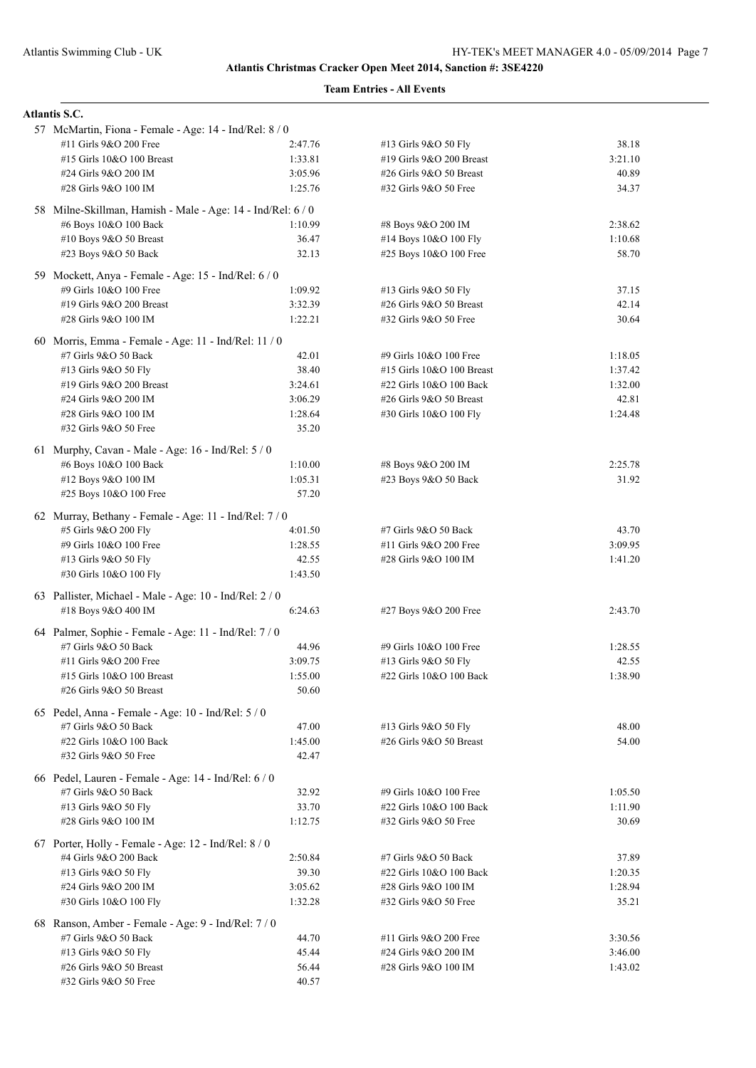| <b>Atlantis S.C.</b>                                        |         |                            |         |
|-------------------------------------------------------------|---------|----------------------------|---------|
| 57 McMartin, Fiona - Female - Age: 14 - Ind/Rel: 8 / 0      |         |                            |         |
| #11 Girls 9&O 200 Free                                      | 2:47.76 | #13 Girls 9&O 50 Fly       | 38.18   |
| #15 Girls 10&O 100 Breast                                   | 1:33.81 | #19 Girls $9&O$ 200 Breast | 3:21.10 |
| #24 Girls 9&O 200 IM                                        | 3:05.96 | #26 Girls 9&O 50 Breast    | 40.89   |
| #28 Girls 9&O 100 IM                                        | 1:25.76 | #32 Girls 9&O 50 Free      | 34.37   |
| 58 Milne-Skillman, Hamish - Male - Age: 14 - Ind/Rel: 6 / 0 |         |                            |         |
| #6 Boys 10&O 100 Back                                       | 1:10.99 | #8 Boys 9&O 200 IM         | 2:38.62 |
| #10 Boys 9&O 50 Breast                                      | 36.47   | #14 Boys 10&O 100 Fly      | 1:10.68 |
|                                                             | 32.13   |                            | 58.70   |
| #23 Boys 9&O 50 Back                                        |         | #25 Boys 10&O 100 Free     |         |
| 59 Mockett, Anya - Female - Age: 15 - Ind/Rel: 6 / 0        |         |                            |         |
| #9 Girls 10&O 100 Free                                      | 1:09.92 | #13 Girls 9&O 50 Fly       | 37.15   |
| #19 Girls 9&O 200 Breast                                    | 3:32.39 | #26 Girls 9&O 50 Breast    | 42.14   |
| #28 Girls 9&O 100 IM                                        | 1:22.21 | #32 Girls 9&O 50 Free      | 30.64   |
| 60 Morris, Emma - Female - Age: 11 - Ind/Rel: 11 / 0        |         |                            |         |
| #7 Girls 9&O 50 Back                                        | 42.01   | #9 Girls 10&O 100 Free     | 1:18.05 |
| #13 Girls 9&O 50 Fly                                        | 38.40   | #15 Girls 10&O 100 Breast  | 1:37.42 |
| #19 Girls 9&O 200 Breast                                    | 3:24.61 | #22 Girls 10&O 100 Back    | 1:32.00 |
| #24 Girls 9&O 200 IM                                        | 3:06.29 | #26 Girls 9&O 50 Breast    | 42.81   |
| #28 Girls 9&O 100 IM                                        | 1:28.64 | #30 Girls 10&O 100 Fly     | 1:24.48 |
| #32 Girls 9&O 50 Free                                       | 35.20   |                            |         |
|                                                             |         |                            |         |
| 61 Murphy, Cavan - Male - Age: 16 - Ind/Rel: 5 / 0          |         |                            |         |
| #6 Boys 10&O 100 Back                                       | 1:10.00 | #8 Boys 9&O 200 IM         | 2:25.78 |
| #12 Boys 9&O 100 IM                                         | 1:05.31 | #23 Boys 9&O 50 Back       | 31.92   |
| #25 Boys 10&O 100 Free                                      | 57.20   |                            |         |
| 62 Murray, Bethany - Female - Age: 11 - Ind/Rel: 7/0        |         |                            |         |
| #5 Girls 9&O 200 Fly                                        | 4:01.50 | #7 Girls 9&O 50 Back       | 43.70   |
| #9 Girls 10&O 100 Free                                      | 1:28.55 | #11 Girls 9&O 200 Free     | 3:09.95 |
| #13 Girls 9&O 50 Fly                                        | 42.55   | #28 Girls 9&O 100 IM       | 1:41.20 |
| #30 Girls 10&O 100 Fly                                      | 1:43.50 |                            |         |
| 63 Pallister, Michael - Male - Age: 10 - Ind/Rel: 2 / 0     |         |                            |         |
| #18 Boys 9&O 400 IM                                         | 6:24.63 | #27 Boys 9&O 200 Free      | 2:43.70 |
|                                                             |         |                            |         |
| 64 Palmer, Sophie - Female - Age: 11 - Ind/Rel: 7 / 0       |         |                            |         |
| #7 Girls 9&O 50 Back                                        | 44.96   | #9 Girls 10&O 100 Free     | 1:28.55 |
| #11 Girls 9&O 200 Free                                      | 3:09.75 | #13 Girls 9&O 50 Fly       | 42.55   |
| #15 Girls 10&O 100 Breast                                   | 1:55.00 | #22 Girls 10&O 100 Back    | 1:38.90 |
| #26 Girls 9&O 50 Breast                                     | 50.60   |                            |         |
| 65 Pedel, Anna - Female - Age: 10 - Ind/Rel: 5 / 0          |         |                            |         |
| #7 Girls 9&O 50 Back                                        | 47.00   | #13 Girls 9&O 50 Fly       | 48.00   |
| #22 Girls 10&O 100 Back                                     | 1:45.00 | #26 Girls $9&O 50$ Breast  | 54.00   |
| #32 Girls 9&O 50 Free                                       | 42.47   |                            |         |
|                                                             |         |                            |         |
| 66 Pedel, Lauren - Female - Age: 14 - Ind/Rel: 6 / 0        |         |                            |         |
| #7 Girls 9&O 50 Back                                        | 32.92   | #9 Girls 10&O 100 Free     | 1:05.50 |
| #13 Girls 9&O 50 Fly                                        | 33.70   | #22 Girls 10&O 100 Back    | 1:11.90 |
| #28 Girls 9&O 100 IM                                        | 1:12.75 | #32 Girls 9&O 50 Free      | 30.69   |
| 67 Porter, Holly - Female - Age: 12 - Ind/Rel: 8 / 0        |         |                            |         |
| #4 Girls 9&O 200 Back                                       | 2:50.84 | #7 Girls 9&O 50 Back       | 37.89   |
| #13 Girls 9&O 50 Fly                                        | 39.30   | #22 Girls 10&O 100 Back    | 1:20.35 |
| #24 Girls 9&O 200 IM                                        | 3:05.62 | #28 Girls 9&O 100 IM       | 1:28.94 |
| #30 Girls 10&O 100 Fly                                      | 1:32.28 | #32 Girls 9&O 50 Free      | 35.21   |
| 68 Ranson, Amber - Female - Age: 9 - Ind/Rel: 7 / 0         |         |                            |         |
| #7 Girls 9&O 50 Back                                        | 44.70   | #11 Girls 9&O 200 Free     | 3:30.56 |
| #13 Girls 9&O 50 Fly                                        | 45.44   | #24 Girls 9&O 200 IM       | 3:46.00 |
| #26 Girls 9&O 50 Breast                                     | 56.44   | #28 Girls 9&O 100 IM       | 1:43.02 |
| #32 Girls 9&O 50 Free                                       | 40.57   |                            |         |
|                                                             |         |                            |         |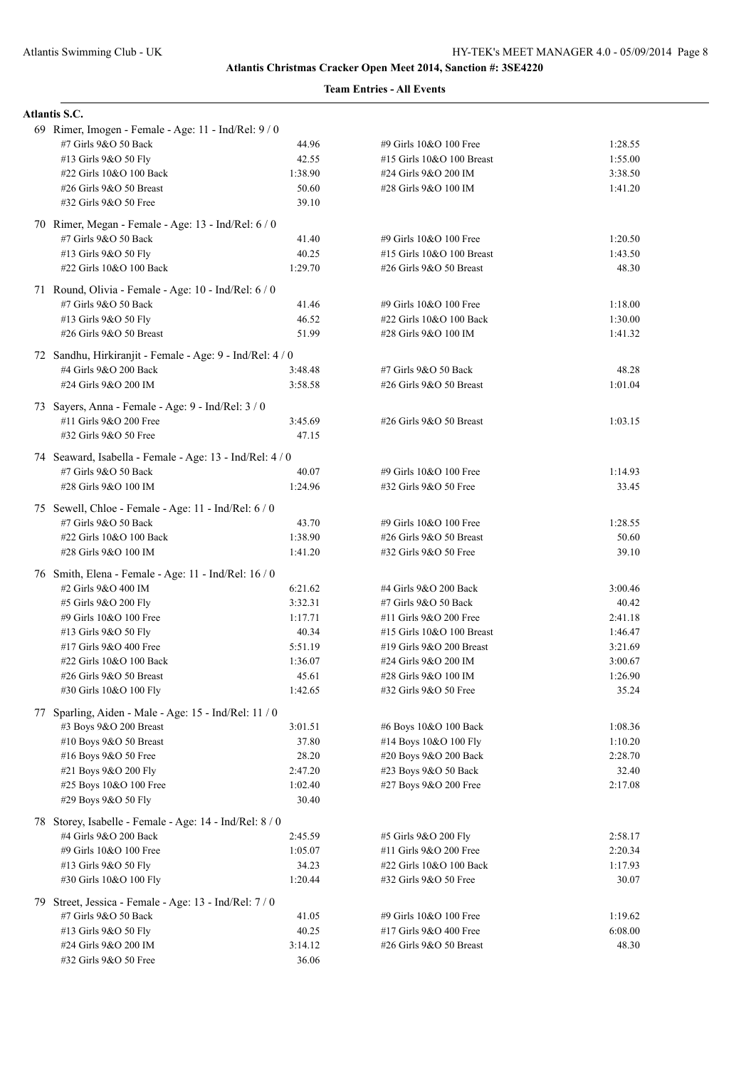| <b>Atlantis S.C.</b>                                      |                  |                                                       |                    |
|-----------------------------------------------------------|------------------|-------------------------------------------------------|--------------------|
| 69 Rimer, Imogen - Female - Age: 11 - Ind/Rel: 9 / 0      |                  |                                                       |                    |
| #7 Girls 9&O 50 Back                                      | 44.96            | #9 Girls 10&O 100 Free                                | 1:28.55            |
| #13 Girls 9&O 50 Fly                                      | 42.55            | #15 Girls 10&O 100 Breast                             | 1:55.00            |
| #22 Girls 10&O 100 Back                                   | 1:38.90          | #24 Girls 9&O 200 IM                                  | 3:38.50            |
| #26 Girls 9&O 50 Breast                                   | 50.60            | #28 Girls 9&O 100 IM                                  | 1:41.20            |
| #32 Girls 9&O 50 Free                                     | 39.10            |                                                       |                    |
| 70 Rimer, Megan - Female - Age: 13 - Ind/Rel: 6 / 0       |                  |                                                       |                    |
| #7 Girls 9&O 50 Back                                      | 41.40            | #9 Girls 10&O 100 Free                                | 1:20.50            |
| #13 Girls 9&O 50 Fly                                      | 40.25            | #15 Girls 10&O 100 Breast                             | 1:43.50            |
| #22 Girls 10&O 100 Back                                   | 1:29.70          | #26 Girls 9&O 50 Breast                               | 48.30              |
| 71 Round, Olivia - Female - Age: 10 - Ind/Rel: 6 / 0      |                  |                                                       |                    |
| #7 Girls 9&O 50 Back                                      | 41.46            | #9 Girls 10&O 100 Free                                | 1:18.00            |
| #13 Girls 9&O 50 Fly                                      | 46.52            | #22 Girls 10&O 100 Back                               | 1:30.00            |
| #26 Girls $9&O 50$ Breast                                 | 51.99            | #28 Girls 9&O 100 IM                                  | 1:41.32            |
| 72 Sandhu, Hirkiranjit - Female - Age: 9 - Ind/Rel: 4 / 0 |                  |                                                       |                    |
| #4 Girls 9&O 200 Back                                     | 3:48.48          | #7 Girls 9&O 50 Back                                  | 48.28              |
| #24 Girls 9&O 200 IM                                      | 3:58.58          | #26 Girls 9&O 50 Breast                               | 1:01.04            |
| 73 Sayers, Anna - Female - Age: 9 - Ind/Rel: 3 / 0        |                  |                                                       |                    |
| #11 Girls 9&O 200 Free                                    | 3:45.69          | #26 Girls 9&O 50 Breast                               | 1:03.15            |
| #32 Girls 9&O 50 Free                                     | 47.15            |                                                       |                    |
| 74 Seaward, Isabella - Female - Age: 13 - Ind/Rel: 4/0    |                  |                                                       |                    |
| #7 Girls 9&O 50 Back                                      | 40.07            | #9 Girls 10&O 100 Free                                | 1:14.93            |
| #28 Girls 9&O 100 IM                                      | 1:24.96          | #32 Girls 9&O 50 Free                                 | 33.45              |
| 75 Sewell, Chloe - Female - Age: 11 - Ind/Rel: 6 / 0      |                  |                                                       |                    |
| #7 Girls 9&O 50 Back                                      | 43.70            | #9 Girls 10&O 100 Free                                | 1:28.55            |
| #22 Girls 10&O 100 Back                                   | 1:38.90          | #26 Girls 9&O 50 Breast                               | 50.60              |
| #28 Girls 9&O 100 IM                                      | 1:41.20          | #32 Girls 9&O 50 Free                                 | 39.10              |
| 76 Smith, Elena - Female - Age: 11 - Ind/Rel: 16 / 0      |                  |                                                       |                    |
| #2 Girls 9&O 400 IM                                       | 6:21.62          | #4 Girls 9&O 200 Back                                 | 3:00.46            |
| #5 Girls 9&O 200 Fly                                      | 3:32.31          | #7 Girls 9&O 50 Back                                  | 40.42              |
| #9 Girls 10&O 100 Free                                    | 1:17.71<br>40.34 | #11 Girls 9&O 200 Free                                | 2:41.18            |
| #13 Girls 9&O 50 Fly<br>#17 Girls 9&O 400 Free            | 5:51.19          | #15 Girls 10&O 100 Breast<br>#19 Girls 9&O 200 Breast | 1:46.47<br>3:21.69 |
| #22 Girls 10&O 100 Back                                   | 1:36.07          | #24 Girls 9&O 200 IM                                  | 3:00.67            |
| #26 Girls 9&O 50 Breast                                   | 45.61            | #28 Girls 9&O 100 IM                                  | 1:26.90            |
| #30 Girls 10&O 100 Fly                                    | 1:42.65          | #32 Girls 9&O 50 Free                                 | 35.24              |
| 77 Sparling, Aiden - Male - Age: 15 - Ind/Rel: 11 / 0     |                  |                                                       |                    |
| #3 Boys 9&O 200 Breast                                    | 3:01.51          | #6 Boys 10&O 100 Back                                 | 1:08.36            |
| #10 Boys 9&O 50 Breast                                    | 37.80            | #14 Boys 10&O 100 Fly                                 | 1:10.20            |
| #16 Boys 9&O 50 Free                                      | 28.20            | #20 Boys 9&O 200 Back                                 | 2:28.70            |
| #21 Boys 9&O 200 Fly                                      | 2:47.20          | #23 Boys 9&O 50 Back                                  | 32.40              |
| #25 Boys 10&O 100 Free                                    | 1:02.40          | #27 Boys 9&O 200 Free                                 | 2:17.08            |
| #29 Boys 9&O 50 Fly                                       | 30.40            |                                                       |                    |
| 78 Storey, Isabelle - Female - Age: 14 - Ind/Rel: 8 / 0   |                  |                                                       |                    |
| #4 Girls 9&O 200 Back                                     | 2:45.59          | #5 Girls 9&O 200 Fly                                  | 2:58.17            |
| #9 Girls 10&O 100 Free                                    | 1:05.07          | #11 Girls 9&O 200 Free                                | 2:20.34            |
| #13 Girls 9&O 50 Fly                                      | 34.23            | #22 Girls 10&O 100 Back                               | 1:17.93            |
| #30 Girls 10&O 100 Fly                                    | 1:20.44          | #32 Girls 9&O 50 Free                                 | 30.07              |
| 79 Street, Jessica - Female - Age: 13 - Ind/Rel: 7/0      |                  |                                                       |                    |
| #7 Girls 9&O 50 Back                                      | 41.05            | #9 Girls 10&O 100 Free                                | 1:19.62            |
| #13 Girls 9&O 50 Fly                                      | 40.25            | #17 Girls 9&O 400 Free                                | 6:08.00            |
| #24 Girls 9&O 200 IM                                      | 3:14.12          | #26 Girls 9&O 50 Breast                               | 48.30              |
| #32 Girls 9&O 50 Free                                     | 36.06            |                                                       |                    |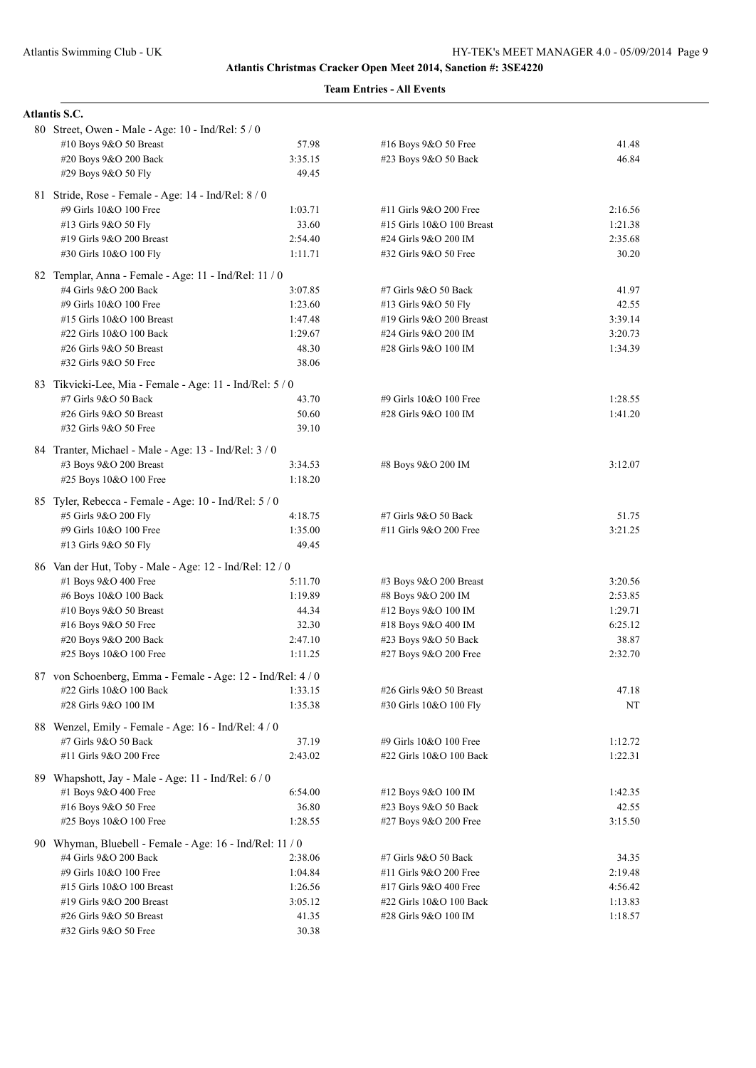| <b>Atlantis S.C.</b>                                                           |                |                            |         |
|--------------------------------------------------------------------------------|----------------|----------------------------|---------|
| 80 Street, Owen - Male - Age: 10 - Ind/Rel: 5 / 0                              |                |                            |         |
| #10 Boys 9&O 50 Breast                                                         | 57.98          | #16 Boys 9&O 50 Free       | 41.48   |
| #20 Boys 9&O 200 Back                                                          | 3:35.15        | #23 Boys 9&O 50 Back       | 46.84   |
| #29 Boys 9&O 50 Fly                                                            | 49.45          |                            |         |
| 81 Stride, Rose - Female - Age: 14 - Ind/Rel: 8 / 0                            |                |                            |         |
| #9 Girls 10&O 100 Free                                                         | 1:03.71        | #11 Girls 9&O 200 Free     | 2:16.56 |
| #13 Girls 9&O 50 Fly                                                           | 33.60          | #15 Girls 10&O 100 Breast  | 1:21.38 |
| #19 Girls 9&O 200 Breast                                                       | 2:54.40        | #24 Girls 9&O 200 IM       | 2:35.68 |
| #30 Girls 10&O 100 Fly                                                         | 1:11.71        | #32 Girls 9&O 50 Free      | 30.20   |
|                                                                                |                |                            |         |
| 82 Templar, Anna - Female - Age: 11 - Ind/Rel: 11 / 0<br>#4 Girls 9&O 200 Back | 3:07.85        | #7 Girls 9&O 50 Back       | 41.97   |
| #9 Girls 10&O 100 Free                                                         | 1:23.60        | #13 Girls 9&O 50 Fly       | 42.55   |
| #15 Girls 10&O 100 Breast                                                      | 1:47.48        | #19 Girls 9&O 200 Breast   | 3:39.14 |
| #22 Girls 10&O 100 Back                                                        | 1:29.67        | #24 Girls 9&O 200 IM       | 3:20.73 |
| #26 Girls 9&O 50 Breast                                                        | 48.30          | #28 Girls 9&O 100 IM       | 1:34.39 |
| #32 Girls 9&O 50 Free                                                          | 38.06          |                            |         |
|                                                                                |                |                            |         |
| 83 Tikvicki-Lee, Mia - Female - Age: 11 - Ind/Rel: 5 / 0                       |                |                            |         |
| #7 Girls 9&O 50 Back                                                           | 43.70          | #9 Girls 10&O 100 Free     | 1:28.55 |
| #26 Girls 9&O 50 Breast                                                        | 50.60<br>39.10 | #28 Girls 9&O 100 IM       | 1:41.20 |
| #32 Girls 9&O 50 Free                                                          |                |                            |         |
| 84 Tranter, Michael - Male - Age: 13 - Ind/Rel: 3 / 0                          |                |                            |         |
| #3 Boys 9&O 200 Breast                                                         | 3:34.53        | #8 Boys 9&O 200 IM         | 3:12.07 |
| #25 Boys 10&O 100 Free                                                         | 1:18.20        |                            |         |
| 85 Tyler, Rebecca - Female - Age: 10 - Ind/Rel: 5 / 0                          |                |                            |         |
| #5 Girls 9&O 200 Fly                                                           | 4:18.75        | #7 Girls 9&O 50 Back       | 51.75   |
| #9 Girls 10&O 100 Free                                                         | 1:35.00        | #11 Girls 9&O 200 Free     | 3:21.25 |
| #13 Girls 9&O 50 Fly                                                           | 49.45          |                            |         |
| 86 Van der Hut, Toby - Male - Age: 12 - Ind/Rel: 12 / 0                        |                |                            |         |
| #1 Boys 9&O 400 Free                                                           | 5:11.70        | $#3$ Boys $9&O$ 200 Breast | 3:20.56 |
| #6 Boys 10&O 100 Back                                                          | 1:19.89        | #8 Boys 9&O 200 IM         | 2:53.85 |
| #10 Boys 9&O 50 Breast                                                         | 44.34          | #12 Boys 9&O 100 IM        | 1:29.71 |
| #16 Boys 9&O 50 Free                                                           | 32.30          | #18 Boys 9&O 400 IM        | 6:25.12 |
| #20 Boys 9&O 200 Back                                                          | 2:47.10        | #23 Boys 9&O 50 Back       | 38.87   |
| #25 Boys 10&O 100 Free                                                         | 1:11.25        | #27 Boys 9&O 200 Free      | 2:32.70 |
| 87 von Schoenberg, Emma - Female - Age: 12 - Ind/Rel: 4 / 0                    |                |                            |         |
| #22 Girls 10&O 100 Back                                                        | 1:33.15        | #26 Girls 9&O 50 Breast    | 47.18   |
| #28 Girls 9&O 100 IM                                                           | 1:35.38        | #30 Girls 10&O 100 Fly     | NT      |
|                                                                                |                |                            |         |
| 88 Wenzel, Emily - Female - Age: 16 - Ind/Rel: 4 / 0                           |                |                            |         |
| #7 Girls 9&O 50 Back                                                           | 37.19          | #9 Girls 10&O 100 Free     | 1:12.72 |
| #11 Girls 9&O 200 Free                                                         | 2:43.02        | #22 Girls 10&O 100 Back    | 1:22.31 |
| 89 Whapshott, Jay - Male - Age: 11 - Ind/Rel: 6 / 0                            |                |                            |         |
| #1 Boys 9&O 400 Free                                                           | 6:54.00        | #12 Boys 9&O 100 IM        | 1:42.35 |
| #16 Boys 9&O 50 Free                                                           | 36.80          | #23 Boys 9&O 50 Back       | 42.55   |
| #25 Boys 10&O 100 Free                                                         | 1:28.55        | #27 Boys 9&O 200 Free      | 3:15.50 |
| 90 Whyman, Bluebell - Female - Age: 16 - Ind/Rel: 11 / 0                       |                |                            |         |
| #4 Girls 9&O 200 Back                                                          | 2:38.06        | #7 Girls 9&O 50 Back       | 34.35   |
| #9 Girls 10&O 100 Free                                                         | 1:04.84        | #11 Girls 9&O 200 Free     | 2:19.48 |
| #15 Girls 10&O 100 Breast                                                      | 1:26.56        | #17 Girls 9&O 400 Free     | 4:56.42 |
| #19 Girls 9&O 200 Breast                                                       | 3:05.12        | #22 Girls 10&O 100 Back    | 1:13.83 |
| #26 Girls 9&O 50 Breast                                                        | 41.35          | #28 Girls 9&O 100 IM       | 1:18.57 |
| #32 Girls 9&O 50 Free                                                          | 30.38          |                            |         |
|                                                                                |                |                            |         |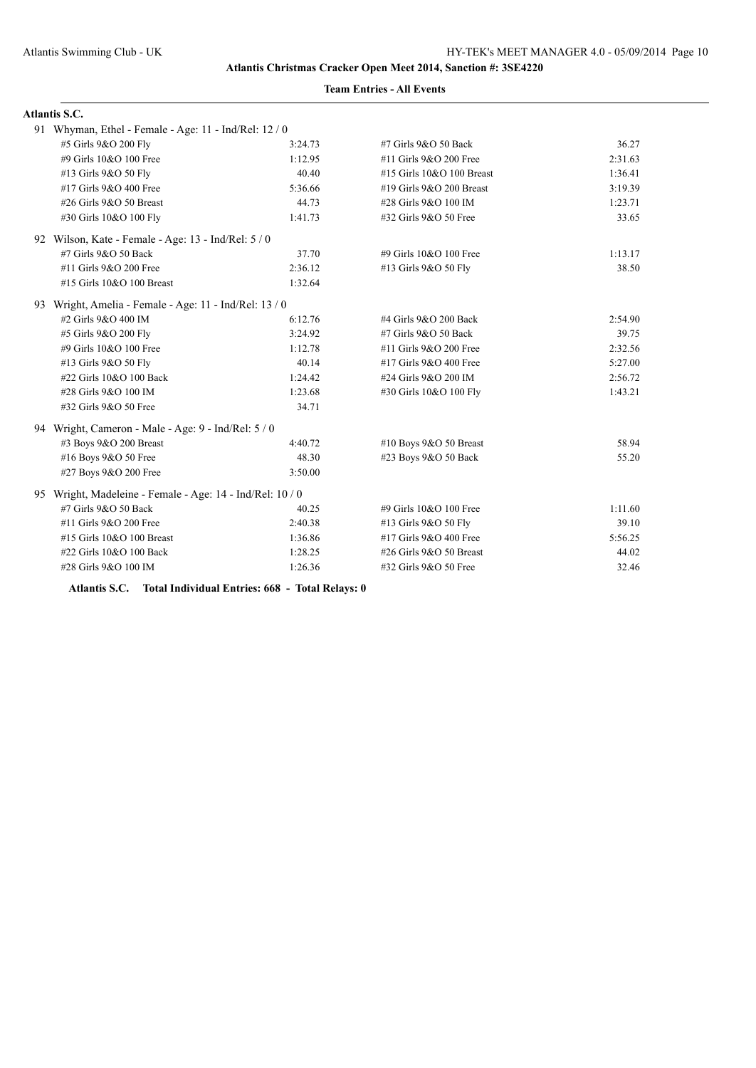## **Team Entries - All Events**

| <b>Atlantis S.C.</b>                                      |         |                           |         |
|-----------------------------------------------------------|---------|---------------------------|---------|
| 91 Whyman, Ethel - Female - Age: 11 - Ind/Rel: 12 / 0     |         |                           |         |
| #5 Girls 9&O 200 Fly                                      | 3:24.73 | #7 Girls 9&O 50 Back      | 36.27   |
| #9 Girls 10&O 100 Free                                    | 1:12.95 | #11 Girls 9&O 200 Free    | 2:31.63 |
| #13 Girls 9&O 50 Fly                                      | 40.40   | #15 Girls 10&O 100 Breast | 1:36.41 |
| #17 Girls 9&O 400 Free                                    | 5:36.66 | #19 Girls 9&O 200 Breast  | 3:19.39 |
| #26 Girls 9&O 50 Breast                                   | 44.73   | #28 Girls 9&O 100 IM      | 1:23.71 |
| #30 Girls 10&O 100 Fly                                    | 1:41.73 | #32 Girls 9&O 50 Free     | 33.65   |
| 92 Wilson, Kate - Female - Age: 13 - Ind/Rel: 5 / 0       |         |                           |         |
| #7 Girls 9&O 50 Back                                      | 37.70   | #9 Girls 10&O 100 Free    | 1:13.17 |
| #11 Girls 9&O 200 Free                                    | 2:36.12 | #13 Girls 9&O 50 Fly      | 38.50   |
| #15 Girls 10&O 100 Breast                                 | 1:32.64 |                           |         |
| 93 Wright, Amelia - Female - Age: 11 - Ind/Rel: 13 / 0    |         |                           |         |
| #2 Girls 9&O 400 IM                                       | 6:12.76 | #4 Girls 9&O 200 Back     | 2:54.90 |
| #5 Girls 9&O 200 Fly                                      | 3:24.92 | #7 Girls 9&O 50 Back      | 39.75   |
| #9 Girls 10&O 100 Free                                    | 1:12.78 | #11 Girls 9&O 200 Free    | 2:32.56 |
| #13 Girls 9&O 50 Fly                                      | 40.14   | #17 Girls 9&O 400 Free    | 5:27.00 |
| #22 Girls 10&O 100 Back                                   | 1:24.42 | #24 Girls 9&O 200 IM      | 2:56.72 |
| #28 Girls 9&O 100 IM                                      | 1:23.68 | #30 Girls 10&O 100 Fly    | 1:43.21 |
| #32 Girls 9&O 50 Free                                     | 34.71   |                           |         |
| 94 Wright, Cameron - Male - Age: 9 - Ind/Rel: 5 / 0       |         |                           |         |
| #3 Boys 9&O 200 Breast                                    | 4:40.72 | #10 Boys 9&O 50 Breast    | 58.94   |
| #16 Boys 9&O 50 Free                                      | 48.30   | #23 Boys 9&O 50 Back      | 55.20   |
| #27 Boys 9&O 200 Free                                     | 3:50.00 |                           |         |
| 95 Wright, Madeleine - Female - Age: 14 - Ind/Rel: 10 / 0 |         |                           |         |
| #7 Girls 9&O 50 Back                                      | 40.25   | #9 Girls 10&O 100 Free    | 1:11.60 |
| #11 Girls 9&O 200 Free                                    | 2:40.38 | #13 Girls 9&O 50 Fly      | 39.10   |
| #15 Girls 10&O 100 Breast                                 | 1:36.86 | #17 Girls 9&O 400 Free    | 5:56.25 |
| #22 Girls 10&O 100 Back                                   | 1:28.25 | #26 Girls 9&O 50 Breast   | 44.02   |
| #28 Girls 9&O 100 IM                                      | 1:26.36 | #32 Girls 9&O 50 Free     | 32.46   |

**Atlantis S.C. Total Individual Entries: 668 - Total Relays: 0**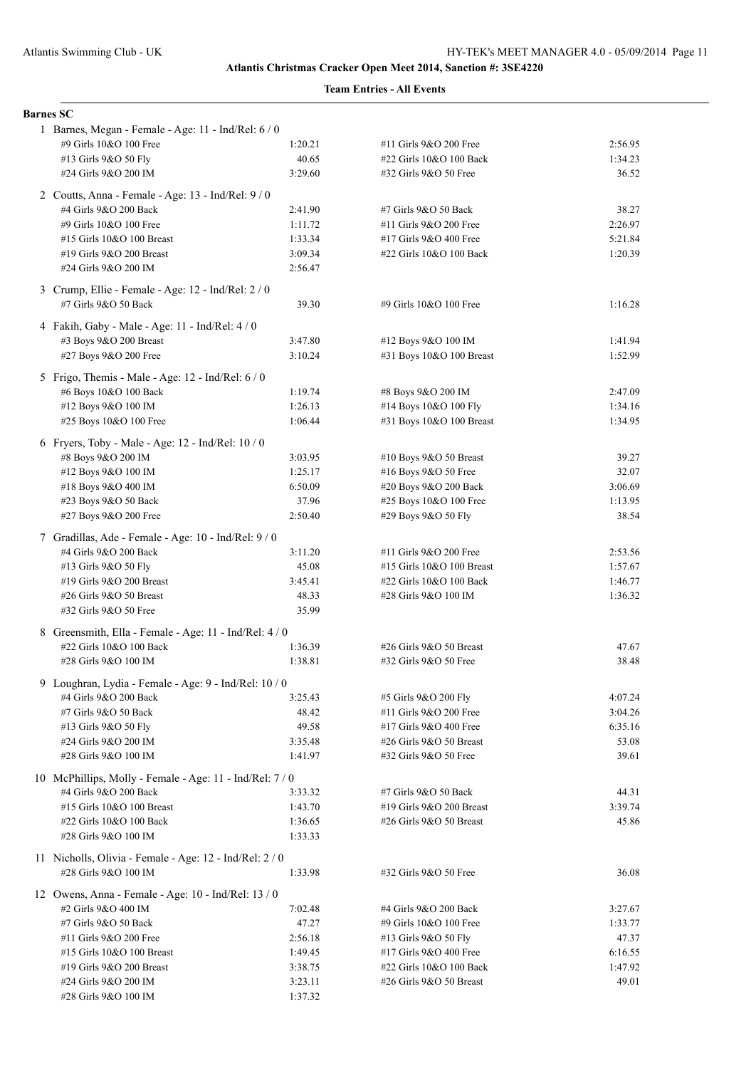| <b>Barnes SC</b> |                                                          |                  |                                                      |                    |
|------------------|----------------------------------------------------------|------------------|------------------------------------------------------|--------------------|
|                  | 1 Barnes, Megan - Female - Age: 11 - Ind/Rel: 6 / 0      |                  |                                                      |                    |
|                  | #9 Girls 10&O 100 Free                                   | 1:20.21          | #11 Girls 9&O 200 Free                               | 2:56.95            |
|                  | #13 Girls 9&O 50 Fly                                     | 40.65            | #22 Girls 10&O 100 Back                              | 1:34.23            |
|                  | #24 Girls 9&O 200 IM                                     | 3:29.60          | #32 Girls 9&O 50 Free                                | 36.52              |
|                  | 2 Coutts, Anna - Female - Age: 13 - Ind/Rel: 9/0         |                  |                                                      |                    |
|                  | #4 Girls 9&O 200 Back                                    | 2:41.90          | #7 Girls 9&O 50 Back                                 | 38.27              |
|                  | #9 Girls 10&O 100 Free                                   | 1:11.72          | #11 Girls 9&O 200 Free                               | 2:26.97            |
|                  | #15 Girls 10&O 100 Breast                                | 1:33.34          | #17 Girls 9&O 400 Free                               | 5:21.84            |
|                  | #19 Girls 9&O 200 Breast                                 | 3:09.34          | #22 Girls 10&O 100 Back                              | 1:20.39            |
|                  | #24 Girls 9&O 200 IM                                     | 2:56.47          |                                                      |                    |
|                  | 3 Crump, Ellie - Female - Age: 12 - Ind/Rel: 2 / 0       |                  |                                                      |                    |
|                  | #7 Girls 9&O 50 Back                                     | 39.30            | #9 Girls 10&O 100 Free                               | 1:16.28            |
|                  |                                                          |                  |                                                      |                    |
|                  | 4 Fakih, Gaby - Male - Age: 11 - Ind/Rel: 4 / 0          |                  |                                                      |                    |
|                  | #3 Boys 9&O 200 Breast                                   | 3:47.80          | #12 Boys 9&O 100 IM                                  | 1:41.94            |
|                  | #27 Boys 9&O 200 Free                                    | 3:10.24          | #31 Boys 10&O 100 Breast                             | 1:52.99            |
|                  | 5 Frigo, Themis - Male - Age: 12 - Ind/Rel: 6 / 0        |                  |                                                      |                    |
|                  | #6 Boys 10&O 100 Back                                    | 1:19.74          | #8 Boys 9&O 200 IM                                   | 2:47.09            |
|                  | #12 Boys 9&O 100 IM                                      | 1:26.13          | #14 Boys 10&O 100 Fly                                | 1:34.16            |
|                  | #25 Boys 10&O 100 Free                                   | 1:06.44          | #31 Boys 10&O 100 Breast                             | 1:34.95            |
|                  | 6 Fryers, Toby - Male - Age: $12$ - Ind/Rel: $10/0$      |                  |                                                      |                    |
|                  | #8 Boys 9&O 200 IM                                       | 3:03.95          | #10 Boys 9&O 50 Breast                               | 39.27              |
|                  | #12 Boys 9&O 100 IM                                      | 1:25.17          | #16 Boys $9&O 50$ Free                               | 32.07              |
|                  | #18 Boys 9&O 400 IM                                      | 6:50.09          | #20 Boys 9&O 200 Back                                | 3:06.69            |
|                  | #23 Boys 9&O 50 Back                                     | 37.96            | #25 Boys 10&O 100 Free                               | 1:13.95            |
|                  | #27 Boys 9&O 200 Free                                    | 2:50.40          | #29 Boys 9&O 50 Fly                                  | 38.54              |
|                  |                                                          |                  |                                                      |                    |
|                  | 7 Gradillas, Ade - Female - Age: 10 - Ind/Rel: 9 / 0     |                  |                                                      |                    |
|                  | #4 Girls 9&O 200 Back                                    | 3:11.20<br>45.08 | #11 Girls 9&O 200 Free                               | 2:53.56            |
|                  | #13 Girls 9&O 50 Fly<br>#19 Girls 9&O 200 Breast         | 3:45.41          | #15 Girls 10&O 100 Breast<br>#22 Girls 10&O 100 Back | 1:57.67<br>1:46.77 |
|                  | #26 Girls 9&O 50 Breast                                  | 48.33            | #28 Girls 9&O 100 IM                                 | 1:36.32            |
|                  | #32 Girls 9&O 50 Free                                    | 35.99            |                                                      |                    |
|                  |                                                          |                  |                                                      |                    |
|                  | 8 Greensmith, Ella - Female - Age: 11 - Ind/Rel: 4 / 0   |                  |                                                      |                    |
|                  | #22 Girls 10&O 100 Back                                  | 1:36.39          | #26 Girls 9&O 50 Breast                              | 47.67              |
|                  | #28 Girls 9&O 100 IM                                     | 1:38.81          | #32 Girls 9&O 50 Free                                | 38.48              |
|                  | Loughran, Lydia - Female - Age: 9 - Ind/Rel: 10 / 0      |                  |                                                      |                    |
|                  | #4 Girls 9&O 200 Back                                    | 3:25.43          | #5 Girls 9&O 200 Fly                                 | 4:07.24            |
|                  | #7 Girls 9&O 50 Back                                     | 48.42            | #11 Girls 9&O 200 Free                               | 3:04.26            |
|                  | #13 Girls 9&O 50 Fly                                     | 49.58            | #17 Girls 9&O 400 Free                               | 6:35.16            |
|                  | #24 Girls 9&O 200 IM                                     | 3:35.48          | #26 Girls 9&O 50 Breast                              | 53.08              |
|                  | #28 Girls 9&O 100 IM                                     | 1:41.97          | #32 Girls 9&O 50 Free                                | 39.61              |
|                  | 10 McPhillips, Molly - Female - Age: 11 - Ind/Rel: 7 / 0 |                  |                                                      |                    |
|                  | #4 Girls 9&O 200 Back                                    | 3:33.32          | #7 Girls 9&O 50 Back                                 | 44.31              |
|                  | #15 Girls 10&O 100 Breast                                | 1:43.70          | #19 Girls 9&O 200 Breast                             | 3:39.74            |
|                  | #22 Girls 10&O 100 Back                                  | 1:36.65          | #26 Girls 9&O 50 Breast                              | 45.86              |
|                  | #28 Girls 9&O 100 IM                                     | 1:33.33          |                                                      |                    |
|                  | 11 Nicholls, Olivia - Female - Age: 12 - Ind/Rel: 2 / 0  |                  |                                                      |                    |
|                  | #28 Girls 9&O 100 IM                                     | 1:33.98          | #32 Girls 9&O 50 Free                                | 36.08              |
|                  |                                                          |                  |                                                      |                    |
|                  | 12 Owens, Anna - Female - Age: 10 - Ind/Rel: 13 / 0      |                  |                                                      |                    |
|                  | #2 Girls 9&O 400 IM                                      | 7:02.48          | #4 Girls 9&O 200 Back                                | 3:27.67            |
|                  | #7 Girls 9&O 50 Back                                     | 47.27            | #9 Girls 10&O 100 Free                               | 1:33.77            |
|                  | #11 Girls 9&O 200 Free                                   | 2:56.18          | #13 Girls 9&O 50 Fly                                 | 47.37              |
|                  | #15 Girls 10&O 100 Breast                                | 1:49.45          | #17 Girls 9&O 400 Free                               | 6:16.55            |
|                  | #19 Girls 9&O 200 Breast                                 | 3:38.75          | #22 Girls 10&O 100 Back                              | 1:47.92            |
|                  | #24 Girls 9&O 200 IM                                     | 3:23.11          | #26 Girls 9&O 50 Breast                              | 49.01              |
|                  | #28 Girls 9&O 100 IM                                     | 1:37.32          |                                                      |                    |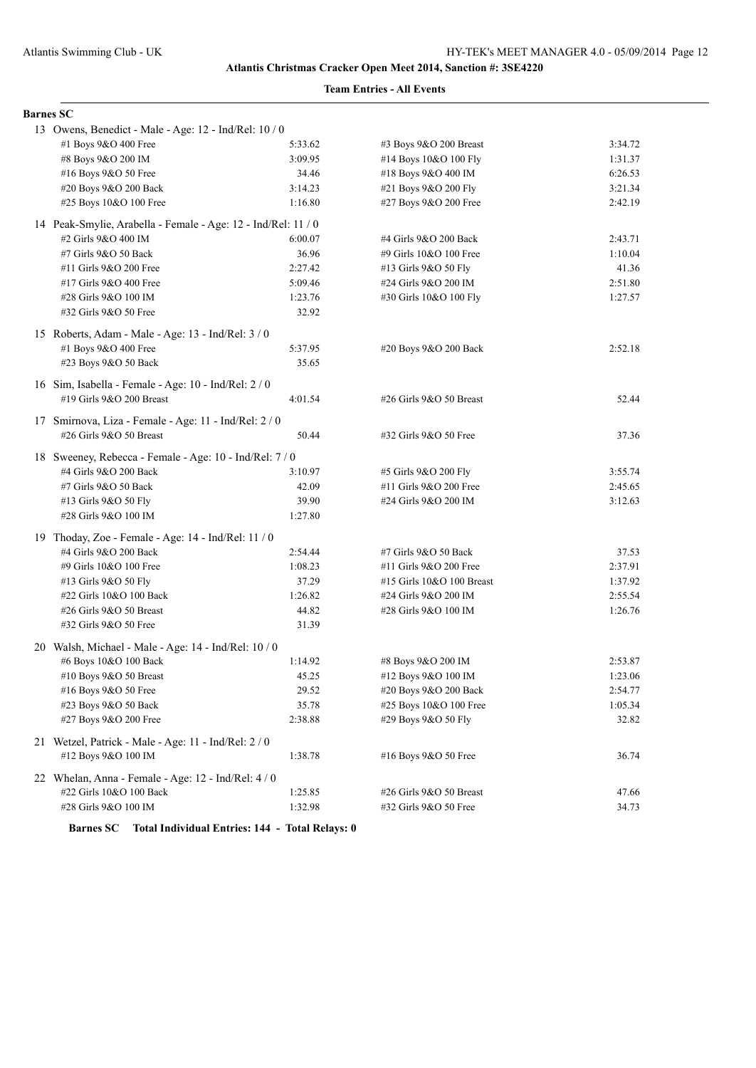## **Team Entries - All Events**

| <b>Barnes SC</b>                                                              |         |                            |         |  |
|-------------------------------------------------------------------------------|---------|----------------------------|---------|--|
|                                                                               |         |                            |         |  |
| 13 Owens, Benedict - Male - Age: 12 - Ind/Rel: 10 / 0<br>#1 Boys 9&O 400 Free | 5:33.62 | $#3$ Boys $9&O$ 200 Breast | 3:34.72 |  |
| #8 Boys 9&O 200 IM                                                            | 3:09.95 | #14 Boys 10&O 100 Fly      | 1:31.37 |  |
| #16 Boys 9&O 50 Free                                                          | 34.46   | #18 Boys 9&O 400 IM        | 6:26.53 |  |
| #20 Boys 9&O 200 Back                                                         | 3:14.23 | #21 Boys 9&O 200 Fly       | 3:21.34 |  |
| #25 Boys 10&O 100 Free                                                        | 1:16.80 | #27 Boys 9&O 200 Free      | 2:42.19 |  |
|                                                                               |         |                            |         |  |
| 14 Peak-Smylie, Arabella - Female - Age: 12 - Ind/Rel: 11 / 0                 |         |                            |         |  |
| #2 Girls 9&O 400 IM                                                           | 6:00.07 | #4 Girls 9&O 200 Back      | 2:43.71 |  |
| #7 Girls 9&O 50 Back                                                          | 36.96   | #9 Girls 10&O 100 Free     | 1:10.04 |  |
| #11 Girls 9&O 200 Free                                                        | 2:27.42 | #13 Girls 9&O 50 Fly       | 41.36   |  |
| #17 Girls 9&O 400 Free                                                        | 5:09.46 | #24 Girls 9&O 200 IM       | 2:51.80 |  |
| #28 Girls 9&O 100 IM                                                          | 1:23.76 | #30 Girls 10&O 100 Fly     | 1:27.57 |  |
| #32 Girls 9&O 50 Free                                                         | 32.92   |                            |         |  |
| 15 Roberts, Adam - Male - Age: 13 - Ind/Rel: 3 / 0                            |         |                            |         |  |
| #1 Boys 9&O 400 Free                                                          | 5:37.95 | #20 Boys 9&O 200 Back      | 2:52.18 |  |
| #23 Boys 9&O 50 Back                                                          | 35.65   |                            |         |  |
| 16 Sim, Isabella - Female - Age: 10 - Ind/Rel: 2/0                            |         |                            |         |  |
| #19 Girls 9&O 200 Breast                                                      | 4:01.54 | #26 Girls 9&O 50 Breast    | 52.44   |  |
|                                                                               |         |                            |         |  |
| 17 Smirnova, Liza - Female - Age: 11 - Ind/Rel: 2 / 0                         |         |                            |         |  |
| #26 Girls 9&O 50 Breast                                                       | 50.44   | #32 Girls 9&O 50 Free      | 37.36   |  |
| 18 Sweeney, Rebecca - Female - Age: 10 - Ind/Rel: 7 / 0                       |         |                            |         |  |
| #4 Girls 9&O 200 Back                                                         | 3:10.97 | #5 Girls 9&O 200 Fly       | 3:55.74 |  |
| #7 Girls 9&O 50 Back                                                          | 42.09   | #11 Girls 9&O 200 Free     | 2:45.65 |  |
| #13 Girls 9&O 50 Fly                                                          | 39.90   | #24 Girls 9&O 200 IM       | 3:12.63 |  |
| #28 Girls 9&O 100 IM                                                          | 1:27.80 |                            |         |  |
| 19 Thoday, Zoe - Female - Age: 14 - Ind/Rel: 11 / 0                           |         |                            |         |  |
| #4 Girls 9&O 200 Back                                                         | 2:54.44 | #7 Girls 9&O 50 Back       | 37.53   |  |
| #9 Girls 10&O 100 Free                                                        | 1:08.23 | #11 Girls 9&O 200 Free     | 2:37.91 |  |
| #13 Girls 9&O 50 Fly                                                          | 37.29   | #15 Girls 10&O 100 Breast  | 1:37.92 |  |
| #22 Girls 10&O 100 Back                                                       | 1:26.82 | #24 Girls 9&O 200 IM       | 2:55.54 |  |
| #26 Girls 9&O 50 Breast                                                       | 44.82   | #28 Girls 9&O 100 IM       | 1:26.76 |  |
| #32 Girls 9&O 50 Free                                                         | 31.39   |                            |         |  |
| 20 Walsh, Michael - Male - Age: 14 - Ind/Rel: 10 / 0                          |         |                            |         |  |
| #6 Boys 10&O 100 Back                                                         | 1:14.92 | #8 Boys 9&O 200 IM         | 2:53.87 |  |
| #10 Boys 9&O 50 Breast                                                        | 45.25   | #12 Boys 9&O 100 IM        | 1:23.06 |  |
| #16 Boys 9&O 50 Free                                                          | 29.52   | #20 Boys 9&O 200 Back      | 2:54.77 |  |
| #23 Boys 9&O 50 Back                                                          | 35.78   | #25 Boys 10&O 100 Free     | 1:05.34 |  |
| #27 Boys 9&O 200 Free                                                         | 2:38.88 | #29 Boys 9&O 50 Fly        | 32.82   |  |
| 21 Wetzel, Patrick - Male - Age: 11 - Ind/Rel: 2 / 0                          |         |                            |         |  |
| #12 Boys 9&O 100 IM                                                           | 1:38.78 | #16 Boys 9&O 50 Free       | 36.74   |  |
|                                                                               |         |                            |         |  |
| 22 Whelan, Anna - Female - Age: 12 - Ind/Rel: 4 / 0                           |         |                            |         |  |
| #22 Girls 10&O 100 Back                                                       | 1:25.85 | #26 Girls 9&O 50 Breast    | 47.66   |  |
| #28 Girls 9&O 100 IM                                                          | 1:32.98 | #32 Girls 9&O 50 Free      | 34.73   |  |

**Barnes SC Total Individual Entries: 144 - Total Relays: 0**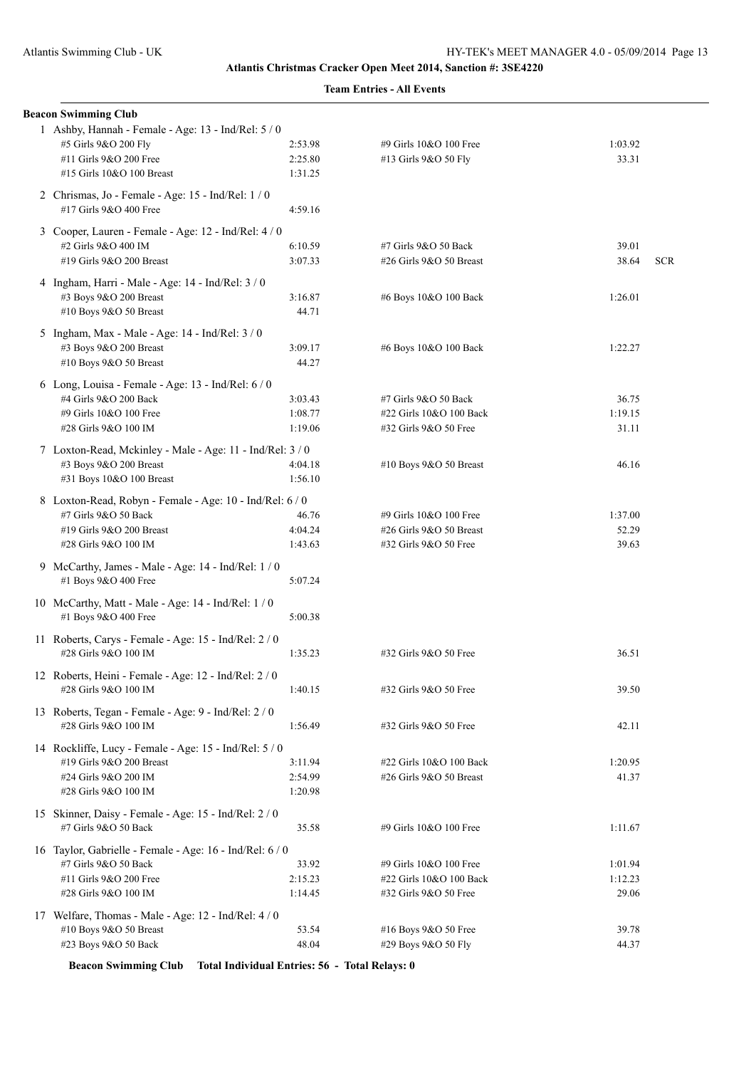| <b>Beacon Swimming Club</b>                                                  |         |                         |         |            |
|------------------------------------------------------------------------------|---------|-------------------------|---------|------------|
| 1 Ashby, Hannah - Female - Age: 13 - Ind/Rel: 5 / 0                          |         |                         |         |            |
| #5 Girls 9&O 200 Fly                                                         | 2:53.98 | #9 Girls 10&O 100 Free  | 1:03.92 |            |
| #11 Girls 9&O 200 Free                                                       | 2:25.80 | #13 Girls 9&O 50 Fly    | 33.31   |            |
| #15 Girls 10&O 100 Breast                                                    | 1:31.25 |                         |         |            |
| 2 Chrismas, Jo - Female - Age: 15 - Ind/Rel: 1/0                             |         |                         |         |            |
| #17 Girls 9&O 400 Free                                                       | 4:59.16 |                         |         |            |
| 3 Cooper, Lauren - Female - Age: 12 - Ind/Rel: 4 / 0                         |         |                         |         |            |
| #2 Girls 9&O 400 IM                                                          | 6:10.59 | #7 Girls 9&O 50 Back    | 39.01   |            |
| #19 Girls 9&O 200 Breast                                                     | 3:07.33 | #26 Girls 9&O 50 Breast | 38.64   | <b>SCR</b> |
| 4 Ingham, Harri - Male - Age: 14 - Ind/Rel: 3 / 0                            |         |                         |         |            |
| #3 Boys 9&O 200 Breast                                                       | 3:16.87 | #6 Boys 10&O 100 Back   | 1:26.01 |            |
| #10 Boys 9&O 50 Breast                                                       | 44.71   |                         |         |            |
|                                                                              |         |                         |         |            |
| 5 Ingham, Max - Male - Age: 14 - Ind/Rel: 3 / 0                              |         |                         |         |            |
| #3 Boys 9&O 200 Breast                                                       | 3:09.17 | #6 Boys 10&O 100 Back   | 1:22.27 |            |
| #10 Boys 9&O 50 Breast                                                       | 44.27   |                         |         |            |
| 6 Long, Louisa - Female - Age: 13 - Ind/Rel: 6 / 0                           |         |                         |         |            |
| #4 Girls 9&O 200 Back                                                        | 3:03.43 | #7 Girls 9&O 50 Back    | 36.75   |            |
| #9 Girls 10&O 100 Free                                                       | 1:08.77 | #22 Girls 10&O 100 Back | 1:19.15 |            |
| #28 Girls 9&O 100 IM                                                         | 1:19.06 | #32 Girls 9&O 50 Free   | 31.11   |            |
| 7 Loxton-Read, Mckinley - Male - Age: 11 - Ind/Rel: 3 / 0                    |         |                         |         |            |
| #3 Boys 9&O 200 Breast                                                       | 4:04.18 | #10 Boys 9&O 50 Breast  | 46.16   |            |
| #31 Boys 10&O 100 Breast                                                     | 1:56.10 |                         |         |            |
| 8 Loxton-Read, Robyn - Female - Age: 10 - Ind/Rel: 6 / 0                     |         |                         |         |            |
| #7 Girls 9&O 50 Back                                                         | 46.76   | #9 Girls 10&O 100 Free  | 1:37.00 |            |
| #19 Girls 9&O 200 Breast                                                     | 4:04.24 | #26 Girls 9&O 50 Breast | 52.29   |            |
| #28 Girls 9&O 100 IM                                                         | 1:43.63 | #32 Girls 9&O 50 Free   | 39.63   |            |
| 9 McCarthy, James - Male - Age: 14 - Ind/Rel: 1 / 0                          |         |                         |         |            |
| #1 Boys 9&O 400 Free                                                         | 5:07.24 |                         |         |            |
|                                                                              |         |                         |         |            |
| 10 McCarthy, Matt - Male - Age: 14 - Ind/Rel: 1 / 0                          |         |                         |         |            |
| #1 Boys 9&O 400 Free                                                         | 5:00.38 |                         |         |            |
| 11 Roberts, Carys - Female - Age: 15 - Ind/Rel: 2 / 0                        |         |                         |         |            |
| #28 Girls 9&O 100 IM                                                         | 1:35.23 | #32 Girls 9&O 50 Free   | 36.51   |            |
| 12 Roberts, Heini - Female - Age: 12 - Ind/Rel: 2 / 0                        |         |                         |         |            |
| #28 Girls 9&O 100 IM                                                         | 1:40.15 | #32 Girls 9&O 50 Free   | 39.50   |            |
|                                                                              |         |                         |         |            |
| 13 Roberts, Tegan - Female - Age: 9 - Ind/Rel: 2 / 0<br>#28 Girls 9&O 100 IM | 1:56.49 | #32 Girls 9&O 50 Free   | 42.11   |            |
|                                                                              |         |                         |         |            |
| 14 Rockliffe, Lucy - Female - Age: 15 - Ind/Rel: 5 / 0                       |         |                         |         |            |
| #19 Girls 9&O 200 Breast                                                     | 3:11.94 | #22 Girls 10&O 100 Back | 1:20.95 |            |
| #24 Girls 9&O 200 IM                                                         | 2:54.99 | #26 Girls 9&O 50 Breast | 41.37   |            |
| #28 Girls 9&O 100 IM                                                         | 1:20.98 |                         |         |            |
| 15 Skinner, Daisy - Female - Age: 15 - Ind/Rel: 2 / 0                        |         |                         |         |            |
| #7 Girls 9&O 50 Back                                                         | 35.58   | #9 Girls 10&O 100 Free  | 1:11.67 |            |
| 16 Taylor, Gabrielle - Female - Age: 16 - Ind/Rel: 6/0                       |         |                         |         |            |
| #7 Girls 9&O 50 Back                                                         | 33.92   | #9 Girls 10&O 100 Free  | 1:01.94 |            |
| #11 Girls 9&O 200 Free                                                       | 2:15.23 | #22 Girls 10&O 100 Back | 1:12.23 |            |
| #28 Girls 9&O 100 IM                                                         | 1:14.45 | #32 Girls 9&O 50 Free   | 29.06   |            |
|                                                                              |         |                         |         |            |
| 17 Welfare, Thomas - Male - Age: 12 - Ind/Rel: 4 / 0                         |         |                         |         |            |
| #10 Boys 9&O 50 Breast                                                       | 53.54   | #16 Boys 9&O 50 Free    | 39.78   |            |
| #23 Boys 9&O 50 Back                                                         | 48.04   | #29 Boys 9&O 50 Fly     | 44.37   |            |

**Beacon Swimming Club Total Individual Entries: 56 - Total Relays: 0**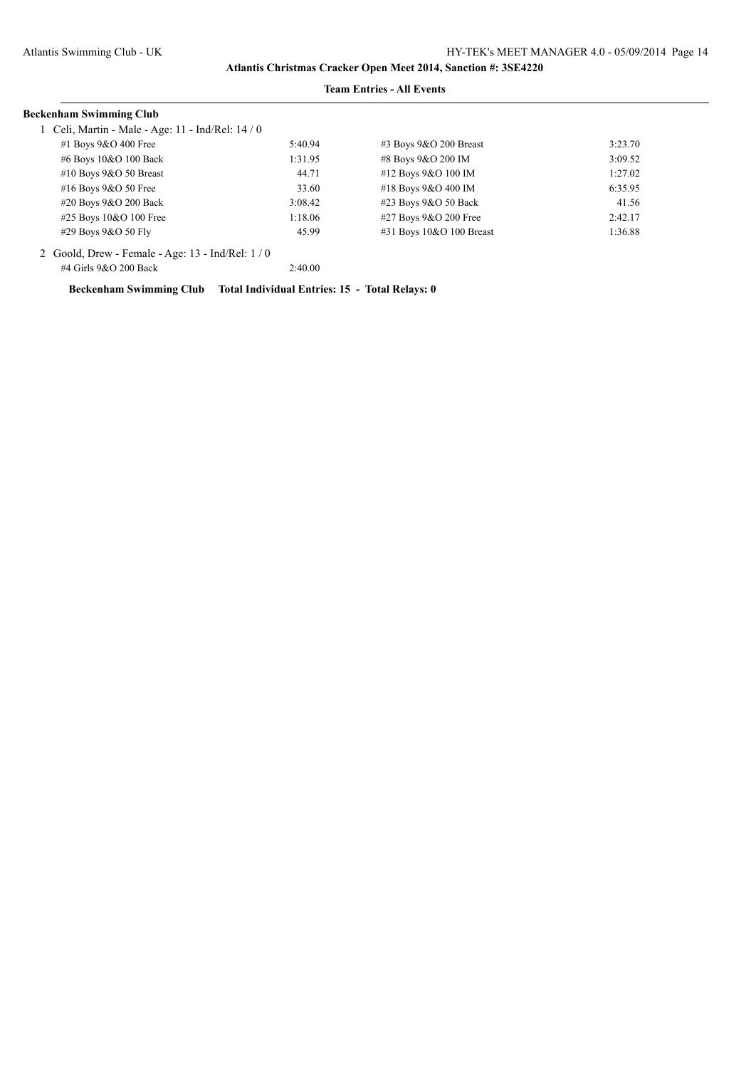#### **Team Entries - All Events**

| Beckenham Swimming Club                             |         |                           |         |
|-----------------------------------------------------|---------|---------------------------|---------|
| Celi, Martin - Male - Age: 11 - Ind/Rel: 14 / 0     |         |                           |         |
| #1 Boys $9&O$ 400 Free                              | 5:40.94 | $\#3$ Boys 9&O 200 Breast | 3:23.70 |
| #6 Boys 10&O 100 Back                               | 1:31.95 | #8 Boys 9&O 200 IM        | 3:09.52 |
| #10 Boys $9&O$ 50 Breast                            | 44.71   | #12 Boys 9&O 100 IM       | 1:27.02 |
| #16 Boys $9&O$ 50 Free                              | 33.60   | #18 Boys 9&O 400 IM       | 6:35.95 |
| #20 Boys 9&O 200 Back                               | 3:08.42 | #23 Boys 9&O 50 Back      | 41.56   |
| #25 Boys 10&O 100 Free                              | 1:18.06 | #27 Boys 9&O 200 Free     | 2:42.17 |
| #29 Boys 9&O 50 Fly                                 | 45.99   | #31 Boys 10&O 100 Breast  | 1:36.88 |
| 2 Goold, Drew - Female - Age: $13$ - Ind/Rel: $1/0$ |         |                           |         |
| #4 Girls 9&O 200 Back                               | 2:40.00 |                           |         |

**Beckenham Swimming Club Total Individual Entries: 15 - Total Relays: 0**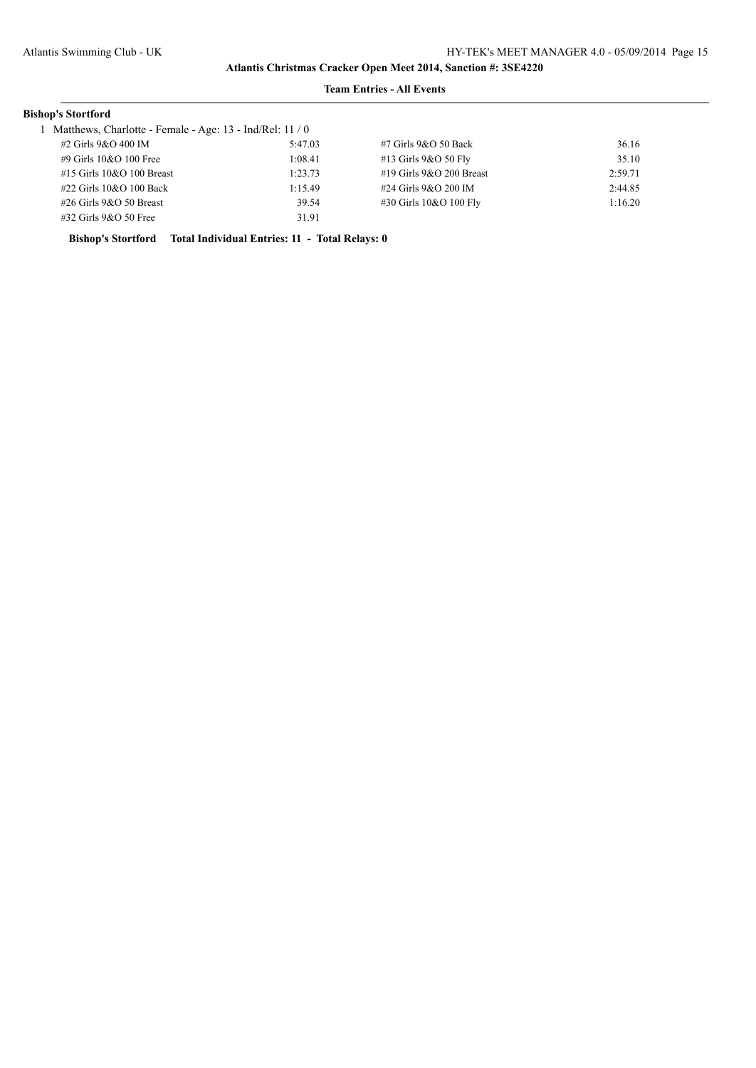#### **Team Entries - All Events**

## **Bishop's Stortford**

1 Matthews, Charlotte - Female - Age: 13 - Ind/Rel: 11 / 0

| #2 Girls 9&O 400 IM         | 5:47.03 | #7 Girls 9&O 50 Back       | 36.16   |
|-----------------------------|---------|----------------------------|---------|
| #9 Girls 10&O 100 Free      | 1:08.41 | $#13$ Girls $9&O$ 50 Fly   | 35.10   |
| $#15$ Girls 10&O 100 Breast | 1:23.73 | #19 Girls $9&O$ 200 Breast | 2:59.71 |
| $\#22$ Girls 10&O 100 Back  | 1:15.49 | #24 Girls 9&O 200 IM       | 2:44.85 |
| $\#26$ Girls 9&O 50 Breast  | 39.54   | #30 Girls 10&O 100 Fly     | 1:16.20 |
| $\#32$ Girls 9&O 50 Free    | 31.91   |                            |         |

**Bishop's Stortford Total Individual Entries: 11 - Total Relays: 0**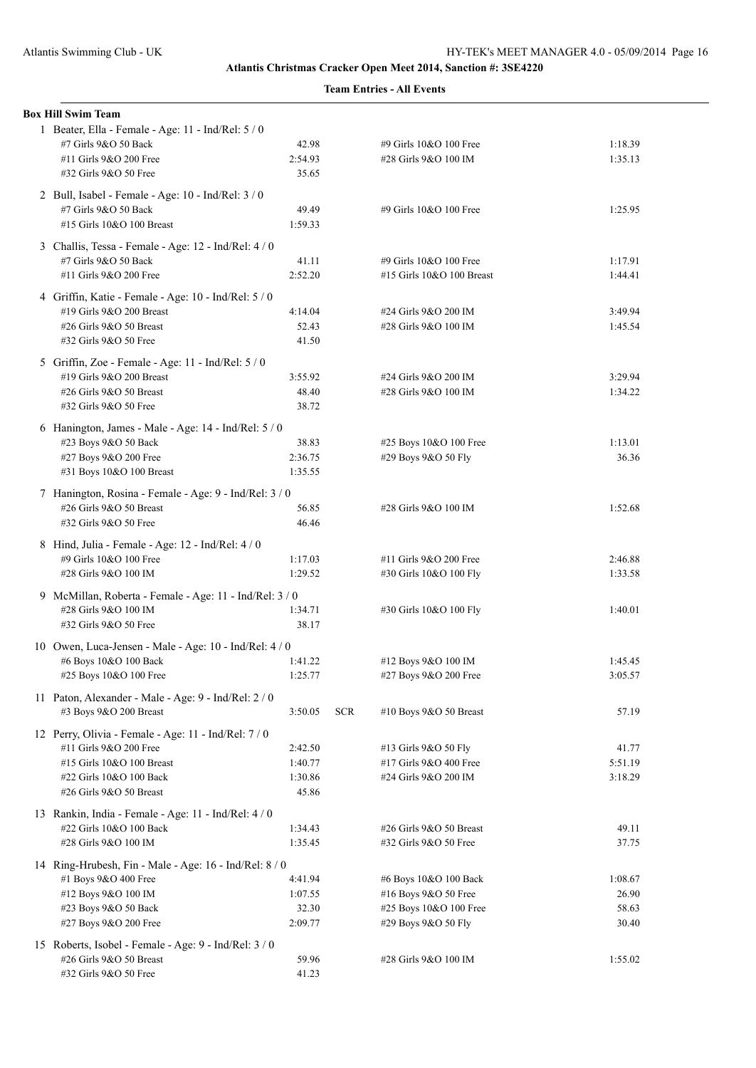| <b>Team Entries - All Events</b> |  |  |
|----------------------------------|--|--|
|----------------------------------|--|--|

| <b>Box Hill Swim Team</b>                               |         |            |                           |         |
|---------------------------------------------------------|---------|------------|---------------------------|---------|
| 1 Beater, Ella - Female - Age: 11 - Ind/Rel: 5 / 0      |         |            |                           |         |
| #7 Girls 9&O 50 Back                                    | 42.98   |            | #9 Girls 10&O 100 Free    | 1:18.39 |
| #11 Girls 9&O 200 Free                                  | 2:54.93 |            | #28 Girls 9&O 100 IM      | 1:35.13 |
| #32 Girls 9&O 50 Free                                   | 35.65   |            |                           |         |
| 2 Bull, Isabel - Female - Age: 10 - Ind/Rel: 3 / 0      |         |            |                           |         |
| #7 Girls 9&O 50 Back                                    | 49.49   |            | #9 Girls 10&O 100 Free    | 1:25.95 |
| #15 Girls 10&O 100 Breast                               | 1:59.33 |            |                           |         |
|                                                         |         |            |                           |         |
| 3 Challis, Tessa - Female - Age: 12 - Ind/Rel: 4 / 0    |         |            |                           |         |
| #7 Girls 9&O 50 Back                                    | 41.11   |            | #9 Girls 10&O 100 Free    | 1:17.91 |
| #11 Girls 9&O 200 Free                                  | 2:52.20 |            | #15 Girls 10&O 100 Breast | 1:44.41 |
| 4 Griffin, Katie - Female - Age: 10 - Ind/Rel: 5 / 0    |         |            |                           |         |
| #19 Girls 9&O 200 Breast                                | 4:14.04 |            | #24 Girls 9&O 200 IM      | 3:49.94 |
| #26 Girls 9&O 50 Breast                                 | 52.43   |            | #28 Girls 9&O 100 IM      | 1:45.54 |
| #32 Girls 9&O 50 Free                                   | 41.50   |            |                           |         |
| 5 Griffin, Zoe - Female - Age: 11 - Ind/Rel: 5 / 0      |         |            |                           |         |
| #19 Girls 9&O 200 Breast                                | 3:55.92 |            | #24 Girls 9&O 200 IM      | 3:29.94 |
| #26 Girls 9&O 50 Breast                                 | 48.40   |            | #28 Girls 9&O 100 IM      | 1:34.22 |
| #32 Girls 9&O 50 Free                                   | 38.72   |            |                           |         |
|                                                         |         |            |                           |         |
| 6 Hanington, James - Male - Age: 14 - Ind/Rel: 5 / 0    |         |            |                           |         |
| #23 Boys 9&O 50 Back                                    | 38.83   |            | #25 Boys 10&O 100 Free    | 1:13.01 |
| #27 Boys 9&O 200 Free<br>#31 Boys 10&O 100 Breast       | 2:36.75 |            | #29 Boys 9&O 50 Fly       | 36.36   |
|                                                         | 1:35.55 |            |                           |         |
| 7 Hanington, Rosina - Female - Age: 9 - Ind/Rel: 3 / 0  |         |            |                           |         |
| #26 Girls 9&O 50 Breast                                 | 56.85   |            | #28 Girls 9&O 100 IM      | 1:52.68 |
| #32 Girls 9&O 50 Free                                   | 46.46   |            |                           |         |
| 8 Hind, Julia - Female - Age: 12 - Ind/Rel: 4 / 0       |         |            |                           |         |
| #9 Girls 10&O 100 Free                                  | 1:17.03 |            | #11 Girls 9&O 200 Free    | 2:46.88 |
| #28 Girls 9&O 100 IM                                    | 1:29.52 |            | #30 Girls 10&O 100 Fly    | 1:33.58 |
| 9 McMillan, Roberta - Female - Age: 11 - Ind/Rel: 3 / 0 |         |            |                           |         |
| #28 Girls 9&O 100 IM                                    | 1:34.71 |            | #30 Girls 10&O 100 Fly    | 1:40.01 |
| #32 Girls 9&O 50 Free                                   | 38.17   |            |                           |         |
|                                                         |         |            |                           |         |
| 10 Owen, Luca-Jensen - Male - Age: 10 - Ind/Rel: 4/0    |         |            |                           |         |
| #6 Boys 10&O 100 Back                                   | 1:41.22 |            | #12 Boys 9&O 100 IM       | 1:45.45 |
| #25 Boys 10&O 100 Free                                  | 1:25.77 |            | #27 Boys 9&O 200 Free     | 3:05.57 |
| 11 Paton, Alexander - Male - Age: 9 - Ind/Rel: 2 / 0    |         |            |                           |         |
| #3 Boys 9&O 200 Breast                                  | 3:50.05 | <b>SCR</b> | #10 Boys 9&O 50 Breast    | 57.19   |
| 12 Perry, Olivia - Female - Age: 11 - Ind/Rel: 7 / 0    |         |            |                           |         |
| #11 Girls 9&O 200 Free                                  | 2:42.50 |            | #13 Girls 9&O 50 Fly      | 41.77   |
| #15 Girls 10&O 100 Breast                               | 1:40.77 |            | #17 Girls 9&O 400 Free    | 5:51.19 |
| #22 Girls 10&O 100 Back                                 | 1:30.86 |            | #24 Girls 9&O 200 IM      | 3:18.29 |
| #26 Girls 9&O 50 Breast                                 | 45.86   |            |                           |         |
|                                                         |         |            |                           |         |
| 13 Rankin, India - Female - Age: 11 - Ind/Rel: 4 / 0    |         |            |                           |         |
| #22 Girls 10&O 100 Back                                 | 1:34.43 |            | #26 Girls 9&O 50 Breast   | 49.11   |
| #28 Girls 9&O 100 IM                                    | 1:35.45 |            | #32 Girls 9&O 50 Free     | 37.75   |
| 14 Ring-Hrubesh, Fin - Male - Age: 16 - Ind/Rel: 8 / 0  |         |            |                           |         |
| #1 Boys 9&O 400 Free                                    | 4:41.94 |            | #6 Boys 10&O 100 Back     | 1:08.67 |
| #12 Boys 9&O 100 IM                                     | 1:07.55 |            | #16 Boys 9&O 50 Free      | 26.90   |
| #23 Boys 9&O 50 Back                                    | 32.30   |            | #25 Boys 10&O 100 Free    | 58.63   |
| #27 Boys 9&O 200 Free                                   | 2:09.77 |            | #29 Boys 9&O 50 Fly       | 30.40   |
| 15 Roberts, Isobel - Female - Age: 9 - Ind/Rel: 3 / 0   |         |            |                           |         |
| #26 Girls 9&O 50 Breast                                 | 59.96   |            | #28 Girls 9&O 100 IM      | 1:55.02 |
| #32 Girls 9&O 50 Free                                   | 41.23   |            |                           |         |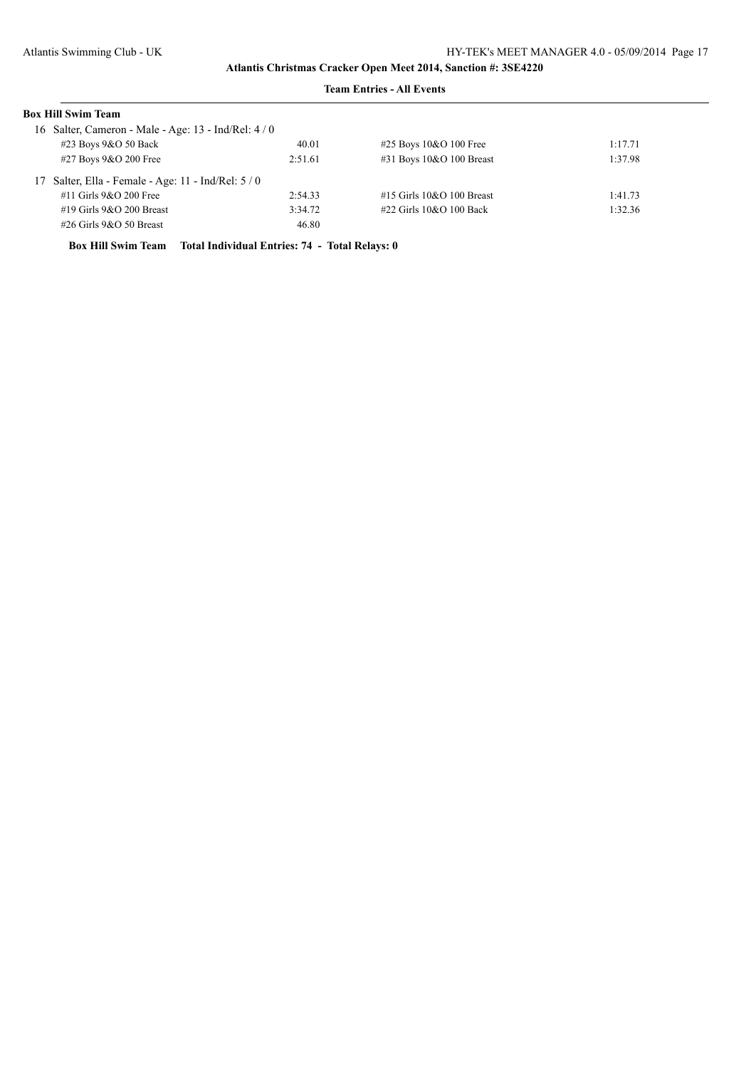#### **Team Entries - All Events**

| <b>Box Hill Swim Team</b>                            |         |                               |         |
|------------------------------------------------------|---------|-------------------------------|---------|
| 16 Salter, Cameron - Male - Age: 13 - Ind/Rel: 4 / 0 |         |                               |         |
| #23 Boys 9&O 50 Back                                 | 40.01   | $\#25$ Boys 10&O 100 Free     | 1:17.71 |
| #27 Boys 9&O 200 Free                                | 2:51.61 | #31 Boys 10&O 100 Breast      | 1:37.98 |
| 17 Salter, Ella - Female - Age: 11 - Ind/Rel: 5 / 0  |         |                               |         |
| $#11$ Girls $9&O$ 200 Free                           | 2:54.33 | $#15$ Girls $10&O$ 100 Breast | 1:41.73 |
| $#19$ Girls $9&O$ 200 Breast                         | 3:34.72 | $\#22$ Girls 10&O 100 Back    | 1:32.36 |
| $\#26$ Girls 9&O 50 Breast                           | 46.80   |                               |         |

**Box Hill Swim Team Total Individual Entries: 74 - Total Relays: 0**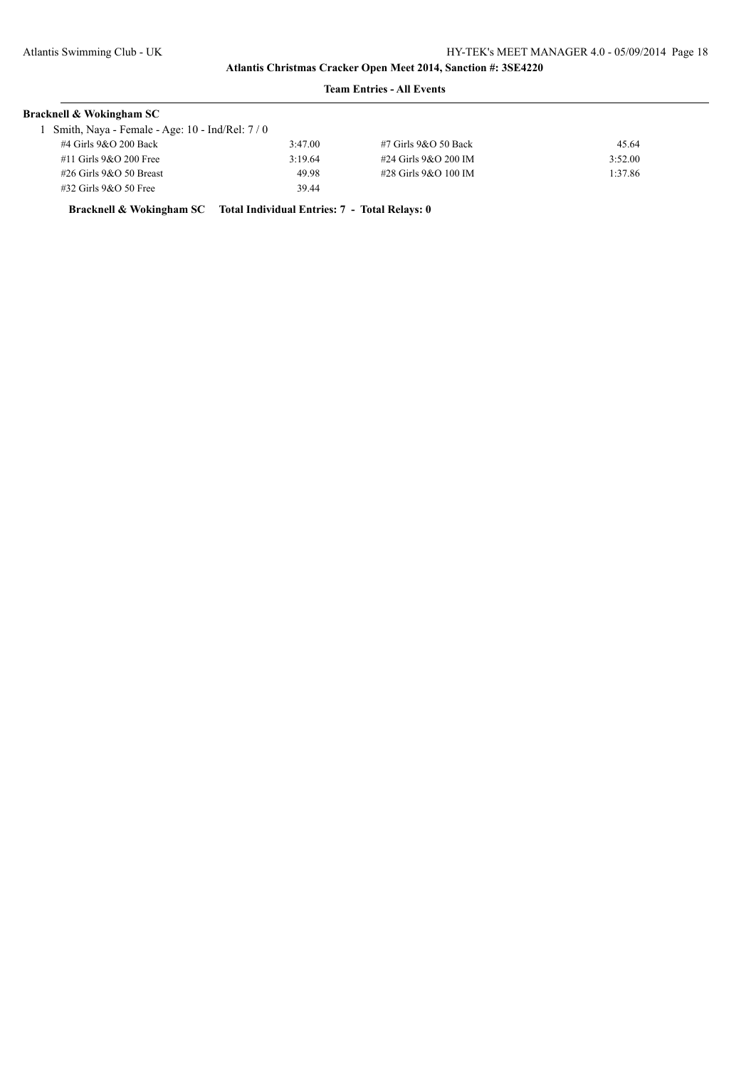## **Team Entries - All Events**

| <b>Bracknell &amp; Wokingham SC</b>             |         |                          |         |
|-------------------------------------------------|---------|--------------------------|---------|
| Smith, Naya - Female - Age: 10 - Ind/Rel: $7/0$ |         |                          |         |
| #4 Girls 9&O 200 Back                           | 3:47.00 | $#7$ Girls $9&O$ 50 Back | 45.64   |
| $#11$ Girls 9&O 200 Free                        | 3:19.64 | #24 Girls 9&O 200 IM     | 3:52.00 |
| $\#26$ Girls 9&O 50 Breast                      | 49.98   | #28 Girls 9&O 100 IM     | 1:37.86 |
| $\#32$ Girls 9&O 50 Free                        | 39.44   |                          |         |

**Bracknell & Wokingham SC Total Individual Entries: 7 - Total Relays: 0**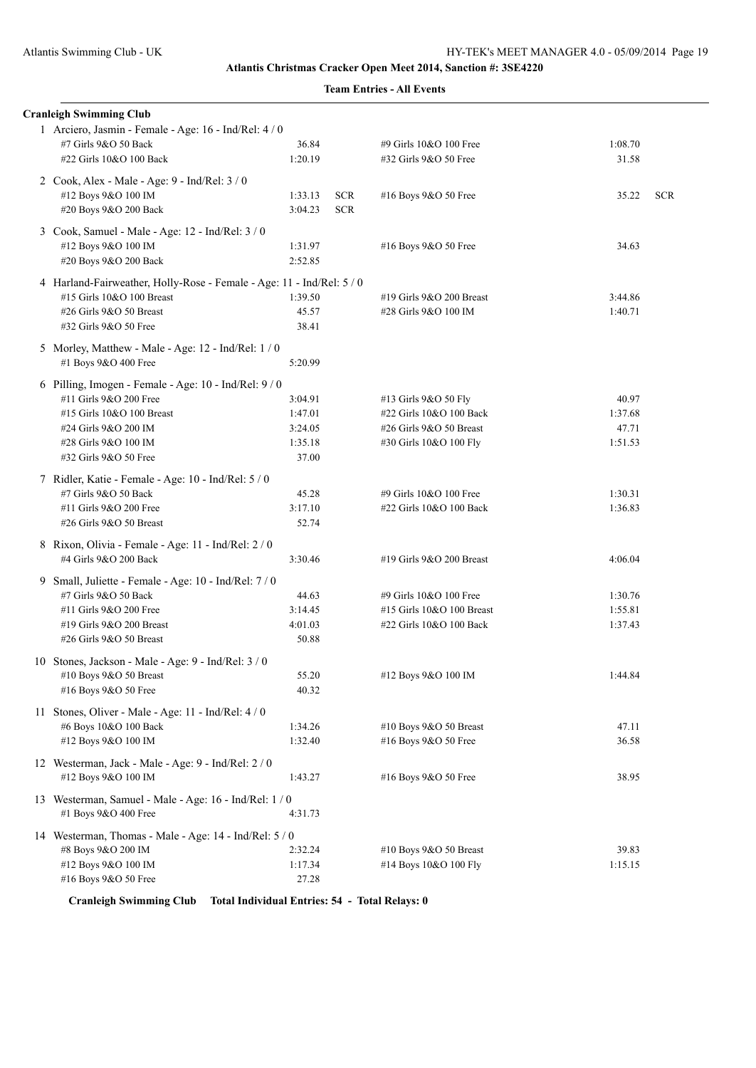|    | <b>Cranleigh Swimming Club</b>                                        |         |            |                           |         |            |
|----|-----------------------------------------------------------------------|---------|------------|---------------------------|---------|------------|
|    | 1 Arciero, Jasmin - Female - Age: 16 - Ind/Rel: 4 / 0                 |         |            |                           |         |            |
|    | #7 Girls 9&O 50 Back                                                  | 36.84   |            | #9 Girls 10&O 100 Free    | 1:08.70 |            |
|    | #22 Girls 10&O 100 Back                                               | 1:20.19 |            | #32 Girls 9&O 50 Free     | 31.58   |            |
|    | 2 Cook, Alex - Male - Age: 9 - Ind/Rel: 3 / 0                         |         |            |                           |         |            |
|    | #12 Boys 9&O 100 IM                                                   | 1:33.13 | <b>SCR</b> | #16 Boys 9&O 50 Free      | 35.22   | <b>SCR</b> |
|    | #20 Boys 9&O 200 Back                                                 | 3:04.23 | <b>SCR</b> |                           |         |            |
|    |                                                                       |         |            |                           |         |            |
|    | 3 Cook, Samuel - Male - Age: 12 - Ind/Rel: 3 / 0                      |         |            |                           |         |            |
|    | #12 Boys 9&O 100 IM                                                   | 1:31.97 |            | #16 Boys 9&O 50 Free      | 34.63   |            |
|    | #20 Boys 9&O 200 Back                                                 | 2:52.85 |            |                           |         |            |
|    | 4 Harland-Fairweather, Holly-Rose - Female - Age: 11 - Ind/Rel: 5 / 0 |         |            |                           |         |            |
|    | #15 Girls 10&O 100 Breast                                             | 1:39.50 |            | #19 Girls 9&O 200 Breast  | 3:44.86 |            |
|    | #26 Girls 9&O 50 Breast                                               | 45.57   |            | #28 Girls 9&O 100 IM      | 1:40.71 |            |
|    | #32 Girls 9&O 50 Free                                                 | 38.41   |            |                           |         |            |
|    | 5 Morley, Matthew - Male - Age: 12 - Ind/Rel: 1 / 0                   |         |            |                           |         |            |
|    | #1 Boys 9&O 400 Free                                                  | 5:20.99 |            |                           |         |            |
|    | 6 Pilling, Imogen - Female - Age: 10 - Ind/Rel: 9 / 0                 |         |            |                           |         |            |
|    | #11 Girls 9&O 200 Free                                                | 3:04.91 |            | #13 Girls 9&O 50 Fly      | 40.97   |            |
|    | #15 Girls 10&O 100 Breast                                             | 1:47.01 |            | #22 Girls 10&O 100 Back   | 1:37.68 |            |
|    | #24 Girls 9&O 200 IM                                                  | 3:24.05 |            | #26 Girls 9&O 50 Breast   | 47.71   |            |
|    |                                                                       |         |            |                           |         |            |
|    | #28 Girls 9&O 100 IM                                                  | 1:35.18 |            | #30 Girls 10&O 100 Fly    | 1:51.53 |            |
|    | #32 Girls 9&O 50 Free                                                 | 37.00   |            |                           |         |            |
|    | 7 Ridler, Katie - Female - Age: 10 - Ind/Rel: 5 / 0                   |         |            |                           |         |            |
|    | #7 Girls 9&O 50 Back                                                  | 45.28   |            | #9 Girls 10&O 100 Free    | 1:30.31 |            |
|    | #11 Girls 9&O 200 Free                                                | 3:17.10 |            | #22 Girls 10&O 100 Back   | 1:36.83 |            |
|    | #26 Girls 9&O 50 Breast                                               | 52.74   |            |                           |         |            |
|    | 8 Rixon, Olivia - Female - Age: 11 - Ind/Rel: 2 / 0                   |         |            |                           |         |            |
|    | #4 Girls 9&O 200 Back                                                 | 3:30.46 |            | #19 Girls 9&O 200 Breast  | 4:06.04 |            |
|    |                                                                       |         |            |                           |         |            |
| 9. | Small, Juliette - Female - Age: 10 - Ind/Rel: 7 / 0                   |         |            |                           |         |            |
|    | #7 Girls 9&O 50 Back                                                  | 44.63   |            | #9 Girls 10&O 100 Free    | 1:30.76 |            |
|    | #11 Girls 9&O 200 Free                                                | 3:14.45 |            | #15 Girls 10&O 100 Breast | 1:55.81 |            |
|    | #19 Girls 9&O 200 Breast                                              | 4:01.03 |            | #22 Girls 10&O 100 Back   | 1:37.43 |            |
|    | #26 Girls 9&O 50 Breast                                               | 50.88   |            |                           |         |            |
|    | 10 Stones, Jackson - Male - Age: 9 - Ind/Rel: 3 / 0                   |         |            |                           |         |            |
|    | #10 Boys 9&O 50 Breast                                                | 55.20   |            | #12 Boys 9&O 100 IM       | 1:44.84 |            |
|    | #16 Boys 9&O 50 Free                                                  | 40.32   |            |                           |         |            |
|    | 11 Stones, Oliver - Male - Age: 11 - Ind/Rel: 4 / 0                   |         |            |                           |         |            |
|    | #6 Boys 10&O 100 Back                                                 | 1:34.26 |            | #10 Boys 9&O 50 Breast    | 47.11   |            |
|    | #12 Boys 9&O 100 IM                                                   | 1:32.40 |            | #16 Boys 9&O 50 Free      | 36.58   |            |
|    |                                                                       |         |            |                           |         |            |
|    | 12 Westerman, Jack - Male - Age: 9 - Ind/Rel: 2 / 0                   |         |            |                           |         |            |
|    | #12 Boys 9&O 100 IM                                                   | 1:43.27 |            | #16 Boys 9&O 50 Free      | 38.95   |            |
|    | 13 Westerman, Samuel - Male - Age: 16 - Ind/Rel: 1/0                  |         |            |                           |         |            |
|    | #1 Boys 9&O 400 Free                                                  | 4:31.73 |            |                           |         |            |
|    | 14 Westerman, Thomas - Male - Age: 14 - Ind/Rel: 5 / 0                |         |            |                           |         |            |
|    | #8 Boys 9&O 200 IM                                                    | 2:32.24 |            | #10 Boys 9&O 50 Breast    | 39.83   |            |
|    | #12 Boys 9&O 100 IM                                                   | 1:17.34 |            | #14 Boys 10&O 100 Fly     | 1:15.15 |            |
|    | #16 Boys 9&O 50 Free                                                  | 27.28   |            |                           |         |            |
|    |                                                                       |         |            |                           |         |            |

**Cranleigh Swimming Club Total Individual Entries: 54 - Total Relays: 0**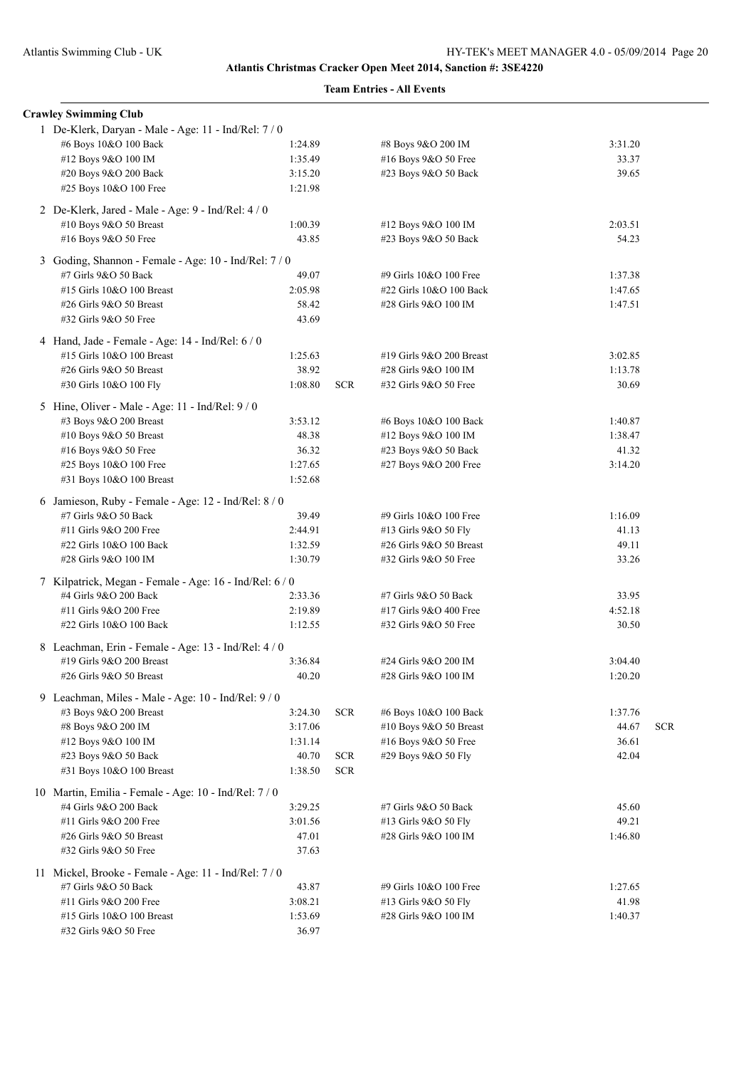|  | <b>Crawley Swimming Club</b>                            |                    |            |                          |                |            |
|--|---------------------------------------------------------|--------------------|------------|--------------------------|----------------|------------|
|  | 1 De-Klerk, Daryan - Male - Age: 11 - Ind/Rel: 7 / 0    |                    |            |                          |                |            |
|  | #6 Boys 10&O 100 Back                                   | 1:24.89            |            | #8 Boys 9&O 200 IM       | 3:31.20        |            |
|  | #12 Boys 9&O 100 IM                                     | 1:35.49            |            | #16 Boys 9&O 50 Free     | 33.37          |            |
|  | #20 Boys 9&O 200 Back                                   | 3:15.20            |            | #23 Boys 9&O 50 Back     | 39.65          |            |
|  | #25 Boys 10&O 100 Free                                  | 1:21.98            |            |                          |                |            |
|  | 2 De-Klerk, Jared - Male - Age: 9 - Ind/Rel: 4 / 0      |                    |            |                          |                |            |
|  | #10 Boys 9&O 50 Breast                                  | 1:00.39            |            | #12 Boys 9&O 100 IM      | 2:03.51        |            |
|  | #16 Boys 9&O 50 Free                                    | 43.85              |            | #23 Boys 9&O 50 Back     | 54.23          |            |
|  |                                                         |                    |            |                          |                |            |
|  | 3 Goding, Shannon - Female - Age: 10 - Ind/Rel: 7 / 0   |                    |            |                          |                |            |
|  | #7 Girls 9&O 50 Back                                    | 49.07              |            | #9 Girls 10&O 100 Free   | 1:37.38        |            |
|  | #15 Girls 10&O 100 Breast                               | 2:05.98            |            | #22 Girls 10&O 100 Back  | 1:47.65        |            |
|  | #26 Girls 9&O 50 Breast                                 | 58.42              |            | #28 Girls 9&O 100 IM     | 1:47.51        |            |
|  | #32 Girls 9&O 50 Free                                   | 43.69              |            |                          |                |            |
|  | 4 Hand, Jade - Female - Age: 14 - Ind/Rel: 6 / 0        |                    |            |                          |                |            |
|  | #15 Girls 10&O 100 Breast                               | 1:25.63            |            | #19 Girls 9&O 200 Breast | 3:02.85        |            |
|  | #26 Girls 9&O 50 Breast                                 | 38.92              |            | #28 Girls 9&O 100 IM     | 1:13.78        |            |
|  | #30 Girls 10&O 100 Fly                                  | 1:08.80            | <b>SCR</b> | #32 Girls 9&O 50 Free    | 30.69          |            |
|  | 5 Hine, Oliver - Male - Age: 11 - Ind/Rel: 9 / 0        |                    |            |                          |                |            |
|  | #3 Boys 9&O 200 Breast                                  | 3:53.12            |            | #6 Boys 10&O 100 Back    | 1:40.87        |            |
|  | #10 Boys 9&O 50 Breast                                  | 48.38              |            | #12 Boys 9&O 100 IM      | 1:38.47        |            |
|  | #16 Boys 9&O 50 Free                                    | 36.32              |            | #23 Boys 9&O 50 Back     | 41.32          |            |
|  | #25 Boys 10&O 100 Free                                  | 1:27.65            |            | #27 Boys 9&O 200 Free    | 3:14.20        |            |
|  | #31 Boys 10&O 100 Breast                                | 1:52.68            |            |                          |                |            |
|  |                                                         |                    |            |                          |                |            |
|  | 6 Jamieson, Ruby - Female - Age: 12 - Ind/Rel: 8 / 0    |                    |            |                          |                |            |
|  | #7 Girls 9&O 50 Back                                    | 39.49              |            | #9 Girls 10&O 100 Free   | 1:16.09        |            |
|  | #11 Girls 9&O 200 Free                                  | 2:44.91            |            | #13 Girls 9&O 50 Fly     | 41.13          |            |
|  | #22 Girls 10&O 100 Back                                 | 1:32.59<br>1:30.79 |            | #26 Girls 9&O 50 Breast  | 49.11<br>33.26 |            |
|  | #28 Girls 9&O 100 IM                                    |                    |            | #32 Girls 9&O 50 Free    |                |            |
|  | 7 Kilpatrick, Megan - Female - Age: 16 - Ind/Rel: 6 / 0 |                    |            |                          |                |            |
|  | #4 Girls 9&O 200 Back                                   | 2:33.36            |            | #7 Girls 9&O 50 Back     | 33.95          |            |
|  | #11 Girls 9&O 200 Free                                  | 2:19.89            |            | #17 Girls 9&O 400 Free   | 4:52.18        |            |
|  | #22 Girls 10&O 100 Back                                 | 1:12.55            |            | #32 Girls 9&O 50 Free    | 30.50          |            |
|  | 8 Leachman, Erin - Female - Age: 13 - Ind/Rel: 4 / 0    |                    |            |                          |                |            |
|  | #19 Girls 9&O 200 Breast                                | 3:36.84            |            | #24 Girls 9&O 200 IM     | 3:04.40        |            |
|  | #26 Girls 9&O 50 Breast                                 | 40.20              |            | #28 Girls 9&O 100 IM     | 1:20.20        |            |
|  | 9 Leachman, Miles - Male - Age: 10 - Ind/Rel: 9 / 0     |                    |            |                          |                |            |
|  | #3 Boys 9&O 200 Breast                                  | 3:24.30            | <b>SCR</b> | #6 Boys 10&O 100 Back    | 1:37.76        |            |
|  | #8 Boys 9&O 200 IM                                      | 3:17.06            |            | #10 Boys 9&O 50 Breast   | 44.67          | <b>SCR</b> |
|  | #12 Boys 9&O 100 IM                                     | 1:31.14            |            | #16 Boys 9&O 50 Free     | 36.61          |            |
|  | #23 Boys 9&O 50 Back                                    | 40.70              | <b>SCR</b> | #29 Boys 9&O 50 Fly      | 42.04          |            |
|  | #31 Boys 10&O 100 Breast                                | 1:38.50            | <b>SCR</b> |                          |                |            |
|  |                                                         |                    |            |                          |                |            |
|  | 10 Martin, Emilia - Female - Age: 10 - Ind/Rel: 7 / 0   |                    |            |                          |                |            |
|  | #4 Girls 9&O 200 Back                                   | 3:29.25            |            | #7 Girls 9&O 50 Back     | 45.60          |            |
|  | #11 Girls 9&O 200 Free                                  | 3:01.56            |            | #13 Girls 9&O 50 Fly     | 49.21          |            |
|  | #26 Girls 9&O 50 Breast                                 | 47.01              |            | #28 Girls 9&O 100 IM     | 1:46.80        |            |
|  | #32 Girls 9&O 50 Free                                   | 37.63              |            |                          |                |            |
|  | 11 Mickel, Brooke - Female - Age: 11 - Ind/Rel: 7/0     |                    |            |                          |                |            |
|  | #7 Girls 9&O 50 Back                                    | 43.87              |            | #9 Girls 10&O 100 Free   | 1:27.65        |            |
|  | #11 Girls 9&O 200 Free                                  | 3:08.21            |            | #13 Girls 9&O 50 Fly     | 41.98          |            |
|  | #15 Girls 10&O 100 Breast                               | 1:53.69            |            | #28 Girls 9&O 100 IM     | 1:40.37        |            |
|  | #32 Girls 9&O 50 Free                                   | 36.97              |            |                          |                |            |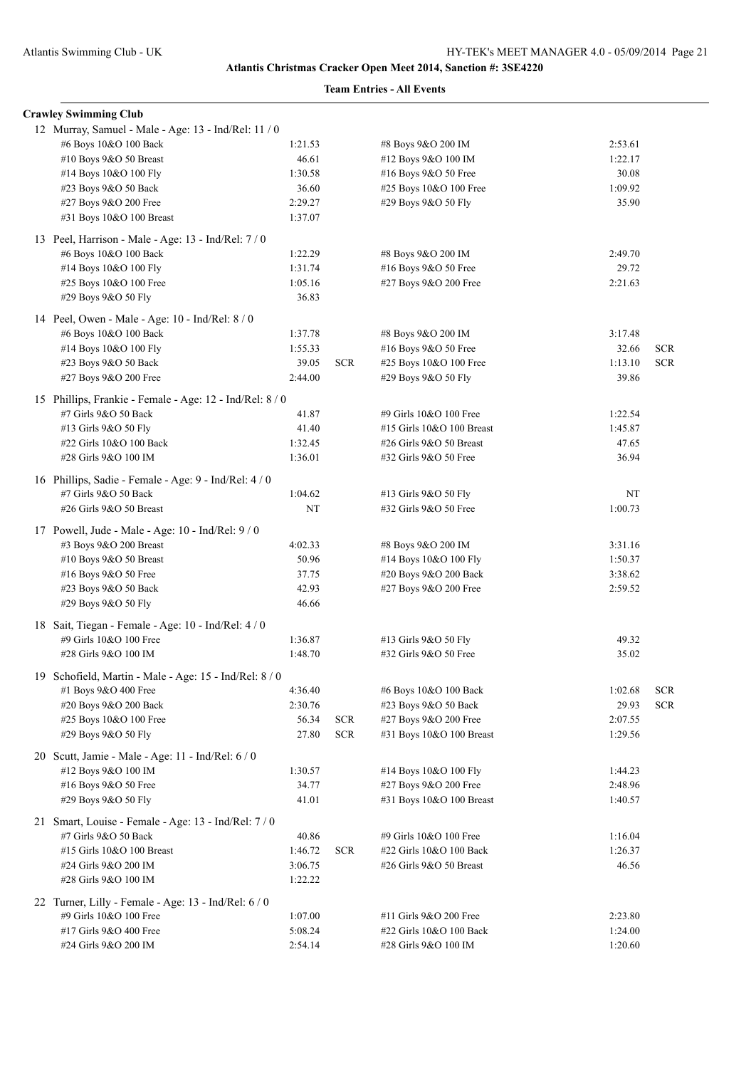| <b>Crawley Swimming Club</b>                             |         |            |                           |         |            |
|----------------------------------------------------------|---------|------------|---------------------------|---------|------------|
| 12 Murray, Samuel - Male - Age: 13 - Ind/Rel: 11 / 0     |         |            |                           |         |            |
| #6 Boys 10&O 100 Back                                    | 1:21.53 |            | #8 Boys 9&O 200 IM        | 2:53.61 |            |
| #10 Boys 9&O 50 Breast                                   | 46.61   |            | #12 Boys 9&O 100 IM       | 1:22.17 |            |
| #14 Boys 10&O 100 Fly                                    | 1:30.58 |            | #16 Boys 9&O 50 Free      | 30.08   |            |
| #23 Boys 9&O 50 Back                                     | 36.60   |            | #25 Boys 10&O 100 Free    | 1:09.92 |            |
| #27 Boys 9&O 200 Free                                    | 2:29.27 |            | #29 Boys 9&O 50 Fly       | 35.90   |            |
| #31 Boys 10&O 100 Breast                                 | 1:37.07 |            |                           |         |            |
| 13 Peel, Harrison - Male - Age: 13 - Ind/Rel: 7 / 0      |         |            |                           |         |            |
| #6 Boys 10&O 100 Back                                    | 1:22.29 |            | #8 Boys 9&O 200 IM        | 2:49.70 |            |
| #14 Boys 10&O 100 Fly                                    | 1:31.74 |            | #16 Boys 9&O 50 Free      | 29.72   |            |
| #25 Boys 10&O 100 Free                                   | 1:05.16 |            | #27 Boys 9&O 200 Free     | 2:21.63 |            |
| #29 Boys 9&O 50 Fly                                      | 36.83   |            |                           |         |            |
|                                                          |         |            |                           |         |            |
| 14 Peel, Owen - Male - Age: 10 - Ind/Rel: 8 / 0          |         |            |                           |         |            |
| #6 Boys 10&O 100 Back                                    | 1:37.78 |            | #8 Boys 9&O 200 IM        | 3:17.48 |            |
| #14 Boys 10&O 100 Fly                                    | 1:55.33 |            | #16 Boys 9&O 50 Free      | 32.66   | <b>SCR</b> |
| #23 Boys 9&O 50 Back                                     | 39.05   | <b>SCR</b> | #25 Boys 10&O 100 Free    | 1:13.10 | <b>SCR</b> |
| #27 Boys 9&O 200 Free                                    | 2:44.00 |            | #29 Boys 9&O 50 Fly       | 39.86   |            |
| 15 Phillips, Frankie - Female - Age: 12 - Ind/Rel: 8 / 0 |         |            |                           |         |            |
| #7 Girls 9&O 50 Back                                     | 41.87   |            | #9 Girls 10&O 100 Free    | 1:22.54 |            |
| #13 Girls 9&O 50 Fly                                     | 41.40   |            | #15 Girls 10&O 100 Breast | 1:45.87 |            |
| #22 Girls 10&O 100 Back                                  | 1:32.45 |            | #26 Girls 9&O 50 Breast   | 47.65   |            |
| #28 Girls 9&O 100 IM                                     | 1:36.01 |            | #32 Girls 9&O 50 Free     | 36.94   |            |
|                                                          |         |            |                           |         |            |
| 16 Phillips, Sadie - Female - Age: 9 - Ind/Rel: 4/0      |         |            |                           |         |            |
| #7 Girls 9&O 50 Back                                     | 1:04.62 |            | #13 Girls 9&O 50 Fly      | NT      |            |
| #26 Girls 9&O 50 Breast                                  | NT      |            | #32 Girls 9&O 50 Free     | 1:00.73 |            |
| 17 Powell, Jude - Male - Age: 10 - Ind/Rel: 9 / 0        |         |            |                           |         |            |
| #3 Boys 9&O 200 Breast                                   | 4:02.33 |            | #8 Boys 9&O 200 IM        | 3:31.16 |            |
| #10 Boys 9&O 50 Breast                                   | 50.96   |            | #14 Boys 10&O 100 Fly     | 1:50.37 |            |
| #16 Boys 9&O 50 Free                                     | 37.75   |            | #20 Boys 9&O 200 Back     | 3:38.62 |            |
| #23 Boys 9&O 50 Back                                     | 42.93   |            | #27 Boys 9&O 200 Free     | 2:59.52 |            |
| #29 Boys 9&O 50 Fly                                      | 46.66   |            |                           |         |            |
| 18 Sait, Tiegan - Female - Age: 10 - Ind/Rel: 4 / 0      |         |            |                           |         |            |
| #9 Girls 10&O 100 Free                                   | 1:36.87 |            | #13 Girls 9&O 50 Fly      | 49.32   |            |
| #28 Girls 9&O 100 IM                                     | 1:48.70 |            | #32 Girls 9&O 50 Free     | 35.02   |            |
|                                                          |         |            |                           |         |            |
| 19 Schofield, Martin - Male - Age: 15 - Ind/Rel: 8 / 0   |         |            |                           |         |            |
| #1 Boys 9&O 400 Free                                     | 4:36.40 |            | #6 Boys 10&O 100 Back     | 1:02.68 | <b>SCR</b> |
| #20 Boys 9&O 200 Back                                    | 2:30.76 |            | #23 Boys 9&O 50 Back      | 29.93   | <b>SCR</b> |
| #25 Boys 10&O 100 Free                                   | 56.34   | <b>SCR</b> | #27 Boys 9&O 200 Free     | 2:07.55 |            |
| #29 Boys 9&O 50 Fly                                      | 27.80   | <b>SCR</b> | #31 Boys 10&O 100 Breast  | 1:29.56 |            |
| 20 Scutt, Jamie - Male - Age: 11 - Ind/Rel: 6 / 0        |         |            |                           |         |            |
| #12 Boys 9&O 100 IM                                      | 1:30.57 |            | #14 Boys 10&O 100 Fly     | 1:44.23 |            |
| #16 Boys 9&O 50 Free                                     | 34.77   |            | #27 Boys 9&O 200 Free     | 2:48.96 |            |
| #29 Boys 9&O 50 Fly                                      | 41.01   |            | #31 Boys 10&O 100 Breast  | 1:40.57 |            |
| 21 Smart, Louise - Female - Age: 13 - Ind/Rel: 7/0       |         |            |                           |         |            |
| #7 Girls 9&O 50 Back                                     | 40.86   |            | #9 Girls 10&O 100 Free    | 1:16.04 |            |
| #15 Girls 10&O 100 Breast                                | 1:46.72 | <b>SCR</b> | #22 Girls 10&O 100 Back   | 1:26.37 |            |
| #24 Girls 9&O 200 IM                                     | 3:06.75 |            | #26 Girls 9&O 50 Breast   | 46.56   |            |
| #28 Girls 9&O 100 IM                                     | 1:22.22 |            |                           |         |            |
|                                                          |         |            |                           |         |            |
| 22 Turner, Lilly - Female - Age: 13 - Ind/Rel: 6 / 0     |         |            |                           |         |            |
| #9 Girls 10&O 100 Free                                   | 1:07.00 |            | #11 Girls 9&O 200 Free    | 2:23.80 |            |
| #17 Girls 9&O 400 Free                                   | 5:08.24 |            | #22 Girls 10&O 100 Back   | 1:24.00 |            |
| #24 Girls 9&O 200 IM                                     | 2:54.14 |            | #28 Girls 9&O 100 IM      | 1:20.60 |            |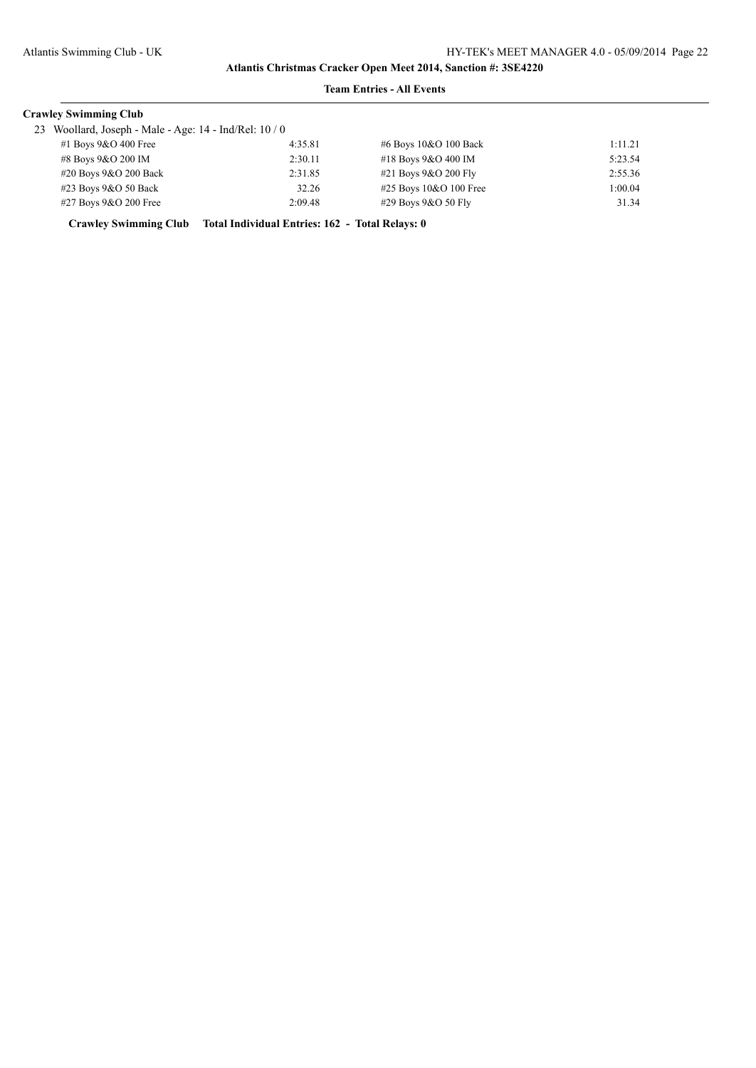## **Team Entries - All Events**

#### **Crawley Swimming Club**

23 Woollard, Joseph - Male - Age:  $14$  - Ind/Rel:  $10/0$ 

| $\omega$ would a, <i>J</i> oseph - Marc - Age. 14 - Ind/INT. 10 / 0 |                          |         |                            |         |
|---------------------------------------------------------------------|--------------------------|---------|----------------------------|---------|
|                                                                     | #1 Boys $9&O$ 400 Free   | 4:35.81 | #6 Boys 10&O 100 Back      | 1:11.21 |
|                                                                     | #8 Boys 9&O 200 IM       | 2:30.11 | #18 Boys 9&O 400 IM        | 5:23.54 |
|                                                                     | $\#20$ Boys 9&O 200 Back | 2:31.85 | #21 Boys 9&O 200 Fly       | 2:55.36 |
|                                                                     | $#23$ Boys $9&O 50$ Back | 32.26   | $#25$ Boys $10&O$ 100 Free | 1:00.04 |
|                                                                     | #27 Boys 9&O 200 Free    | 2:09.48 | $\#29$ Boys 9&O 50 Fly     | 31.34   |
|                                                                     |                          |         |                            |         |

**Crawley Swimming Club Total Individual Entries: 162 - Total Relays: 0**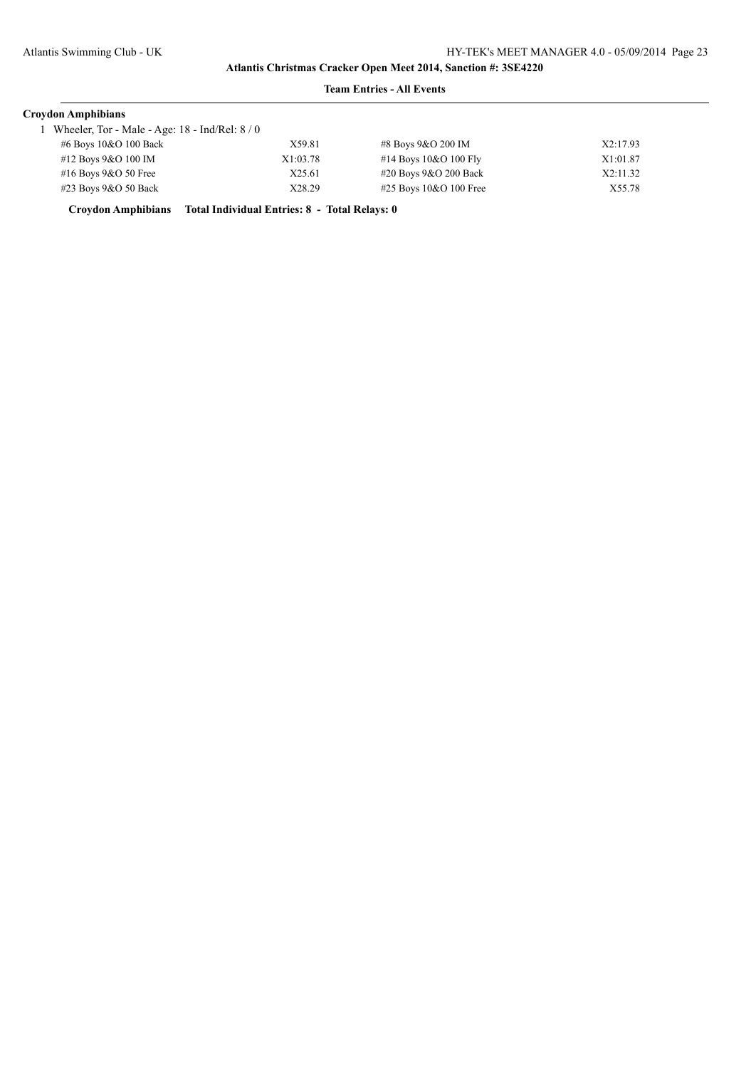## **Team Entries - All Events**

| <b>Croydon Amphibians</b>                        |          |                           |          |
|--------------------------------------------------|----------|---------------------------|----------|
| Wheeler, Tor - Male - Age: $18$ - Ind/Rel: $8/0$ |          |                           |          |
| #6 Boys 10&O 100 Back                            | X59.81   | #8 Boys 9&O 200 IM        | X2:17.93 |
| #12 Boys 9&O 100 IM                              | X1:03.78 | #14 Boys $10&O 100$ Fly   | X1:01.87 |
| #16 Boys $9&O$ 50 Free                           | X25.61   | #20 Boys 9&O 200 Back     | X2:11.32 |
| #23 Boys 9&O 50 Back                             | X28.29   | $\#25$ Boys 10&O 100 Free | X55.78   |

**Croydon Amphibians Total Individual Entries: 8 - Total Relays: 0**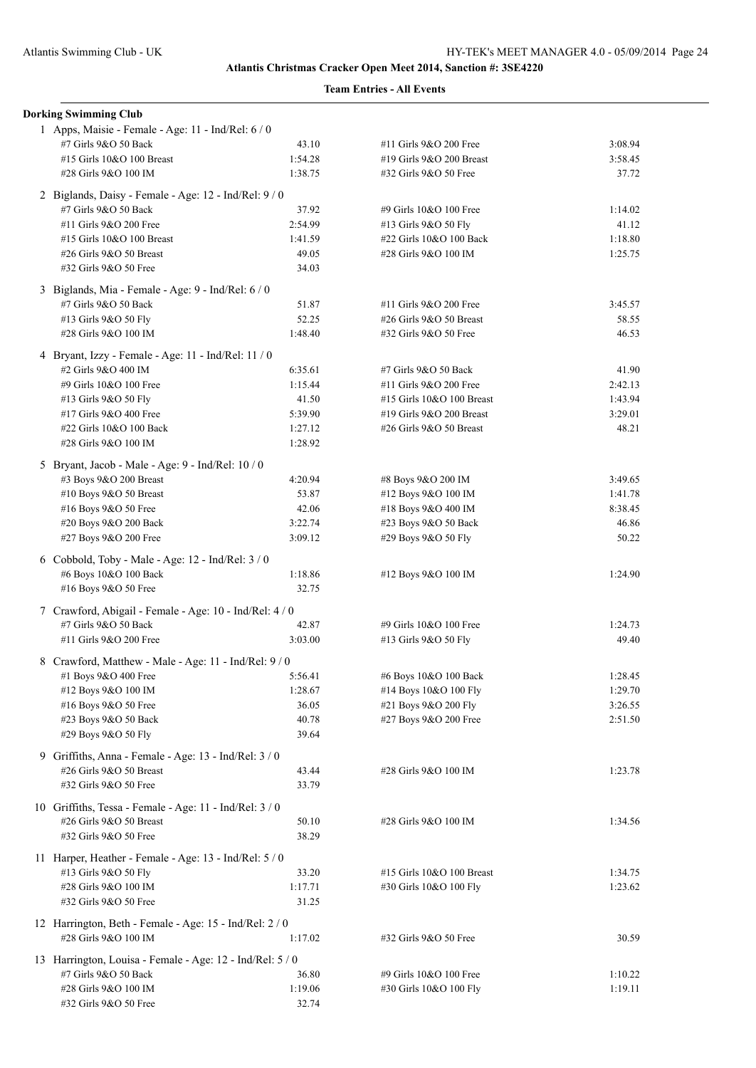| <b>Dorking Swimming Club</b>                                                |         |                           |         |
|-----------------------------------------------------------------------------|---------|---------------------------|---------|
| 1 Apps, Maisie - Female - Age: 11 - Ind/Rel: 6 / 0<br>#7 Girls 9&O 50 Back  | 43.10   | #11 Girls 9&O 200 Free    | 3:08.94 |
| #15 Girls 10&O 100 Breast                                                   | 1:54.28 | #19 Girls 9&O 200 Breast  | 3:58.45 |
| #28 Girls 9&O 100 IM                                                        | 1:38.75 | #32 Girls 9&O 50 Free     | 37.72   |
| 2 Biglands, Daisy - Female - Age: 12 - Ind/Rel: 9 / 0                       |         |                           |         |
| #7 Girls 9&O 50 Back                                                        | 37.92   | #9 Girls 10&O 100 Free    | 1:14.02 |
| #11 Girls 9&O 200 Free                                                      | 2:54.99 | #13 Girls 9&O 50 Fly      | 41.12   |
| #15 Girls 10&O 100 Breast                                                   | 1:41.59 | #22 Girls 10&O 100 Back   | 1:18.80 |
| #26 Girls 9&O 50 Breast                                                     | 49.05   | #28 Girls 9&O 100 IM      | 1:25.75 |
| #32 Girls 9&O 50 Free                                                       | 34.03   |                           |         |
| 3 Biglands, Mia - Female - Age: 9 - Ind/Rel: 6 / 0                          |         |                           |         |
| #7 Girls 9&O 50 Back                                                        | 51.87   | #11 Girls 9&O 200 Free    | 3:45.57 |
| #13 Girls 9&O 50 Fly                                                        | 52.25   | #26 Girls 9&O 50 Breast   | 58.55   |
| #28 Girls 9&O 100 IM                                                        | 1:48.40 | #32 Girls 9&O 50 Free     | 46.53   |
| 4 Bryant, Izzy - Female - Age: 11 - Ind/Rel: 11 / 0                         |         |                           |         |
| #2 Girls 9&O 400 IM                                                         | 6:35.61 | #7 Girls 9&O 50 Back      | 41.90   |
| #9 Girls 10&O 100 Free                                                      | 1:15.44 | #11 Girls 9&O 200 Free    | 2:42.13 |
| #13 Girls 9&O 50 Fly                                                        | 41.50   | #15 Girls 10&O 100 Breast | 1:43.94 |
| #17 Girls 9&O 400 Free                                                      | 5:39.90 | #19 Girls 9&O 200 Breast  | 3:29.01 |
| #22 Girls 10&O 100 Back                                                     | 1:27.12 | #26 Girls 9&O 50 Breast   | 48.21   |
| #28 Girls 9&O 100 IM                                                        | 1:28.92 |                           |         |
| 5 Bryant, Jacob - Male - Age: 9 - Ind/Rel: 10 / 0<br>#3 Boys 9&O 200 Breast | 4:20.94 | #8 Boys 9&O 200 IM        | 3:49.65 |
| #10 Boys 9&O 50 Breast                                                      | 53.87   | #12 Boys 9&O 100 IM       | 1:41.78 |
|                                                                             | 42.06   | #18 Boys 9&O 400 IM       | 8:38.45 |
| #16 Boys 9&O 50 Free                                                        | 3:22.74 |                           | 46.86   |
| #20 Boys 9&O 200 Back                                                       |         | #23 Boys 9&O 50 Back      | 50.22   |
| #27 Boys 9&O 200 Free                                                       | 3:09.12 | #29 Boys 9&O 50 Fly       |         |
| 6 Cobbold, Toby - Male - Age: 12 - Ind/Rel: 3 / 0                           |         |                           |         |
| #6 Boys 10&O 100 Back                                                       | 1:18.86 | #12 Boys 9&O 100 IM       | 1:24.90 |
| #16 Boys 9&O 50 Free                                                        | 32.75   |                           |         |
| 7 Crawford, Abigail - Female - Age: 10 - Ind/Rel: 4 / 0                     |         |                           |         |
| #7 Girls 9&O 50 Back                                                        | 42.87   | #9 Girls 10&O 100 Free    | 1:24.73 |
| #11 Girls 9&O 200 Free                                                      | 3:03.00 | #13 Girls 9&O 50 Fly      | 49.40   |
| 8 Crawford, Matthew - Male - Age: 11 - Ind/Rel: 9 / 0                       |         |                           |         |
| #1 Boys $9&O$ 400 Free                                                      | 5:56.41 | #6 Boys 10&O 100 Back     | 1:28.45 |
| #12 Boys 9&O 100 IM                                                         | 1:28.67 | #14 Boys 10&O 100 Fly     | 1:29.70 |
| #16 Boys 9&O 50 Free                                                        | 36.05   | #21 Boys 9&O 200 Fly      | 3:26.55 |
| #23 Boys 9&O 50 Back                                                        | 40.78   | #27 Boys 9&O 200 Free     | 2:51.50 |
| #29 Boys 9&O 50 Fly                                                         | 39.64   |                           |         |
| 9 Griffiths, Anna - Female - Age: 13 - Ind/Rel: 3 / 0                       |         |                           |         |
| #26 Girls 9&O 50 Breast                                                     | 43.44   | #28 Girls 9&O 100 IM      | 1:23.78 |
| #32 Girls 9&O 50 Free                                                       | 33.79   |                           |         |
| 10 Griffiths, Tessa - Female - Age: 11 - Ind/Rel: 3 / 0                     |         |                           |         |
| #26 Girls 9&O 50 Breast                                                     | 50.10   | #28 Girls 9&O 100 IM      | 1:34.56 |
| #32 Girls 9&O 50 Free                                                       | 38.29   |                           |         |
| 11 Harper, Heather - Female - Age: 13 - Ind/Rel: 5 / 0                      |         |                           |         |
| #13 Girls 9&O 50 Fly                                                        | 33.20   | #15 Girls 10&O 100 Breast | 1:34.75 |
| #28 Girls 9&O 100 IM                                                        | 1:17.71 | #30 Girls 10&O 100 Fly    | 1:23.62 |
| #32 Girls 9&O 50 Free                                                       | 31.25   |                           |         |
| 12 Harrington, Beth - Female - Age: 15 - Ind/Rel: 2 / 0                     |         |                           |         |
| #28 Girls 9&O 100 IM                                                        | 1:17.02 | #32 Girls 9&O 50 Free     | 30.59   |
| 13 Harrington, Louisa - Female - Age: 12 - Ind/Rel: 5 / 0                   |         |                           |         |
| #7 Girls 9&O 50 Back                                                        | 36.80   | #9 Girls 10&O 100 Free    | 1:10.22 |
| #28 Girls 9&O 100 IM                                                        | 1:19.06 | #30 Girls 10&O 100 Fly    | 1:19.11 |
| #32 Girls 9&O 50 Free                                                       | 32.74   |                           |         |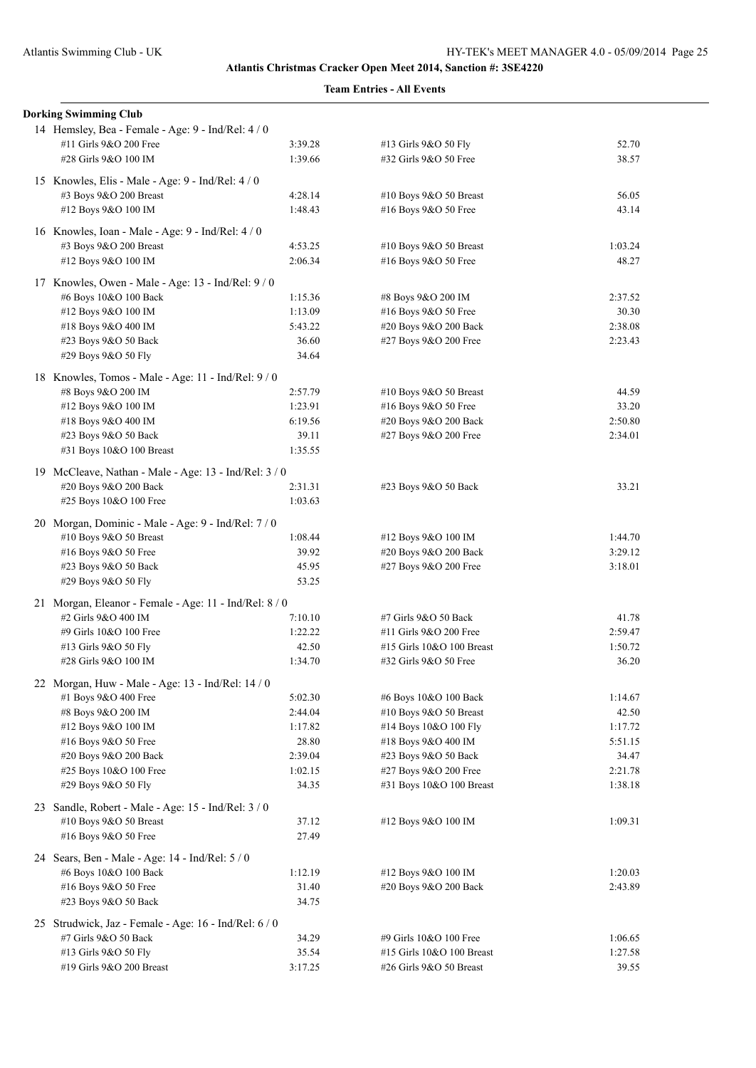| <b>Dorking Swimming Club</b>                           |         |                           |         |
|--------------------------------------------------------|---------|---------------------------|---------|
| 14 Hemsley, Bea - Female - Age: 9 - Ind/Rel: 4 / 0     |         |                           |         |
| #11 Girls 9&O 200 Free                                 | 3:39.28 | #13 Girls 9&O 50 Fly      | 52.70   |
| #28 Girls 9&O 100 IM                                   | 1:39.66 | #32 Girls 9&O 50 Free     | 38.57   |
| 15 Knowles, Elis - Male - Age: 9 - Ind/Rel: 4 / 0      |         |                           |         |
| #3 Boys 9&O 200 Breast                                 | 4:28.14 | #10 Boys 9&O 50 Breast    | 56.05   |
| #12 Boys 9&O 100 IM                                    | 1:48.43 | #16 Boys 9&O 50 Free      | 43.14   |
| 16 Knowles, Ioan - Male - Age: 9 - Ind/Rel: 4/0        |         |                           |         |
| #3 Boys 9&O 200 Breast                                 | 4:53.25 | #10 Boys 9&O 50 Breast    | 1:03.24 |
| #12 Boys 9&O 100 IM                                    | 2:06.34 | #16 Boys 9&O 50 Free      | 48.27   |
| 17 Knowles, Owen - Male - Age: 13 - Ind/Rel: 9/0       |         |                           |         |
| #6 Boys 10&O 100 Back                                  | 1:15.36 | #8 Boys 9&O 200 IM        | 2:37.52 |
| #12 Boys 9&O 100 IM                                    | 1:13.09 | #16 Boys 9&O 50 Free      | 30.30   |
| #18 Boys 9&O 400 IM                                    | 5:43.22 | #20 Boys 9&O 200 Back     | 2:38.08 |
| #23 Boys 9&O 50 Back                                   | 36.60   | #27 Boys 9&O 200 Free     | 2:23.43 |
| #29 Boys 9&O 50 Fly                                    | 34.64   |                           |         |
| 18 Knowles, Tomos - Male - Age: 11 - Ind/Rel: 9/0      |         |                           |         |
| #8 Boys 9&O 200 IM                                     | 2:57.79 | #10 Boys 9&O 50 Breast    | 44.59   |
| #12 Boys 9&O 100 IM                                    | 1:23.91 | #16 Boys 9&O 50 Free      | 33.20   |
| #18 Boys 9&O 400 IM                                    | 6:19.56 | #20 Boys 9&O 200 Back     | 2:50.80 |
| #23 Boys 9&O 50 Back                                   | 39.11   | #27 Boys 9&O 200 Free     | 2:34.01 |
| #31 Boys 10&O 100 Breast                               | 1:35.55 |                           |         |
| 19 McCleave, Nathan - Male - Age: 13 - Ind/Rel: 3 / 0  |         |                           |         |
| #20 Boys 9&O 200 Back                                  | 2:31.31 | #23 Boys 9&O 50 Back      | 33.21   |
| #25 Boys 10&O 100 Free                                 | 1:03.63 |                           |         |
| 20 Morgan, Dominic - Male - Age: 9 - Ind/Rel: 7 / 0    |         |                           |         |
| #10 Boys 9&O 50 Breast                                 | 1:08.44 | #12 Boys 9&O 100 IM       | 1:44.70 |
| #16 Boys 9&O 50 Free                                   | 39.92   | #20 Boys 9&O 200 Back     | 3:29.12 |
| #23 Boys 9&O 50 Back                                   | 45.95   | #27 Boys 9&O 200 Free     | 3:18.01 |
| #29 Boys 9&O 50 Fly                                    | 53.25   |                           |         |
| 21 Morgan, Eleanor - Female - Age: 11 - Ind/Rel: 8 / 0 |         |                           |         |
| #2 Girls 9&O 400 IM                                    | 7:10.10 | #7 Girls 9&O 50 Back      | 41.78   |
| #9 Girls 10&O 100 Free                                 | 1:22.22 | #11 Girls 9&O 200 Free    | 2:59.47 |
| #13 Girls 9&O 50 Fly                                   | 42.50   | #15 Girls 10&O 100 Breast | 1:50.72 |
| #28 Girls 9&O 100 IM                                   | 1:34.70 | #32 Girls 9&O 50 Free     | 36.20   |
| 22 Morgan, Huw - Male - Age: 13 - Ind/Rel: 14 / 0      |         |                           |         |
| #1 Boys 9&O 400 Free                                   | 5:02.30 | #6 Boys 10&O 100 Back     | 1:14.67 |
| #8 Boys 9&O 200 IM                                     | 2:44.04 | #10 Boys 9&O 50 Breast    | 42.50   |
| #12 Boys 9&O 100 IM                                    | 1:17.82 | #14 Boys 10&O 100 Fly     | 1:17.72 |
| #16 Boys 9&O 50 Free                                   | 28.80   | #18 Boys 9&O 400 IM       | 5:51.15 |
| #20 Boys 9&O 200 Back                                  | 2:39.04 | #23 Boys 9&O 50 Back      | 34.47   |
| #25 Boys 10&O 100 Free                                 | 1:02.15 | #27 Boys 9&O 200 Free     | 2:21.78 |
| #29 Boys 9&O 50 Fly                                    | 34.35   | #31 Boys 10&O 100 Breast  | 1:38.18 |
| 23 Sandle, Robert - Male - Age: 15 - Ind/Rel: 3 / 0    |         |                           |         |
| #10 Boys 9&O 50 Breast                                 | 37.12   | #12 Boys 9&O 100 IM       | 1:09.31 |
| #16 Boys 9&O 50 Free                                   | 27.49   |                           |         |
| 24 Sears, Ben - Male - Age: 14 - Ind/Rel: 5 / 0        |         |                           |         |
| #6 Boys 10&O 100 Back                                  | 1:12.19 | #12 Boys 9&O 100 IM       | 1:20.03 |
| #16 Boys 9&O 50 Free                                   | 31.40   | #20 Boys 9&O 200 Back     | 2:43.89 |
| #23 Boys 9&O 50 Back                                   | 34.75   |                           |         |
| 25 Strudwick, Jaz - Female - Age: 16 - Ind/Rel: 6 / 0  |         |                           |         |
| #7 Girls 9&O 50 Back                                   | 34.29   | #9 Girls 10&O 100 Free    | 1:06.65 |
| #13 Girls 9&O 50 Fly                                   | 35.54   | #15 Girls 10&O 100 Breast | 1:27.58 |
| #19 Girls 9&O 200 Breast                               | 3:17.25 | #26 Girls 9&O 50 Breast   | 39.55   |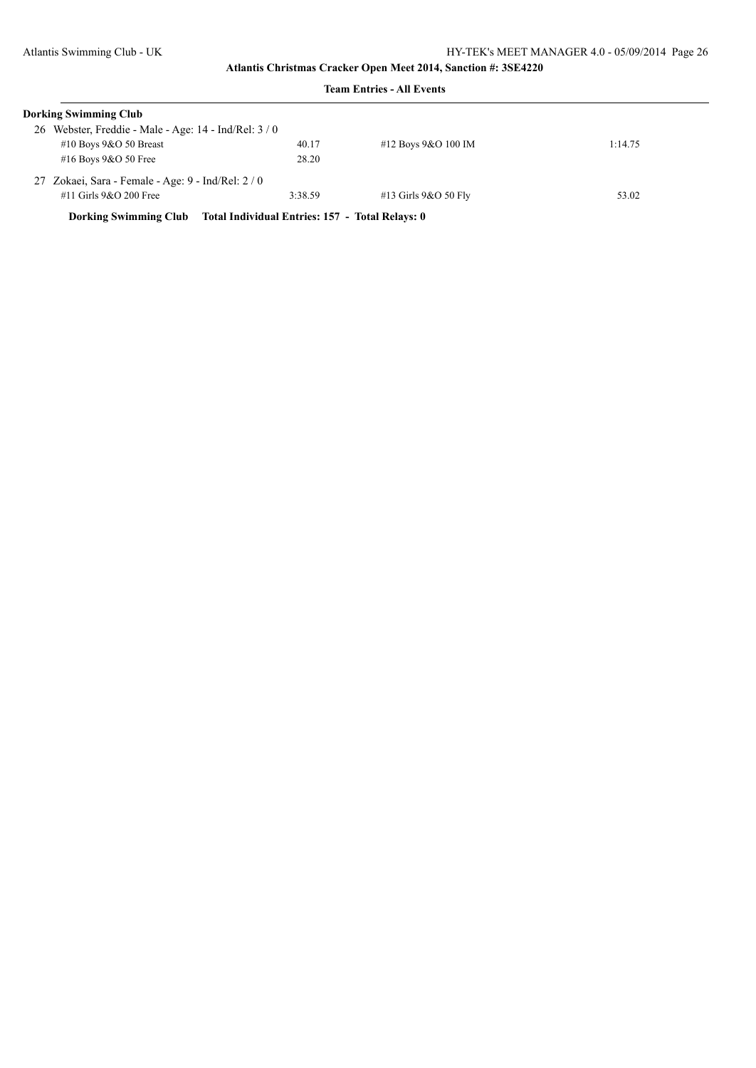|    | <b>Dorking Swimming Club</b>                       |                                                 |                          |         |
|----|----------------------------------------------------|-------------------------------------------------|--------------------------|---------|
| 26 | Webster, Freddie - Male - Age: 14 - Ind/Rel: 3 / 0 |                                                 |                          |         |
|    | #10 Boys $9&O$ 50 Breast                           | 40.17                                           | #12 Boys $9&O$ 100 IM    | 1:14.75 |
|    | #16 Boys $9&O$ 50 Free                             | 28.20                                           |                          |         |
|    | 27 Zokaei, Sara - Female - Age: 9 - Ind/Rel: 2/0   |                                                 |                          |         |
|    | $#11$ Girls 9&O 200 Free                           | 3:38.59                                         | $#13$ Girls $9&O$ 50 Fly | 53.02   |
|    | <b>Dorking Swimming Club</b>                       | Total Individual Entries: 157 - Total Relays: 0 |                          |         |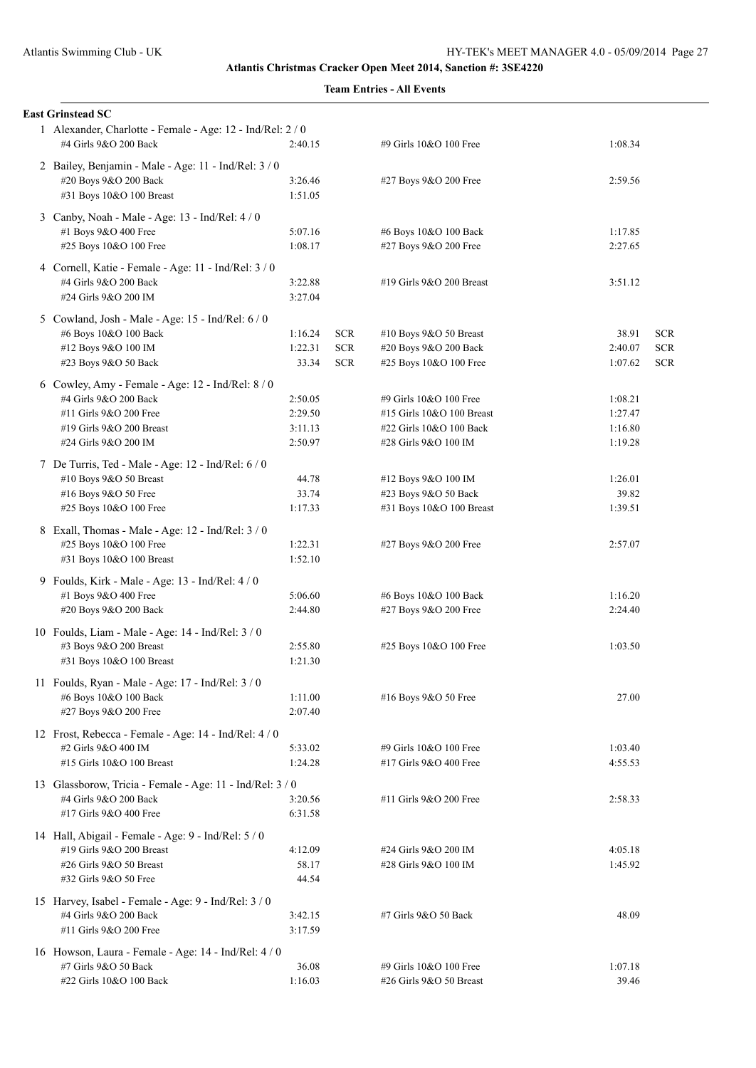| <b>East Grinstead SC</b>                                                                                                                                 |                                          |                                        |                                                                                                        |                                          |                                        |
|----------------------------------------------------------------------------------------------------------------------------------------------------------|------------------------------------------|----------------------------------------|--------------------------------------------------------------------------------------------------------|------------------------------------------|----------------------------------------|
| 1 Alexander, Charlotte - Female - Age: 12 - Ind/Rel: 2 / 0<br>#4 Girls 9&O 200 Back                                                                      | 2:40.15                                  |                                        | #9 Girls 10&O 100 Free                                                                                 | 1:08.34                                  |                                        |
| 2 Bailey, Benjamin - Male - Age: 11 - Ind/Rel: 3 / 0<br>#20 Boys 9&O 200 Back<br>#31 Boys 10&O 100 Breast                                                | 3:26.46<br>1:51.05                       |                                        | #27 Boys 9&O 200 Free                                                                                  | 2:59.56                                  |                                        |
| 3 Canby, Noah - Male - Age: 13 - Ind/Rel: 4 / 0<br>#1 Boys 9&O 400 Free<br>#25 Boys 10&O 100 Free                                                        | 5:07.16<br>1:08.17                       |                                        | #6 Boys 10&O 100 Back<br>#27 Boys 9&O 200 Free                                                         | 1:17.85<br>2:27.65                       |                                        |
| 4 Cornell, Katie - Female - Age: 11 - Ind/Rel: 3 / 0<br>#4 Girls 9&O 200 Back<br>#24 Girls 9&O 200 IM                                                    | 3:22.88<br>3:27.04                       |                                        | #19 Girls 9&O 200 Breast                                                                               | 3:51.12                                  |                                        |
| 5 Cowland, Josh - Male - Age: 15 - Ind/Rel: 6 / 0<br>#6 Boys 10&O 100 Back<br>#12 Boys 9&O 100 IM<br>#23 Boys 9&O 50 Back                                | 1:16.24<br>1:22.31<br>33.34              | <b>SCR</b><br><b>SCR</b><br><b>SCR</b> | #10 Boys 9&O 50 Breast<br>#20 Boys 9&O 200 Back<br>#25 Boys 10&O 100 Free                              | 38.91<br>2:40.07<br>1:07.62              | <b>SCR</b><br><b>SCR</b><br><b>SCR</b> |
| 6 Cowley, Amy - Female - Age: 12 - Ind/Rel: 8 / 0<br>#4 Girls 9&O 200 Back<br>#11 Girls 9&O 200 Free<br>#19 Girls 9&O 200 Breast<br>#24 Girls 9&O 200 IM | 2:50.05<br>2:29.50<br>3:11.13<br>2:50.97 |                                        | #9 Girls 10&O 100 Free<br>#15 Girls 10&O 100 Breast<br>#22 Girls 10&O 100 Back<br>#28 Girls 9&O 100 IM | 1:08.21<br>1:27.47<br>1:16.80<br>1:19.28 |                                        |
| 7 De Turris, Ted - Male - Age: 12 - Ind/Rel: 6 / 0<br>#10 Boys 9&O 50 Breast<br>#16 Boys 9&O 50 Free<br>#25 Boys 10&O 100 Free                           | 44.78<br>33.74<br>1:17.33                |                                        | #12 Boys 9&O 100 IM<br>#23 Boys 9&O 50 Back<br>#31 Boys 10&O 100 Breast                                | 1:26.01<br>39.82<br>1:39.51              |                                        |
| 8 Exall, Thomas - Male - Age: 12 - Ind/Rel: 3 / 0<br>#25 Boys 10&O 100 Free<br>#31 Boys 10&O 100 Breast                                                  | 1:22.31<br>1:52.10                       |                                        | #27 Boys 9&O 200 Free                                                                                  | 2:57.07                                  |                                        |
| 9 Foulds, Kirk - Male - Age: 13 - Ind/Rel: 4 / 0<br>#1 Boys 9&O 400 Free<br>#20 Boys 9&O 200 Back                                                        | 5:06.60<br>2:44.80                       |                                        | #6 Boys 10&O 100 Back<br>#27 Boys 9&O 200 Free                                                         | 1:16.20<br>2:24.40                       |                                        |
| 10 Foulds, Liam - Male - Age: 14 - Ind/Rel: 3 / 0<br>#3 Boys 9&O 200 Breast<br>#31 Boys 10&O 100 Breast                                                  | 2:55.80<br>1:21.30                       |                                        | #25 Boys 10&O 100 Free                                                                                 | 1:03.50                                  |                                        |
| 11 Foulds, Ryan - Male - Age: 17 - Ind/Rel: 3 / 0<br>#6 Boys 10&O 100 Back<br>#27 Boys 9&O 200 Free                                                      | 1:11.00<br>2:07.40                       |                                        | #16 Boys 9&O 50 Free                                                                                   | 27.00                                    |                                        |
| 12 Frost, Rebecca - Female - Age: 14 - Ind/Rel: 4 / 0<br>#2 Girls 9&O 400 IM<br>#15 Girls 10&O 100 Breast                                                | 5:33.02<br>1:24.28                       |                                        | #9 Girls 10&O 100 Free<br>#17 Girls 9&O 400 Free                                                       | 1:03.40<br>4:55.53                       |                                        |
| 13 Glassborow, Tricia - Female - Age: 11 - Ind/Rel: 3 / 0<br>#4 Girls 9&O 200 Back<br>#17 Girls 9&O 400 Free                                             | 3:20.56<br>6:31.58                       |                                        | #11 Girls 9&O 200 Free                                                                                 | 2:58.33                                  |                                        |
| 14 Hall, Abigail - Female - Age: 9 - Ind/Rel: 5 / 0<br>#19 Girls 9&O 200 Breast<br>#26 Girls 9&O 50 Breast<br>#32 Girls 9&O 50 Free                      | 4:12.09<br>58.17<br>44.54                |                                        | #24 Girls 9&O 200 IM<br>#28 Girls 9&O 100 IM                                                           | 4:05.18<br>1:45.92                       |                                        |
| 15 Harvey, Isabel - Female - Age: 9 - Ind/Rel: 3 / 0<br>#4 Girls 9&O 200 Back<br>#11 Girls 9&O 200 Free                                                  | 3:42.15<br>3:17.59                       |                                        | #7 Girls 9&O 50 Back                                                                                   | 48.09                                    |                                        |
| 16 Howson, Laura - Female - Age: 14 - Ind/Rel: 4 / 0<br>#7 Girls 9&O 50 Back<br>#22 Girls 10&O 100 Back                                                  | 36.08<br>1:16.03                         |                                        | #9 Girls 10&O 100 Free<br>#26 Girls 9&O 50 Breast                                                      | 1:07.18<br>39.46                         |                                        |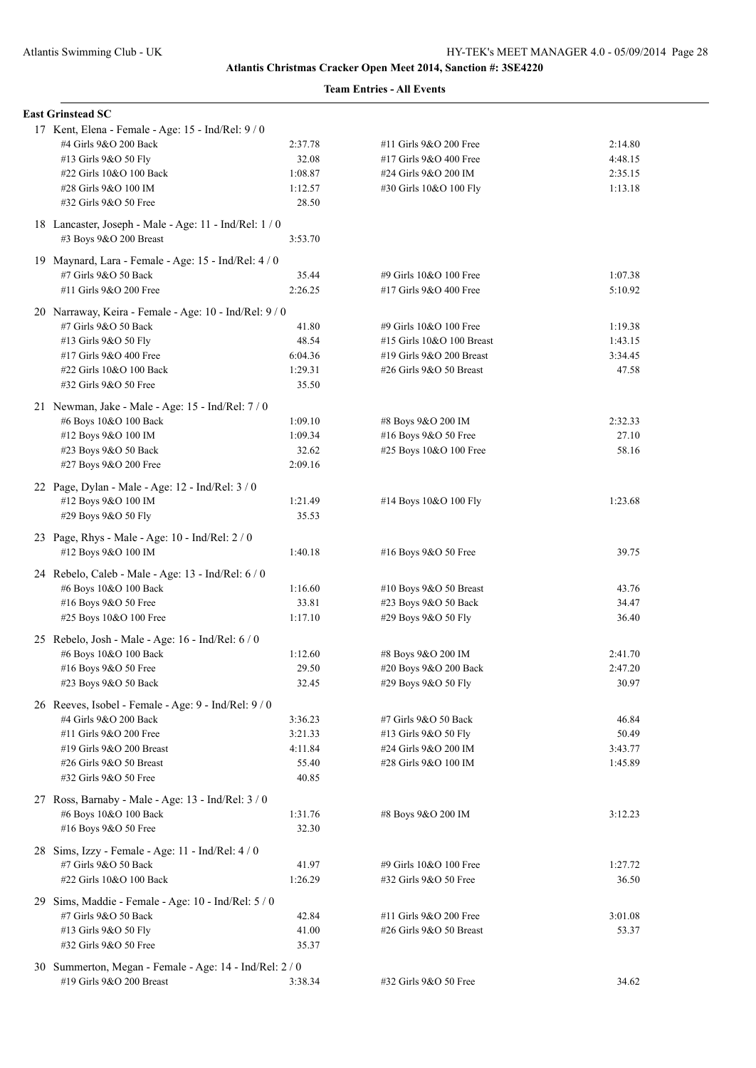| <b>East Grinstead SC</b>                                |         |                           |         |
|---------------------------------------------------------|---------|---------------------------|---------|
| 17 Kent, Elena - Female - Age: 15 - Ind/Rel: 9 / 0      |         |                           |         |
| #4 Girls 9&O 200 Back                                   | 2:37.78 | #11 Girls 9&O 200 Free    | 2:14.80 |
| #13 Girls 9&O 50 Fly                                    | 32.08   | #17 Girls 9&O 400 Free    | 4:48.15 |
| #22 Girls 10&O 100 Back                                 | 1:08.87 | #24 Girls 9&O 200 IM      | 2:35.15 |
| #28 Girls 9&O 100 IM                                    | 1:12.57 | #30 Girls 10&O 100 Fly    | 1:13.18 |
| #32 Girls 9&O 50 Free                                   | 28.50   |                           |         |
| 18 Lancaster, Joseph - Male - Age: 11 - Ind/Rel: 1 / 0  |         |                           |         |
| #3 Boys 9&O 200 Breast                                  | 3:53.70 |                           |         |
| 19 Maynard, Lara - Female - Age: 15 - Ind/Rel: 4 / 0    |         |                           |         |
| #7 Girls 9&O 50 Back                                    | 35.44   | #9 Girls 10&O 100 Free    | 1:07.38 |
| #11 Girls 9&O 200 Free                                  | 2:26.25 | #17 Girls 9&O 400 Free    | 5:10.92 |
| 20 Narraway, Keira - Female - Age: 10 - Ind/Rel: 9 / 0  |         |                           |         |
| #7 Girls 9&O 50 Back                                    | 41.80   | #9 Girls 10&O 100 Free    | 1:19.38 |
| #13 Girls 9&O 50 Fly                                    | 48.54   | #15 Girls 10&O 100 Breast | 1:43.15 |
| #17 Girls 9&O 400 Free                                  | 6:04.36 | #19 Girls 9&O 200 Breast  | 3:34.45 |
| #22 Girls 10&O 100 Back                                 | 1:29.31 | #26 Girls 9&O 50 Breast   | 47.58   |
| #32 Girls 9&O 50 Free                                   | 35.50   |                           |         |
| 21 Newman, Jake - Male - Age: 15 - Ind/Rel: 7/0         |         |                           |         |
| #6 Boys 10&O 100 Back                                   | 1:09.10 | #8 Boys 9&O 200 IM        | 2:32.33 |
| #12 Boys 9&O 100 IM                                     | 1:09.34 | #16 Boys 9&O 50 Free      | 27.10   |
| #23 Boys 9&O 50 Back                                    | 32.62   | #25 Boys 10&O 100 Free    | 58.16   |
| #27 Boys 9&O 200 Free                                   | 2:09.16 |                           |         |
| 22 Page, Dylan - Male - Age: 12 - Ind/Rel: 3 / 0        |         |                           |         |
| #12 Boys 9&O 100 IM                                     | 1:21.49 | #14 Boys 10&O 100 Fly     | 1:23.68 |
| #29 Boys 9&O 50 Fly                                     | 35.53   |                           |         |
| 23 Page, Rhys - Male - Age: $10$ - Ind/Rel: $2/0$       |         |                           |         |
| #12 Boys 9&O 100 IM                                     | 1:40.18 | #16 Boys 9&O 50 Free      | 39.75   |
| 24 Rebelo, Caleb - Male - Age: 13 - Ind/Rel: 6 / 0      |         |                           |         |
| #6 Boys 10&O 100 Back                                   | 1:16.60 | #10 Boys $9&O 50$ Breast  | 43.76   |
| #16 Boys 9&O 50 Free                                    | 33.81   | #23 Boys 9&O 50 Back      | 34.47   |
| #25 Boys 10&O 100 Free                                  | 1:17.10 | #29 Boys 9&O 50 Fly       | 36.40   |
| 25 Rebelo, Josh - Male - Age: 16 - Ind/Rel: 6 / 0       |         |                           |         |
| #6 Boys 10&O 100 Back                                   | 1:12.60 | #8 Boys 9&O 200 IM        | 2:41.70 |
| #16 Boys 9&O 50 Free                                    | 29.50   | #20 Boys 9&O 200 Back     | 2:47.20 |
| #23 Boys 9&O 50 Back                                    | 32.45   | #29 Boys 9&O 50 Fly       | 30.97   |
| 26 Reeves, Isobel - Female - Age: 9 - Ind/Rel: 9 / 0    |         |                           |         |
| #4 Girls 9&O 200 Back                                   | 3:36.23 | #7 Girls 9&O 50 Back      | 46.84   |
| #11 Girls 9&O 200 Free                                  | 3:21.33 | #13 Girls 9&O 50 Fly      | 50.49   |
| #19 Girls 9&O 200 Breast                                | 4:11.84 | #24 Girls 9&O 200 IM      | 3:43.77 |
| #26 Girls 9&O 50 Breast                                 | 55.40   | #28 Girls 9&O 100 IM      | 1:45.89 |
| #32 Girls 9&O 50 Free                                   | 40.85   |                           |         |
| 27 Ross, Barnaby - Male - Age: 13 - Ind/Rel: 3 / 0      |         |                           |         |
| #6 Boys 10&O 100 Back                                   | 1:31.76 | #8 Boys 9&O 200 IM        | 3:12.23 |
| #16 Boys 9&O 50 Free                                    | 32.30   |                           |         |
| 28 Sims, Izzy - Female - Age: 11 - Ind/Rel: 4 / 0       |         |                           |         |
| #7 Girls 9&O 50 Back                                    | 41.97   | #9 Girls 10&O 100 Free    | 1:27.72 |
| #22 Girls 10&O 100 Back                                 | 1:26.29 | #32 Girls 9&O 50 Free     | 36.50   |
| 29 Sims, Maddie - Female - Age: 10 - Ind/Rel: 5 / 0     |         |                           |         |
| #7 Girls 9&O 50 Back                                    | 42.84   | #11 Girls 9&O 200 Free    | 3:01.08 |
| #13 Girls 9&O 50 Fly                                    | 41.00   | #26 Girls 9&O 50 Breast   | 53.37   |
| #32 Girls 9&O 50 Free                                   | 35.37   |                           |         |
| 30 Summerton, Megan - Female - Age: 14 - Ind/Rel: 2 / 0 |         |                           |         |
| #19 Girls 9&O 200 Breast                                | 3:38.34 | #32 Girls 9&O 50 Free     | 34.62   |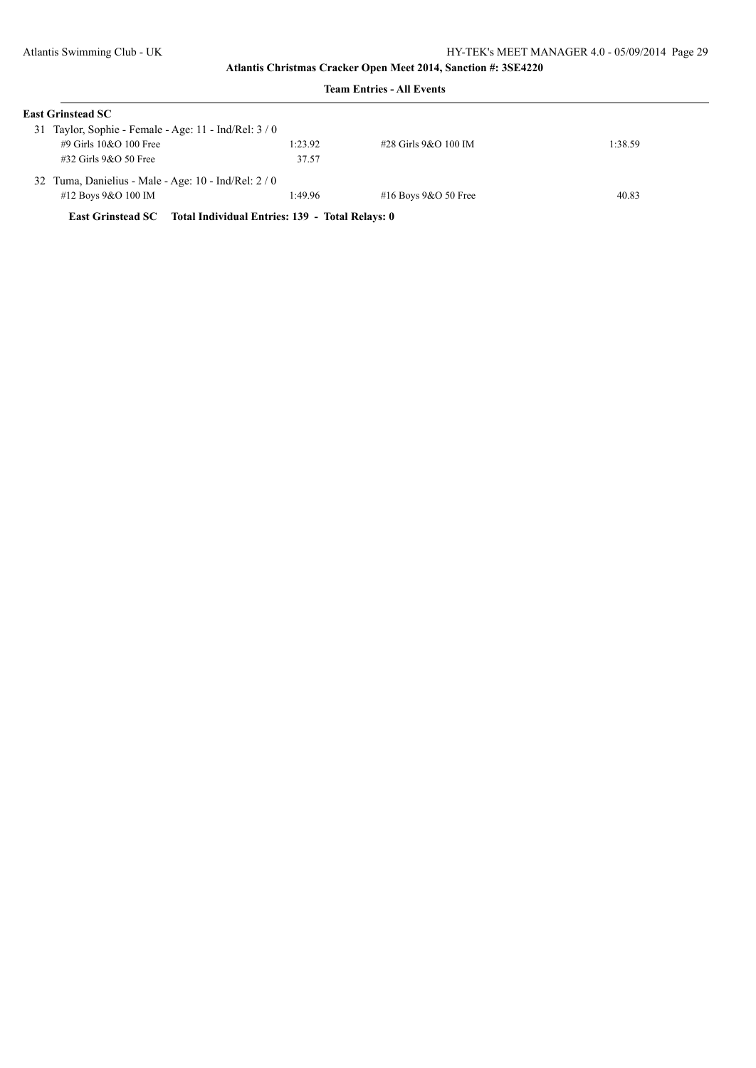| <b>East Grinstead SC</b>                                          |         |                        |         |
|-------------------------------------------------------------------|---------|------------------------|---------|
| 31 Taylor, Sophie - Female - Age: $11$ - Ind/Rel: $3/0$           |         |                        |         |
| $\#9$ Girls 10&O 100 Free                                         | 1:23.92 | #28 Girls 9&O 100 IM   | 1:38.59 |
| $\#32$ Girls 9&O 50 Free                                          | 37.57   |                        |         |
| 32 Tuma, Danielius - Male - Age: 10 - Ind/Rel: 2 / 0              |         |                        |         |
| #12 Boys $9&O$ 100 IM                                             | 1:49.96 | #16 Boys $9&O$ 50 Free | 40.83   |
| East Grinstead SC Total Individual Entries: 139 - Total Relays: 0 |         |                        |         |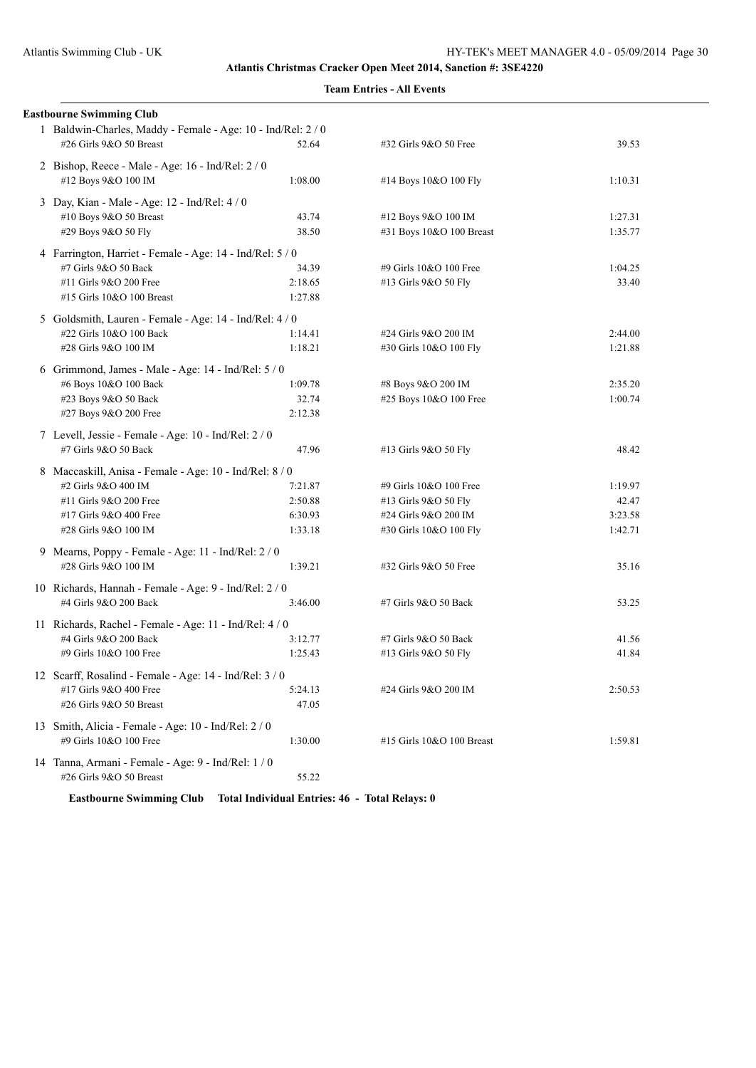## **Team Entries - All Events**

| <b>Eastbourne Swimming Club</b>                                                         |                  |                           |         |
|-----------------------------------------------------------------------------------------|------------------|---------------------------|---------|
| 1 Baldwin-Charles, Maddy - Female - Age: 10 - Ind/Rel: 2 / 0<br>#26 Girls 9&O 50 Breast | 52.64            | #32 Girls 9&O 50 Free     | 39.53   |
| 2 Bishop, Reece - Male - Age: 16 - Ind/Rel: 2 / 0                                       |                  |                           |         |
| #12 Boys 9&O 100 IM                                                                     | 1:08.00          | #14 Boys 10&O 100 Fly     | 1:10.31 |
| 3 Day, Kian - Male - Age: 12 - Ind/Rel: 4 / 0                                           |                  |                           |         |
| #10 Boys 9&O 50 Breast                                                                  | 43.74            | #12 Boys 9&O 100 IM       | 1:27.31 |
| #29 Boys 9&O 50 Fly                                                                     | 38.50            | #31 Boys 10&O 100 Breast  | 1:35.77 |
| 4 Farrington, Harriet - Female - Age: 14 - Ind/Rel: 5 / 0                               |                  |                           |         |
| #7 Girls 9&O 50 Back                                                                    | 34.39            | #9 Girls 10&O 100 Free    | 1:04.25 |
| #11 Girls 9&O 200 Free                                                                  | 2:18.65          | #13 Girls 9&O 50 Fly      | 33.40   |
| #15 Girls 10&O 100 Breast                                                               | 1:27.88          |                           |         |
| 5 Goldsmith, Lauren - Female - Age: 14 - Ind/Rel: 4 / 0                                 |                  |                           |         |
| #22 Girls 10&O 100 Back                                                                 | 1:14.41          | #24 Girls 9&O 200 IM      | 2:44.00 |
| #28 Girls 9&O 100 IM                                                                    | 1:18.21          | #30 Girls 10&O 100 Fly    | 1:21.88 |
|                                                                                         |                  |                           |         |
| 6 Grimmond, James - Male - Age: 14 - Ind/Rel: 5 / 0                                     | 1:09.78          |                           | 2:35.20 |
| #6 Boys 10&O 100 Back                                                                   |                  | #8 Boys 9&O 200 IM        |         |
| #23 Boys 9&O 50 Back<br>#27 Boys 9&O 200 Free                                           | 32.74<br>2:12.38 | #25 Boys 10&O 100 Free    | 1:00.74 |
|                                                                                         |                  |                           |         |
| 7 Levell, Jessie - Female - Age: 10 - Ind/Rel: 2 / 0                                    |                  |                           |         |
| #7 Girls 9&O 50 Back                                                                    | 47.96            | #13 Girls 9&O 50 Fly      | 48.42   |
| 8 Maccaskill, Anisa - Female - Age: 10 - Ind/Rel: 8 / 0                                 |                  |                           |         |
| #2 Girls 9&O 400 IM                                                                     | 7:21.87          | #9 Girls 10&O 100 Free    | 1:19.97 |
| #11 Girls 9&O 200 Free                                                                  | 2:50.88          | #13 Girls 9&O 50 Fly      | 42.47   |
| #17 Girls 9&O 400 Free                                                                  | 6:30.93          | #24 Girls 9&O 200 IM      | 3:23.58 |
| #28 Girls 9&O 100 IM                                                                    | 1:33.18          | #30 Girls 10&O 100 Fly    | 1:42.71 |
| 9 Mearns, Poppy - Female - Age: 11 - Ind/Rel: 2 / 0                                     |                  |                           |         |
| #28 Girls 9&O 100 IM                                                                    | 1:39.21          | #32 Girls 9&O 50 Free     | 35.16   |
| 10 Richards, Hannah - Female - Age: 9 - Ind/Rel: 2 / 0                                  |                  |                           |         |
| #4 Girls 9&O 200 Back                                                                   | 3:46.00          | #7 Girls 9&O 50 Back      | 53.25   |
|                                                                                         |                  |                           |         |
| 11 Richards, Rachel - Female - Age: 11 - Ind/Rel: 4 / 0<br>#4 Girls 9&O 200 Back        | 3:12.77          | #7 Girls 9&O 50 Back      | 41.56   |
| #9 Girls 10&O 100 Free                                                                  | 1:25.43          | #13 Girls 9&O 50 Fly      | 41.84   |
|                                                                                         |                  |                           |         |
| 12 Scarff, Rosalind - Female - Age: 14 - Ind/Rel: 3/0                                   |                  |                           |         |
| #17 Girls 9&O 400 Free                                                                  | 5:24.13          | #24 Girls 9&O 200 IM      | 2:50.53 |
| #26 Girls 9&O 50 Breast                                                                 | 47.05            |                           |         |
| 13 Smith, Alicia - Female - Age: 10 - Ind/Rel: 2 / 0                                    |                  |                           |         |
| #9 Girls 10&O 100 Free                                                                  | 1:30.00          | #15 Girls 10&O 100 Breast | 1:59.81 |
| 14 Tanna, Armani - Female - Age: 9 - Ind/Rel: 1 / 0                                     |                  |                           |         |
| #26 Girls 9&O 50 Breast                                                                 | 55.22            |                           |         |

**Eastbourne Swimming Club Total Individual Entries: 46 - Total Relays: 0**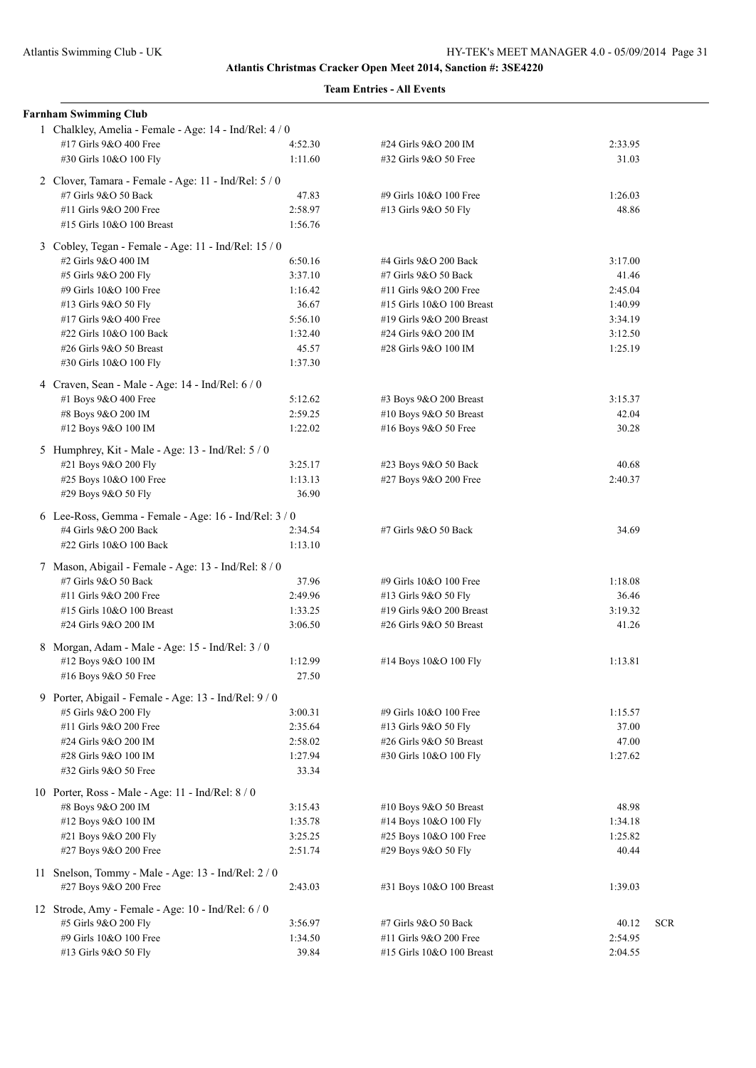| <b>Farnham Swimming Club</b>                                                |                    |                           |         |            |
|-----------------------------------------------------------------------------|--------------------|---------------------------|---------|------------|
| 1 Chalkley, Amelia - Female - Age: 14 - Ind/Rel: 4 / 0                      |                    |                           |         |            |
| #17 Girls 9&O 400 Free                                                      | 4:52.30            | #24 Girls 9&O 200 IM      | 2:33.95 |            |
| #30 Girls 10&O 100 Fly                                                      | 1:11.60            | #32 Girls 9&O 50 Free     | 31.03   |            |
| 2 Clover, Tamara - Female - Age: 11 - Ind/Rel: 5 / 0                        |                    |                           |         |            |
| #7 Girls 9&O 50 Back                                                        | 47.83              | #9 Girls 10&O 100 Free    | 1:26.03 |            |
| #11 Girls 9&O 200 Free                                                      | 2:58.97            | #13 Girls 9&O 50 Fly      | 48.86   |            |
| #15 Girls 10&O 100 Breast                                                   | 1:56.76            |                           |         |            |
|                                                                             |                    |                           |         |            |
| 3 Cobley, Tegan - Female - Age: 11 - Ind/Rel: 15 / 0<br>#2 Girls 9&O 400 IM | 6:50.16            | #4 Girls 9&O 200 Back     | 3:17.00 |            |
|                                                                             | 3:37.10            | #7 Girls 9&O 50 Back      | 41.46   |            |
| #5 Girls 9&O 200 Fly<br>#9 Girls 10&O 100 Free                              | 1:16.42            | #11 Girls 9&O 200 Free    | 2:45.04 |            |
| #13 Girls 9&O 50 Fly                                                        | 36.67              | #15 Girls 10&O 100 Breast | 1:40.99 |            |
| #17 Girls 9&O 400 Free                                                      | 5:56.10            | #19 Girls 9&O 200 Breast  | 3:34.19 |            |
| #22 Girls 10&O 100 Back                                                     | 1:32.40            | #24 Girls 9&O 200 IM      | 3:12.50 |            |
| #26 Girls 9&O 50 Breast                                                     | 45.57              | #28 Girls 9&O 100 IM      | 1:25.19 |            |
| #30 Girls 10&O 100 Fly                                                      | 1:37.30            |                           |         |            |
|                                                                             |                    |                           |         |            |
| 4 Craven, Sean - Male - Age: 14 - Ind/Rel: 6 / 0<br>#1 Boys 9&O 400 Free    | 5:12.62            | #3 Boys 9&O 200 Breast    | 3:15.37 |            |
|                                                                             |                    | #10 Boys $9&O$ 50 Breast  | 42.04   |            |
| #8 Boys 9&O 200 IM<br>#12 Boys 9&O 100 IM                                   | 2:59.25<br>1:22.02 | #16 Boys 9&O 50 Free      | 30.28   |            |
|                                                                             |                    |                           |         |            |
| 5 Humphrey, Kit - Male - Age: 13 - Ind/Rel: 5 / 0                           |                    |                           |         |            |
| #21 Boys 9&O 200 Fly                                                        | 3:25.17            | #23 Boys 9&O 50 Back      | 40.68   |            |
| #25 Boys 10&O 100 Free                                                      | 1:13.13            | #27 Boys 9&O 200 Free     | 2:40.37 |            |
| #29 Boys 9&O 50 Fly                                                         | 36.90              |                           |         |            |
| 6 Lee-Ross, Gemma - Female - Age: 16 - Ind/Rel: 3 / 0                       |                    |                           |         |            |
| #4 Girls 9&O 200 Back                                                       | 2:34.54            | #7 Girls 9&O 50 Back      | 34.69   |            |
| #22 Girls 10&O 100 Back                                                     | 1:13.10            |                           |         |            |
| 7 Mason, Abigail - Female - Age: 13 - Ind/Rel: 8 / 0                        |                    |                           |         |            |
| #7 Girls 9&O 50 Back                                                        | 37.96              | #9 Girls 10&O 100 Free    | 1:18.08 |            |
| #11 Girls 9&O 200 Free                                                      | 2:49.96            | #13 Girls 9&O 50 Fly      | 36.46   |            |
| #15 Girls 10&O 100 Breast                                                   | 1:33.25            | #19 Girls 9&O 200 Breast  | 3:19.32 |            |
| #24 Girls 9&O 200 IM                                                        | 3:06.50            | #26 Girls 9&O 50 Breast   | 41.26   |            |
| 8 Morgan, Adam - Male - Age: 15 - Ind/Rel: 3 / 0                            |                    |                           |         |            |
| #12 Boys 9&O 100 IM                                                         | 1:12.99            | #14 Boys 10&O 100 Fly     | 1:13.81 |            |
| #16 Boys 9&O 50 Free                                                        | 27.50              |                           |         |            |
|                                                                             |                    |                           |         |            |
| 9 Porter, Abigail - Female - Age: 13 - Ind/Rel: 9 / 0                       |                    |                           |         |            |
| #5 Girls 9&O 200 Fly                                                        | 3:00.31            | #9 Girls 10&O 100 Free    | 1:15.57 |            |
| #11 Girls 9&O 200 Free                                                      | 2:35.64            | #13 Girls 9&O 50 Fly      | 37.00   |            |
| #24 Girls 9&O 200 IM                                                        | 2:58.02            | #26 Girls 9&O 50 Breast   | 47.00   |            |
| #28 Girls 9&O 100 IM                                                        | 1:27.94            | #30 Girls 10&O 100 Fly    | 1:27.62 |            |
| #32 Girls 9&O 50 Free                                                       | 33.34              |                           |         |            |
| 10 Porter, Ross - Male - Age: 11 - Ind/Rel: 8 / 0                           |                    |                           |         |            |
| #8 Boys 9&O 200 IM                                                          | 3:15.43            | #10 Boys 9&O 50 Breast    | 48.98   |            |
| #12 Boys 9&O 100 IM                                                         | 1:35.78            | #14 Boys 10&O 100 Fly     | 1:34.18 |            |
| #21 Boys 9&O 200 Fly                                                        | 3:25.25            | #25 Boys 10&O 100 Free    | 1:25.82 |            |
| #27 Boys 9&O 200 Free                                                       | 2:51.74            | #29 Boys 9&O 50 Fly       | 40.44   |            |
| 11 Snelson, Tommy - Male - Age: $13$ - Ind/Rel: $2/0$                       |                    |                           |         |            |
| #27 Boys 9&O 200 Free                                                       | 2:43.03            | #31 Boys 10&O 100 Breast  | 1:39.03 |            |
| 12 Strode, Amy - Female - Age: 10 - Ind/Rel: 6/0                            |                    |                           |         |            |
| #5 Girls 9&O 200 Fly                                                        | 3:56.97            | #7 Girls 9&O 50 Back      | 40.12   | <b>SCR</b> |
| #9 Girls 10&O 100 Free                                                      | 1:34.50            | #11 Girls 9&O 200 Free    | 2:54.95 |            |
| #13 Girls 9&O 50 Fly                                                        | 39.84              | #15 Girls 10&O 100 Breast | 2:04.55 |            |
|                                                                             |                    |                           |         |            |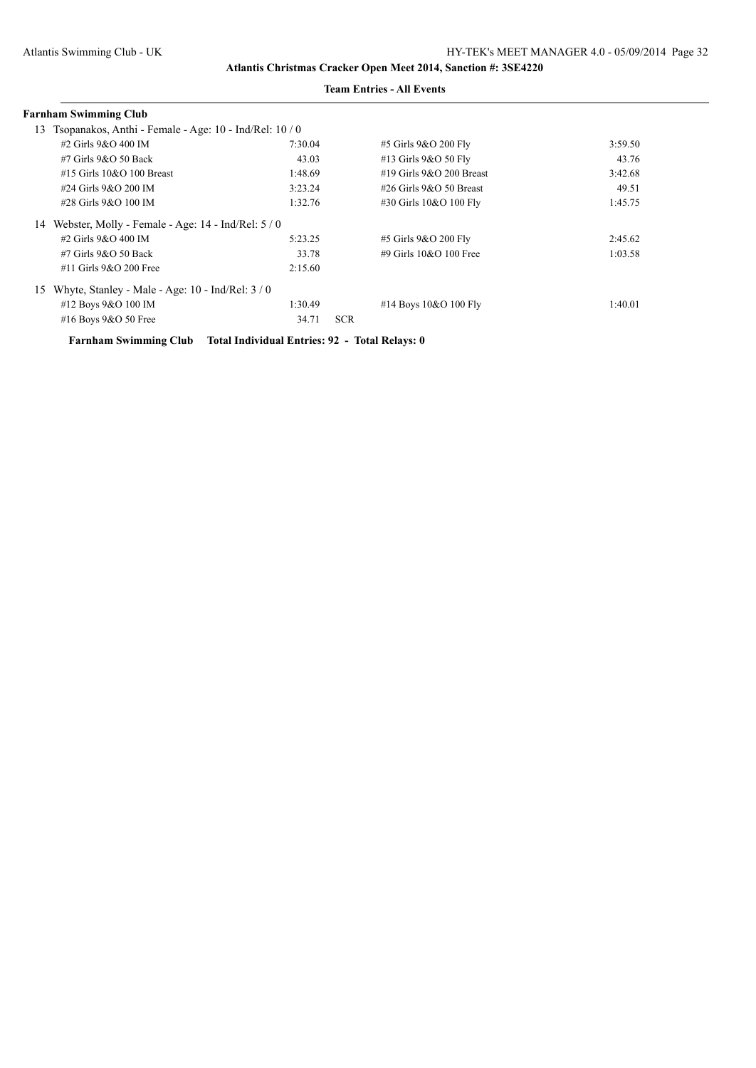|    | Farnham Swimming Club                                  |         |            |                               |         |
|----|--------------------------------------------------------|---------|------------|-------------------------------|---------|
| 13 | Tsopanakos, Anthi - Female - Age: 10 - Ind/Rel: 10 / 0 |         |            |                               |         |
|    | #2 Girls 9&O 400 IM                                    | 7:30.04 |            | #5 Girls 9&O 200 Fly          | 3:59.50 |
|    | $#7$ Girls $9&O$ 50 Back                               | 43.03   |            | #13 Girls 9&O 50 Fly          | 43.76   |
|    | $#15$ Girls $10&O$ 100 Breast                          | 1:48.69 |            | $\#19$ Girls $9&O$ 200 Breast | 3:42.68 |
|    | #24 Girls 9&O 200 IM                                   | 3:23.24 |            | $\#26$ Girls $9&O$ 50 Breast  | 49.51   |
|    | #28 Girls 9&O 100 IM                                   | 1:32.76 |            | #30 Girls 10&O 100 Fly        | 1:45.75 |
| 14 | Webster, Molly - Female - Age: 14 - Ind/Rel: 5 / 0     |         |            |                               |         |
|    | #2 Girls 9&O 400 IM                                    | 5:23.25 |            | #5 Girls 9&O 200 Fly          | 2:45.62 |
|    | $#7$ Girls $9&O$ 50 Back                               | 33.78   |            | #9 Girls $10&O$ 100 Free      | 1:03.58 |
|    | $#11$ Girls $9&O$ 200 Free                             | 2:15.60 |            |                               |         |
| 15 | Whyte, Stanley - Male - Age: $10$ - Ind/Rel: $3/0$     |         |            |                               |         |
|    | #12 Boys 9&O 100 IM                                    | 1:30.49 |            | #14 Boys $10&O 100$ Fly       | 1:40.01 |
|    | #16 Boys 9&O 50 Free                                   | 34.71   | <b>SCR</b> |                               |         |

**Farnham Swimming Club Total Individual Entries: 92 - Total Relays: 0**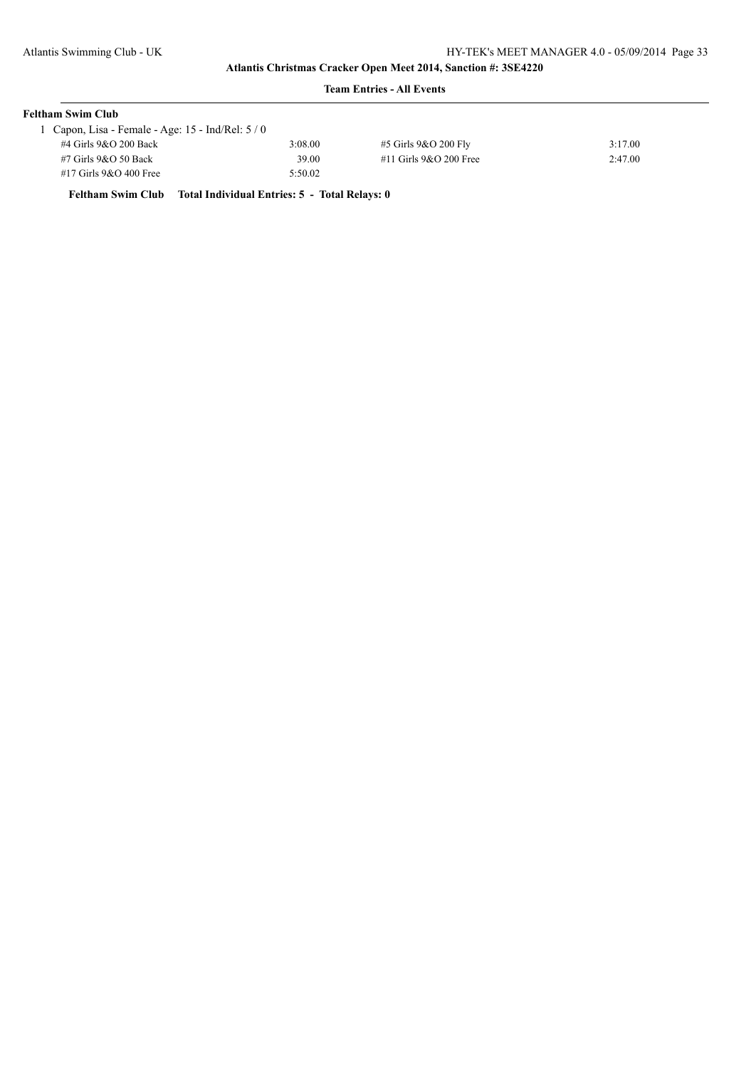## **Team Entries - All Events**

| <b>Feltham Swim Club</b>                          |         |                          |         |  |  |
|---------------------------------------------------|---------|--------------------------|---------|--|--|
| Capon, Lisa - Female - Age: $15$ - Ind/Rel: $5/0$ |         |                          |         |  |  |
| #4 Girls 9&O 200 Back                             | 3:08.00 | #5 Girls 9&O 200 Fly     | 3:17.00 |  |  |
| #7 Girls 9&O 50 Back                              | 39.00   | $#11$ Girls 9&O 200 Free | 2:47.00 |  |  |
| #17 Girls 9&O 400 Free                            | 5:50.02 |                          |         |  |  |

**Feltham Swim Club Total Individual Entries: 5 - Total Relays: 0**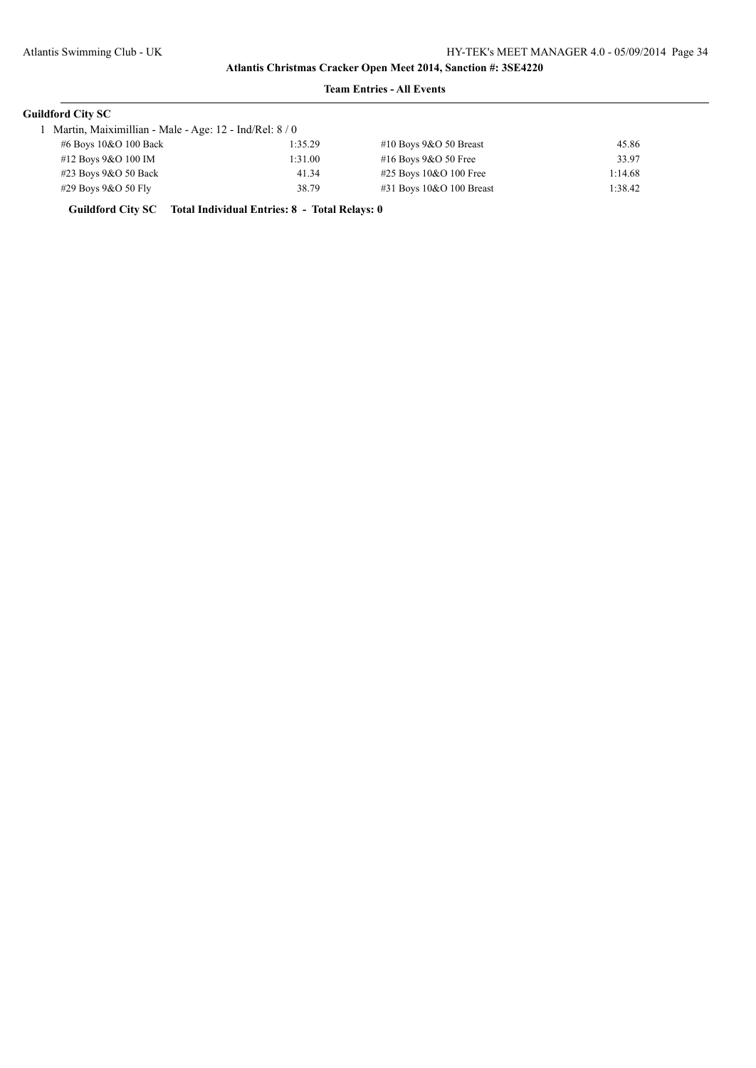### **Team Entries - All Events**

| <b>Guildford City SC</b>                               |         |                             |         |
|--------------------------------------------------------|---------|-----------------------------|---------|
| Martin, Maiximillian - Male - Age: 12 - Ind/Rel: 8 / 0 |         |                             |         |
| #6 Boys 10&O 100 Back                                  | 1:35.29 | #10 Boys $9&O 50$ Breast    | 45.86   |
| #12 Boys 9&O 100 IM                                    | 1:31.00 | #16 Boys 9&O 50 Free        | 33.97   |
| $\#23$ Boys 9&O 50 Back                                | 41.34   | $\#25$ Boys 10&O 100 Free   | 1:14.68 |
| $\#29$ Boys 9&O 50 Fly                                 | 38.79   | $\#31$ Boys 10&O 100 Breast | 1:38.42 |
|                                                        |         |                             |         |

**Guildford City SC Total Individual Entries: 8 - Total Relays: 0**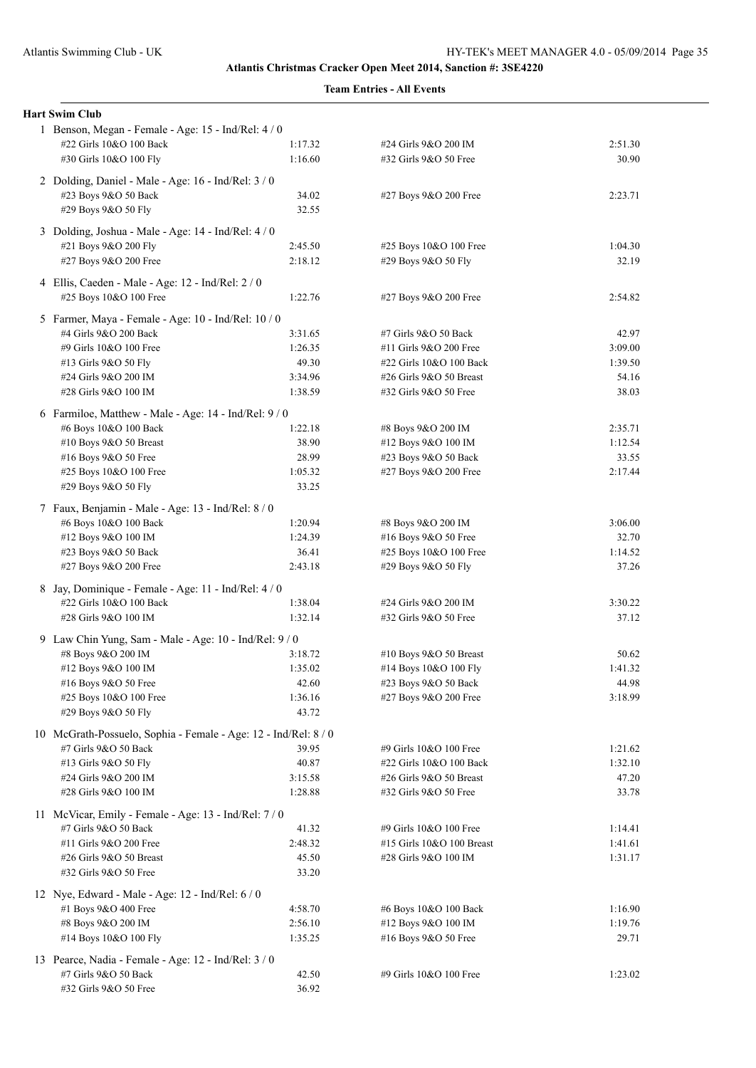| <b>Hart Swim Club</b>                                                        |         |                           |         |  |  |  |
|------------------------------------------------------------------------------|---------|---------------------------|---------|--|--|--|
| 1 Benson, Megan - Female - Age: 15 - Ind/Rel: 4 / 0                          |         |                           |         |  |  |  |
| #22 Girls 10&O 100 Back                                                      | 1:17.32 | #24 Girls 9&O 200 IM      | 2:51.30 |  |  |  |
| #30 Girls 10&O 100 Fly                                                       | 1:16.60 | #32 Girls 9&O 50 Free     | 30.90   |  |  |  |
| 2 Dolding, Daniel - Male - Age: 16 - Ind/Rel: 3 / 0                          |         |                           |         |  |  |  |
| #23 Boys 9&O 50 Back                                                         | 34.02   | #27 Boys 9&O 200 Free     | 2:23.71 |  |  |  |
| #29 Boys 9&O 50 Fly                                                          | 32.55   |                           |         |  |  |  |
| 3 Dolding, Joshua - Male - Age: 14 - Ind/Rel: 4 / 0                          |         |                           |         |  |  |  |
| #21 Boys 9&O 200 Fly                                                         | 2:45.50 | #25 Boys 10&O 100 Free    | 1:04.30 |  |  |  |
| #27 Boys 9&O 200 Free                                                        | 2:18.12 | #29 Boys 9&O 50 Fly       | 32.19   |  |  |  |
|                                                                              |         |                           |         |  |  |  |
| 4 Ellis, Caeden - Male - Age: 12 - Ind/Rel: 2 / 0                            |         |                           |         |  |  |  |
| #25 Boys 10&O 100 Free                                                       | 1:22.76 | #27 Boys 9&O 200 Free     | 2:54.82 |  |  |  |
| 5 Farmer, Maya - Female - Age: 10 - Ind/Rel: 10 / 0                          |         |                           |         |  |  |  |
| #4 Girls 9&O 200 Back                                                        | 3:31.65 | #7 Girls 9&O 50 Back      | 42.97   |  |  |  |
| #9 Girls 10&O 100 Free                                                       | 1:26.35 | #11 Girls 9&O 200 Free    | 3:09.00 |  |  |  |
| #13 Girls 9&O 50 Fly                                                         | 49.30   | #22 Girls 10&O 100 Back   | 1:39.50 |  |  |  |
| #24 Girls 9&O 200 IM                                                         | 3:34.96 | #26 Girls 9&O 50 Breast   | 54.16   |  |  |  |
| #28 Girls 9&O 100 IM                                                         | 1:38.59 | #32 Girls 9&O 50 Free     | 38.03   |  |  |  |
| 6 Farmiloe, Matthew - Male - Age: 14 - Ind/Rel: 9 / 0                        |         |                           |         |  |  |  |
| #6 Boys 10&O 100 Back                                                        | 1:22.18 | #8 Boys 9&O 200 IM        | 2:35.71 |  |  |  |
| #10 Boys 9&O 50 Breast                                                       | 38.90   | #12 Boys 9&O 100 IM       | 1:12.54 |  |  |  |
| #16 Boys 9&O 50 Free                                                         | 28.99   | #23 Boys 9&O 50 Back      | 33.55   |  |  |  |
| #25 Boys 10&O 100 Free                                                       | 1:05.32 | #27 Boys 9&O 200 Free     | 2:17.44 |  |  |  |
| #29 Boys 9&O 50 Fly                                                          | 33.25   |                           |         |  |  |  |
| 7 Faux, Benjamin - Male - Age: 13 - Ind/Rel: 8 / 0                           |         |                           |         |  |  |  |
| #6 Boys 10&O 100 Back                                                        | 1:20.94 | #8 Boys 9&O 200 IM        | 3:06.00 |  |  |  |
| #12 Boys 9&O 100 IM                                                          | 1:24.39 | #16 Boys 9&O 50 Free      | 32.70   |  |  |  |
| #23 Boys 9&O 50 Back                                                         | 36.41   | #25 Boys 10&O 100 Free    | 1:14.52 |  |  |  |
| #27 Boys 9&O 200 Free                                                        | 2:43.18 | #29 Boys 9&O 50 Fly       | 37.26   |  |  |  |
| 8 Jay, Dominique - Female - Age: 11 - Ind/Rel: 4 / 0                         |         |                           |         |  |  |  |
| #22 Girls 10&O 100 Back                                                      | 1:38.04 | #24 Girls 9&O 200 IM      | 3:30.22 |  |  |  |
| #28 Girls 9&O 100 IM                                                         | 1:32.14 | #32 Girls 9&O 50 Free     | 37.12   |  |  |  |
| 9 Law Chin Yung, Sam - Male - Age: 10 - Ind/Rel: 9 / 0                       |         |                           |         |  |  |  |
| #8 Boys 9&O 200 IM                                                           | 3:18.72 | #10 Boys 9&O 50 Breast    | 50.62   |  |  |  |
| #12 Boys 9&O 100 IM                                                          | 1:35.02 | #14 Boys 10&O 100 Fly     | 1:41.32 |  |  |  |
| #16 Boys 9&O 50 Free                                                         | 42.60   | #23 Boys 9&O 50 Back      | 44.98   |  |  |  |
| #25 Boys 10&O 100 Free                                                       | 1:36.16 | #27 Boys 9&O 200 Free     | 3:18.99 |  |  |  |
| #29 Boys 9&O 50 Fly                                                          | 43.72   |                           |         |  |  |  |
| 10 McGrath-Possuelo, Sophia - Female - Age: 12 - Ind/Rel: 8/0                |         |                           |         |  |  |  |
| #7 Girls 9&O 50 Back                                                         | 39.95   | #9 Girls 10&O 100 Free    | 1:21.62 |  |  |  |
| #13 Girls 9&O 50 Fly                                                         | 40.87   | #22 Girls 10&O 100 Back   | 1:32.10 |  |  |  |
| #24 Girls 9&O 200 IM                                                         | 3:15.58 | #26 Girls 9&O 50 Breast   | 47.20   |  |  |  |
| #28 Girls 9&O 100 IM                                                         | 1:28.88 | #32 Girls 9&O 50 Free     | 33.78   |  |  |  |
| 11 McVicar, Emily - Female - Age: 13 - Ind/Rel: 7/0                          |         |                           |         |  |  |  |
| #7 Girls 9&O 50 Back                                                         | 41.32   | #9 Girls 10&O 100 Free    | 1:14.41 |  |  |  |
| #11 Girls 9&O 200 Free                                                       | 2:48.32 | #15 Girls 10&O 100 Breast | 1:41.61 |  |  |  |
| #26 Girls 9&O 50 Breast                                                      | 45.50   | #28 Girls 9&O 100 IM      | 1:31.17 |  |  |  |
| #32 Girls 9&O 50 Free                                                        | 33.20   |                           |         |  |  |  |
| 12 Nye, Edward - Male - Age: 12 - Ind/Rel: 6 / 0                             |         |                           |         |  |  |  |
| #1 Boys 9&O 400 Free                                                         | 4:58.70 | #6 Boys 10&O 100 Back     | 1:16.90 |  |  |  |
| #8 Boys 9&O 200 IM                                                           | 2:56.10 | #12 Boys 9&O 100 IM       | 1:19.76 |  |  |  |
| #14 Boys 10&O 100 Fly                                                        | 1:35.25 | #16 Boys 9&O 50 Free      | 29.71   |  |  |  |
|                                                                              |         |                           |         |  |  |  |
| 13 Pearce, Nadia - Female - Age: 12 - Ind/Rel: 3 / 0<br>#7 Girls 9&O 50 Back | 42.50   | #9 Girls 10&O 100 Free    | 1:23.02 |  |  |  |
| #32 Girls 9&O 50 Free                                                        | 36.92   |                           |         |  |  |  |
|                                                                              |         |                           |         |  |  |  |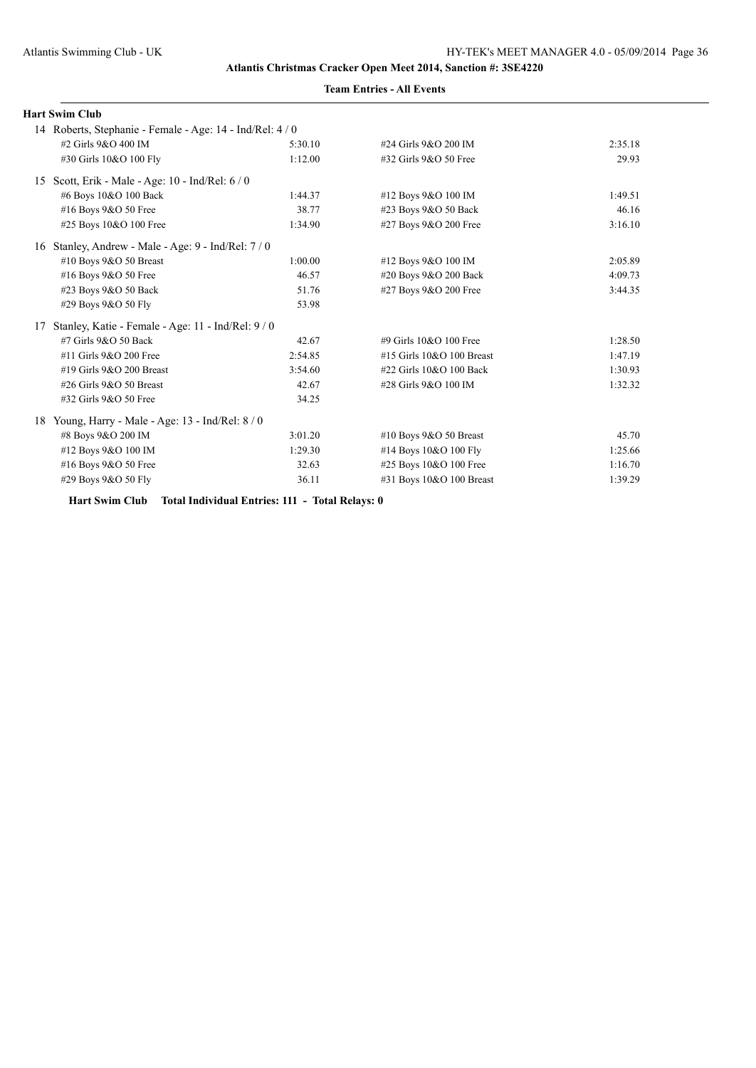|    | <b>Hart Swim Club</b>                                   |         |                           |         |
|----|---------------------------------------------------------|---------|---------------------------|---------|
|    | 14 Roberts, Stephanie - Female - Age: 14 - Ind/Rel: 4/0 |         |                           |         |
|    | #2 Girls 9&O 400 IM                                     | 5:30.10 | #24 Girls 9&O 200 IM      | 2:35.18 |
|    | #30 Girls 10&O 100 Fly                                  | 1:12.00 | #32 Girls 9&O 50 Free     | 29.93   |
| 15 | Scott, Erik - Male - Age: 10 - Ind/Rel: 6 / 0           |         |                           |         |
|    | #6 Boys 10&O 100 Back                                   | 1:44.37 | #12 Boys 9&O 100 IM       | 1:49.51 |
|    | #16 Boys 9&O 50 Free                                    | 38.77   | #23 Boys 9&O 50 Back      | 46.16   |
|    | #25 Boys 10&O 100 Free                                  | 1:34.90 | #27 Boys 9&O 200 Free     | 3:16.10 |
| 16 | Stanley, Andrew - Male - Age: 9 - Ind/Rel: 7 / 0        |         |                           |         |
|    | #10 Boys $9&O$ 50 Breast                                | 1:00.00 | #12 Boys 9&O 100 IM       | 2:05.89 |
|    | #16 Boys 9&O 50 Free                                    | 46.57   | #20 Boys 9&O 200 Back     | 4:09.73 |
|    | #23 Boys 9&O 50 Back                                    | 51.76   | #27 Boys 9&O 200 Free     | 3:44.35 |
|    | #29 Boys 9&O 50 Fly                                     | 53.98   |                           |         |
| 17 | Stanley, Katie - Female - Age: 11 - Ind/Rel: 9 / 0      |         |                           |         |
|    | #7 Girls 9&O 50 Back                                    | 42.67   | #9 Girls $10&O$ 100 Free  | 1:28.50 |
|    | #11 Girls 9&O 200 Free                                  | 2:54.85 | #15 Girls 10&O 100 Breast | 1:47.19 |
|    | #19 Girls 9&O 200 Breast                                | 3:54.60 | #22 Girls 10&O 100 Back   | 1:30.93 |
|    | #26 Girls 9&O 50 Breast                                 | 42.67   | #28 Girls 9&O 100 IM      | 1:32.32 |
|    | #32 Girls 9&O 50 Free                                   | 34.25   |                           |         |
| 18 | Young, Harry - Male - Age: 13 - Ind/Rel: 8 / 0          |         |                           |         |
|    | #8 Boys 9&O 200 IM                                      | 3:01.20 | #10 Boys $9&O 50$ Breast  | 45.70   |
|    | #12 Boys 9&O 100 IM                                     | 1:29.30 | #14 Boys 10&O 100 Fly     | 1:25.66 |
|    | #16 Boys 9&O 50 Free                                    | 32.63   | #25 Boys 10&O 100 Free    | 1:16.70 |
|    | #29 Boys 9&O 50 Fly                                     | 36.11   | #31 Boys 10&O 100 Breast  | 1:39.29 |

**Hart Swim Club Total Individual Entries: 111 - Total Relays: 0**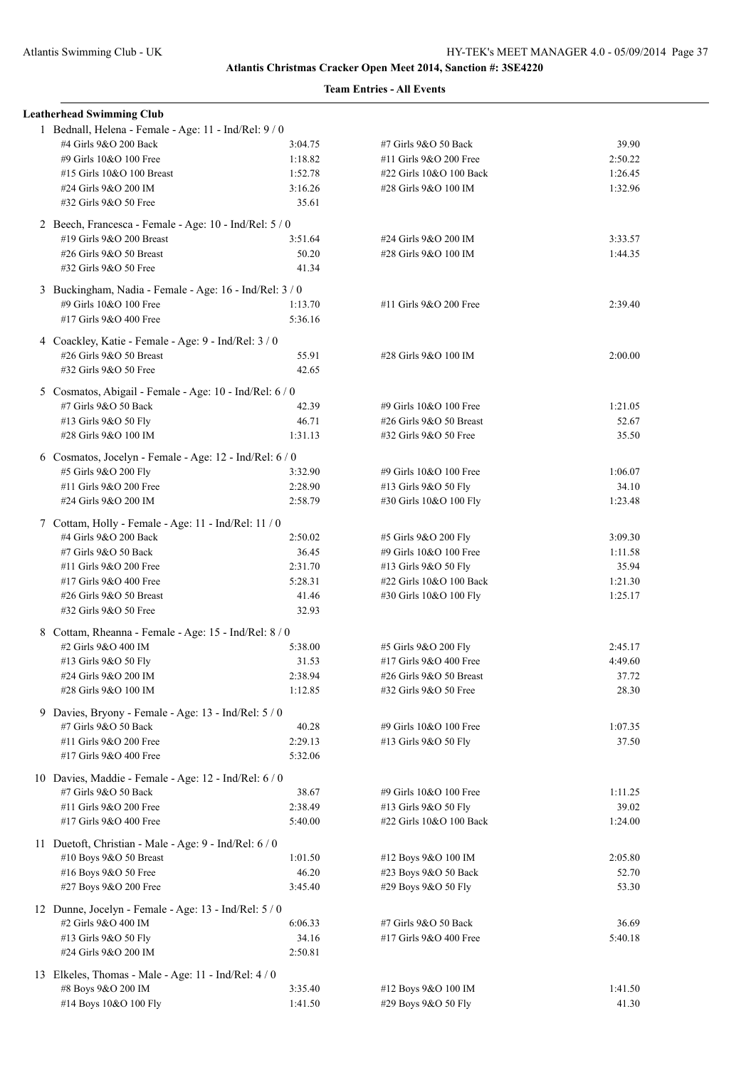| <b>Leatherhead Swimming Club</b>                                                 |                    |                                                 |                    |
|----------------------------------------------------------------------------------|--------------------|-------------------------------------------------|--------------------|
| 1 Bednall, Helena - Female - Age: 11 - Ind/Rel: 9 / 0<br>#4 Girls 9&O 200 Back   | 3:04.75            | #7 Girls 9&O 50 Back                            | 39.90              |
| #9 Girls 10&O 100 Free                                                           | 1:18.82            | #11 Girls 9&O 200 Free                          | 2:50.22            |
| #15 Girls 10&O 100 Breast                                                        | 1:52.78            | #22 Girls 10&O 100 Back                         | 1:26.45            |
| #24 Girls 9&O 200 IM                                                             | 3:16.26            | #28 Girls 9&O 100 IM                            | 1:32.96            |
| #32 Girls 9&O 50 Free                                                            | 35.61              |                                                 |                    |
| 2 Beech, Francesca - Female - Age: 10 - Ind/Rel: 5 / 0                           |                    |                                                 |                    |
| #19 Girls 9&O 200 Breast<br>#26 Girls 9&O 50 Breast                              | 3:51.64            | #24 Girls 9&O 200 IM                            | 3:33.57            |
| #32 Girls 9&O 50 Free                                                            | 50.20<br>41.34     | #28 Girls 9&O 100 IM                            | 1:44.35            |
| 3 Buckingham, Nadia - Female - Age: 16 - Ind/Rel: 3 / 0                          |                    |                                                 |                    |
| #9 Girls 10&O 100 Free                                                           | 1:13.70            | #11 Girls 9&O 200 Free                          | 2:39.40            |
| #17 Girls 9&O 400 Free                                                           | 5:36.16            |                                                 |                    |
| 4 Coackley, Katie - Female - Age: 9 - Ind/Rel: 3 / 0                             |                    |                                                 |                    |
| #26 Girls 9&O 50 Breast                                                          | 55.91              | #28 Girls 9&O 100 IM                            | 2:00.00            |
| #32 Girls 9&O 50 Free                                                            | 42.65              |                                                 |                    |
| 5 Cosmatos, Abigail - Female - Age: 10 - Ind/Rel: 6 / 0                          |                    |                                                 |                    |
| #7 Girls 9&O 50 Back                                                             | 42.39              | #9 Girls 10&O 100 Free                          | 1:21.05            |
| #13 Girls 9&O 50 Fly                                                             | 46.71              | #26 Girls 9&O 50 Breast                         | 52.67              |
| #28 Girls 9&O 100 IM                                                             | 1:31.13            | #32 Girls 9&O 50 Free                           | 35.50              |
| 6 Cosmatos, Jocelyn - Female - Age: 12 - Ind/Rel: 6 / 0                          |                    |                                                 |                    |
| #5 Girls 9&O 200 Fly                                                             | 3:32.90            | #9 Girls 10&O 100 Free                          | 1:06.07            |
| #11 Girls 9&O 200 Free                                                           | 2:28.90            | #13 Girls 9&O 50 Fly                            | 34.10              |
| #24 Girls 9&O 200 IM                                                             | 2:58.79            | #30 Girls 10&O 100 Fly                          | 1:23.48            |
| 7 Cottam, Holly - Female - Age: 11 - Ind/Rel: 11 / 0                             |                    |                                                 |                    |
| #4 Girls 9&O 200 Back<br>#7 Girls 9&O 50 Back                                    | 2:50.02<br>36.45   | #5 Girls 9&O 200 Fly<br>#9 Girls 10&O 100 Free  | 3:09.30<br>1:11.58 |
| #11 Girls 9&O 200 Free                                                           | 2:31.70            | #13 Girls 9&O 50 Fly                            | 35.94              |
| #17 Girls 9&O 400 Free                                                           | 5:28.31            | #22 Girls 10&O 100 Back                         | 1:21.30            |
| #26 Girls 9&O 50 Breast                                                          | 41.46              | #30 Girls 10&O 100 Fly                          | 1:25.17            |
| #32 Girls 9&O 50 Free                                                            | 32.93              |                                                 |                    |
| 8 Cottam, Rheanna - Female - Age: 15 - Ind/Rel: 8 / 0                            |                    |                                                 |                    |
| #2 Girls 9&O 400 IM                                                              | 5:38.00            | #5 Girls 9&O 200 Fly                            | 2:45.17            |
| #13 Girls 9&O 50 Fly                                                             | 31.53              | #17 Girls 9&O 400 Free                          | 4:49.60            |
| #24 Girls 9&O 200 IM                                                             | 2:38.94            | #26 Girls 9&O 50 Breast                         | 37.72              |
| #28 Girls 9&O 100 IM                                                             | 1:12.85            | #32 Girls 9&O 50 Free                           | 28.30              |
| 9 Davies, Bryony - Female - Age: 13 - Ind/Rel: 5 / 0                             |                    |                                                 |                    |
| #7 Girls 9&O 50 Back                                                             | 40.28              | #9 Girls 10&O 100 Free                          | 1:07.35            |
| #11 Girls 9&O 200 Free                                                           | 2:29.13            | #13 Girls 9&O 50 Fly                            | 37.50              |
| #17 Girls 9&O 400 Free                                                           | 5:32.06            |                                                 |                    |
| 10 Davies, Maddie - Female - Age: 12 - Ind/Rel: 6 / 0                            |                    |                                                 |                    |
| #7 Girls 9&O 50 Back                                                             | 38.67              | #9 Girls 10&O 100 Free                          | 1:11.25            |
| #11 Girls 9&O 200 Free<br>#17 Girls 9&O 400 Free                                 | 2:38.49<br>5:40.00 | #13 Girls 9&O 50 Fly<br>#22 Girls 10&O 100 Back | 39.02<br>1:24.00   |
|                                                                                  |                    |                                                 |                    |
| 11 Duetoft, Christian - Male - Age: 9 - Ind/Rel: 6 / 0<br>#10 Boys 9&O 50 Breast | 1:01.50            | #12 Boys 9&O 100 IM                             | 2:05.80            |
| #16 Boys 9&O 50 Free                                                             | 46.20              | #23 Boys 9&O 50 Back                            | 52.70              |
| #27 Boys 9&O 200 Free                                                            | 3:45.40            | #29 Boys 9&O 50 Fly                             | 53.30              |
| 12 Dunne, Jocelyn - Female - Age: 13 - Ind/Rel: 5 / 0                            |                    |                                                 |                    |
| #2 Girls 9&O 400 IM                                                              | 6:06.33            | #7 Girls 9&O 50 Back                            | 36.69              |
| #13 Girls 9&O 50 Fly                                                             | 34.16              | #17 Girls 9&O 400 Free                          | 5:40.18            |
| #24 Girls 9&O 200 IM                                                             | 2:50.81            |                                                 |                    |
| 13 Elkeles, Thomas - Male - Age: 11 - Ind/Rel: 4 / 0                             |                    |                                                 |                    |
| #8 Boys 9&O 200 IM                                                               | 3:35.40            | #12 Boys 9&O 100 IM                             | 1:41.50            |
| #14 Boys 10&O 100 Fly                                                            | 1:41.50            | #29 Boys 9&O 50 Fly                             | 41.30              |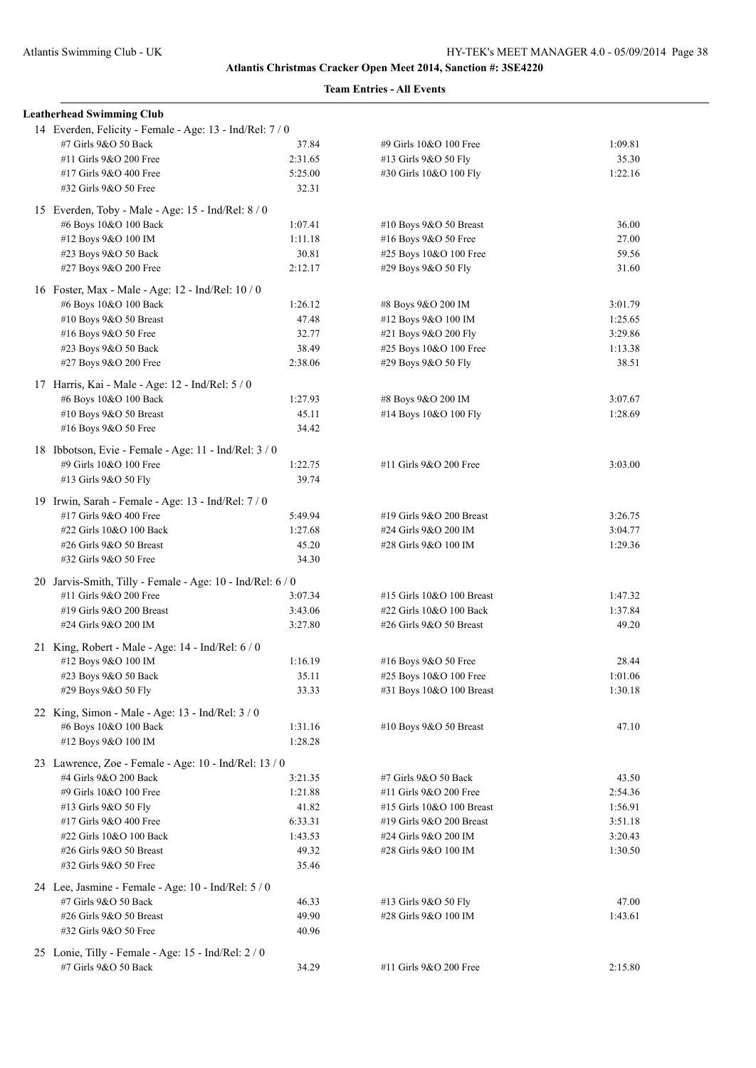|  | <b>Leatherhead Swimming Club</b>                                          |         |                           |         |
|--|---------------------------------------------------------------------------|---------|---------------------------|---------|
|  | 14 Everden, Felicity - Female - Age: 13 - Ind/Rel: 7 / 0                  |         |                           |         |
|  | #7 Girls 9&O 50 Back                                                      | 37.84   | #9 Girls 10&O 100 Free    | 1:09.81 |
|  | #11 Girls 9&O 200 Free                                                    | 2:31.65 | #13 Girls 9&O 50 Fly      | 35.30   |
|  | #17 Girls 9&O 400 Free                                                    | 5:25.00 | #30 Girls 10&O 100 Fly    | 1:22.16 |
|  | #32 Girls 9&O 50 Free                                                     | 32.31   |                           |         |
|  | 15 Everden, Toby - Male - Age: 15 - Ind/Rel: 8 / 0                        |         |                           |         |
|  | #6 Boys 10&O 100 Back                                                     | 1:07.41 | #10 Boys 9&O 50 Breast    | 36.00   |
|  | #12 Boys 9&O 100 IM                                                       | 1:11.18 | #16 Boys 9&O 50 Free      | 27.00   |
|  | #23 Boys 9&O 50 Back                                                      | 30.81   | #25 Boys 10&O 100 Free    | 59.56   |
|  | #27 Boys 9&O 200 Free                                                     | 2:12.17 | #29 Boys 9&O 50 Fly       | 31.60   |
|  |                                                                           |         |                           |         |
|  | 16 Foster, Max - Male - Age: 12 - Ind/Rel: 10 / 0                         |         |                           |         |
|  | #6 Boys 10&O 100 Back                                                     | 1:26.12 | #8 Boys 9&O 200 IM        | 3:01.79 |
|  | #10 Boys 9&O 50 Breast                                                    | 47.48   | #12 Boys 9&O 100 IM       | 1:25.65 |
|  | #16 Boys 9&O 50 Free                                                      | 32.77   | #21 Boys 9&O 200 Fly      | 3:29.86 |
|  | #23 Boys 9&O 50 Back                                                      | 38.49   | #25 Boys 10&O 100 Free    | 1:13.38 |
|  | #27 Boys 9&O 200 Free                                                     | 2:38.06 | #29 Boys 9&O 50 Fly       | 38.51   |
|  | 17 Harris, Kai - Male - Age: 12 - Ind/Rel: 5 / 0                          |         |                           |         |
|  | #6 Boys 10&O 100 Back                                                     | 1:27.93 | #8 Boys 9&O 200 IM        | 3:07.67 |
|  | #10 Boys 9&O 50 Breast                                                    | 45.11   | #14 Boys 10&O 100 Fly     | 1:28.69 |
|  | #16 Boys 9&O 50 Free                                                      | 34.42   |                           |         |
|  | 18 Ibbotson, Evie - Female - Age: 11 - Ind/Rel: 3 / 0                     |         |                           |         |
|  | #9 Girls 10&O 100 Free                                                    | 1:22.75 | #11 Girls 9&O 200 Free    | 3:03.00 |
|  | #13 Girls 9&O 50 Fly                                                      | 39.74   |                           |         |
|  |                                                                           |         |                           |         |
|  | 19 Irwin, Sarah - Female - Age: 13 - Ind/Rel: 7/0                         |         |                           |         |
|  | #17 Girls 9&O 400 Free                                                    | 5:49.94 | #19 Girls 9&O 200 Breast  | 3:26.75 |
|  | #22 Girls 10&O 100 Back                                                   | 1:27.68 | #24 Girls 9&O 200 IM      | 3:04.77 |
|  | #26 Girls 9&O 50 Breast                                                   | 45.20   | #28 Girls 9&O 100 IM      | 1:29.36 |
|  | #32 Girls 9&O 50 Free                                                     | 34.30   |                           |         |
|  | 20 Jarvis-Smith, Tilly - Female - Age: 10 - Ind/Rel: 6 / 0                |         |                           |         |
|  | #11 Girls 9&O 200 Free                                                    | 3:07.34 | #15 Girls 10&O 100 Breast | 1:47.32 |
|  | #19 Girls 9&O 200 Breast                                                  | 3:43.06 | #22 Girls 10&O 100 Back   | 1:37.84 |
|  | #24 Girls 9&O 200 IM                                                      | 3:27.80 | #26 Girls 9&O 50 Breast   | 49.20   |
|  | 21 King, Robert - Male - Age: 14 - Ind/Rel: 6 / 0                         |         |                           |         |
|  | #12 Boys 9&O 100 IM                                                       | 1:16.19 | #16 Boys 9&O 50 Free      | 28.44   |
|  | #23 Boys 9&O 50 Back                                                      | 35.11   | #25 Boys 10&O 100 Free    | 1:01.06 |
|  | #29 Boys 9&O 50 Fly                                                       | 33.33   | #31 Boys 10&O 100 Breast  | 1:30.18 |
|  |                                                                           |         |                           |         |
|  | 22 King, Simon - Male - Age: 13 - Ind/Rel: 3 / 0<br>#6 Boys 10&O 100 Back | 1:31.16 | #10 Boys 9&O 50 Breast    | 47.10   |
|  | #12 Boys 9&O 100 IM                                                       | 1:28.28 |                           |         |
|  |                                                                           |         |                           |         |
|  | 23 Lawrence, Zoe - Female - Age: 10 - Ind/Rel: 13 / 0                     |         |                           |         |
|  | #4 Girls 9&O 200 Back                                                     | 3:21.35 | #7 Girls 9&O 50 Back      | 43.50   |
|  | #9 Girls 10&O 100 Free                                                    | 1:21.88 | #11 Girls 9&O 200 Free    | 2:54.36 |
|  | #13 Girls 9&O 50 Fly                                                      | 41.82   | #15 Girls 10&O 100 Breast | 1:56.91 |
|  | #17 Girls 9&O 400 Free                                                    | 6:33.31 | #19 Girls 9&O 200 Breast  | 3:51.18 |
|  | #22 Girls 10&O 100 Back                                                   | 1:43.53 | #24 Girls 9&O 200 IM      | 3:20.43 |
|  | #26 Girls 9&O 50 Breast                                                   | 49.32   | #28 Girls 9&O 100 IM      | 1:30.50 |
|  | #32 Girls 9&O 50 Free                                                     | 35.46   |                           |         |
|  | 24 Lee, Jasmine - Female - Age: 10 - Ind/Rel: 5 / 0                       |         |                           |         |
|  | #7 Girls 9&O 50 Back                                                      | 46.33   | #13 Girls 9&O 50 Fly      | 47.00   |
|  | #26 Girls 9&O 50 Breast                                                   | 49.90   | #28 Girls 9&O 100 IM      | 1:43.61 |
|  | #32 Girls 9&O 50 Free                                                     | 40.96   |                           |         |
|  | 25 Lonie, Tilly - Female - Age: 15 - Ind/Rel: 2 / 0                       |         |                           |         |
|  | #7 Girls 9&O 50 Back                                                      | 34.29   | #11 Girls 9&O 200 Free    | 2:15.80 |
|  |                                                                           |         |                           |         |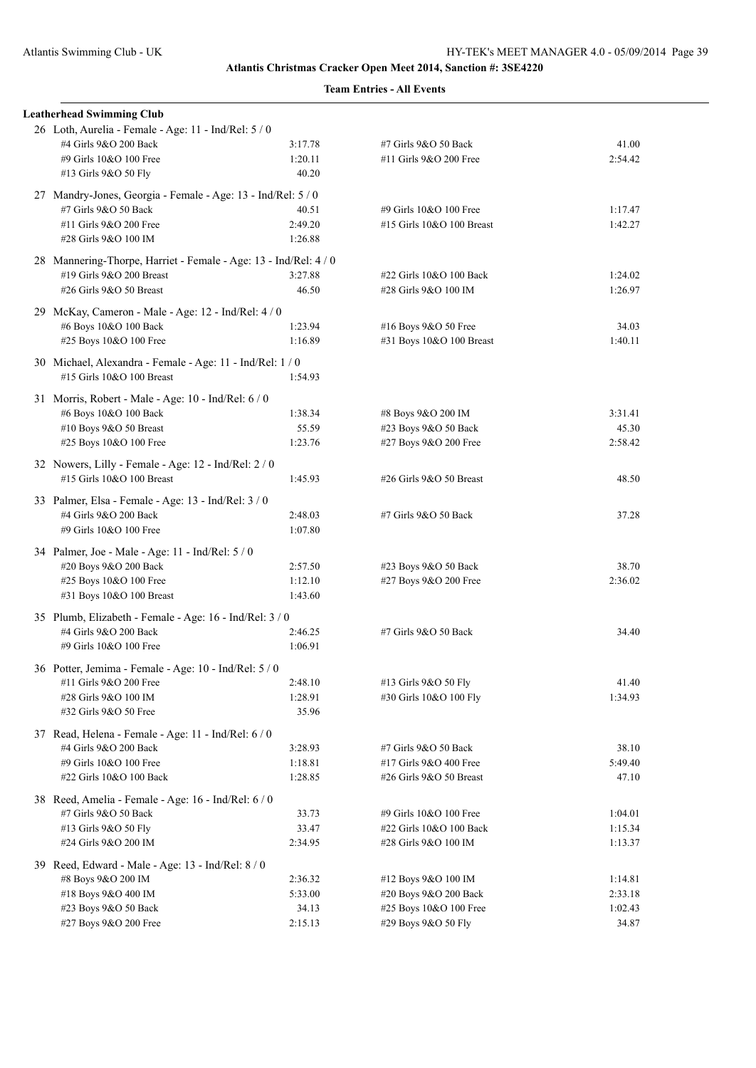|  | <b>Leatherhead Swimming Club</b>                                                |         |                           |         |
|--|---------------------------------------------------------------------------------|---------|---------------------------|---------|
|  | 26 Loth, Aurelia - Female - Age: 11 - Ind/Rel: 5 / 0                            |         |                           |         |
|  | #4 Girls 9&O 200 Back                                                           | 3:17.78 | #7 Girls 9&O 50 Back      | 41.00   |
|  | #9 Girls 10&O 100 Free                                                          | 1:20.11 | #11 Girls 9&O 200 Free    | 2:54.42 |
|  | #13 Girls 9&O 50 Fly                                                            | 40.20   |                           |         |
|  | 27 Mandry-Jones, Georgia - Female - Age: 13 - Ind/Rel: 5 / 0                    |         |                           |         |
|  | #7 Girls 9&O 50 Back                                                            | 40.51   | #9 Girls 10&O 100 Free    | 1:17.47 |
|  | #11 Girls 9&O 200 Free                                                          | 2:49.20 | #15 Girls 10&O 100 Breast | 1:42.27 |
|  | #28 Girls 9&O 100 IM                                                            | 1:26.88 |                           |         |
|  | 28 Mannering-Thorpe, Harriet - Female - Age: 13 - Ind/Rel: 4 / 0                |         |                           |         |
|  | #19 Girls 9&O 200 Breast                                                        | 3:27.88 | #22 Girls 10&O 100 Back   | 1:24.02 |
|  | #26 Girls 9&O 50 Breast                                                         | 46.50   | #28 Girls 9&O 100 IM      | 1:26.97 |
|  | 29 McKay, Cameron - Male - Age: 12 - Ind/Rel: 4 / 0                             |         |                           |         |
|  | #6 Boys 10&O 100 Back                                                           | 1:23.94 | #16 Boys 9&O 50 Free      | 34.03   |
|  | #25 Boys 10&O 100 Free                                                          | 1:16.89 | #31 Boys 10&O 100 Breast  | 1:40.11 |
|  | 30 Michael, Alexandra - Female - Age: 11 - Ind/Rel: 1/0                         |         |                           |         |
|  | #15 Girls 10&O 100 Breast                                                       | 1:54.93 |                           |         |
|  | 31 Morris, Robert - Male - Age: 10 - Ind/Rel: 6 / 0                             |         |                           |         |
|  | #6 Boys 10&O 100 Back                                                           | 1:38.34 | #8 Boys 9&O 200 IM        | 3:31.41 |
|  | #10 Boys 9&O 50 Breast                                                          | 55.59   | #23 Boys 9&O 50 Back      | 45.30   |
|  | #25 Boys 10&O 100 Free                                                          | 1:23.76 | #27 Boys 9&O 200 Free     | 2:58.42 |
|  |                                                                                 |         |                           |         |
|  | 32 Nowers, Lilly - Female - Age: 12 - Ind/Rel: 2/0<br>#15 Girls 10&O 100 Breast | 1:45.93 | #26 Girls 9&O 50 Breast   | 48.50   |
|  |                                                                                 |         |                           |         |
|  | 33 Palmer, Elsa - Female - Age: 13 - Ind/Rel: 3 / 0                             |         |                           |         |
|  | #4 Girls 9&O 200 Back                                                           | 2:48.03 | #7 Girls 9&O 50 Back      | 37.28   |
|  | #9 Girls 10&O 100 Free                                                          | 1:07.80 |                           |         |
|  | 34 Palmer, Joe - Male - Age: 11 - Ind/Rel: 5 / 0                                |         |                           |         |
|  | #20 Boys 9&O 200 Back                                                           | 2:57.50 | #23 Boys 9&O 50 Back      | 38.70   |
|  | #25 Boys 10&O 100 Free                                                          | 1:12.10 | #27 Boys 9&O 200 Free     | 2:36.02 |
|  | #31 Boys 10&O 100 Breast                                                        | 1:43.60 |                           |         |
|  | 35 Plumb, Elizabeth - Female - Age: 16 - Ind/Rel: 3 / 0                         |         |                           |         |
|  | #4 Girls 9&O 200 Back                                                           | 2:46.25 | #7 Girls 9&O 50 Back      | 34.40   |
|  | #9 Girls 10&O 100 Free                                                          | 1:06.91 |                           |         |
|  | 36 Potter, Jemima - Female - Age: 10 - Ind/Rel: 5 / 0                           |         |                           |         |
|  | #11 Girls 9&O 200 Free                                                          | 2:48.10 | #13 Girls 9&O 50 Fly      | 41.40   |
|  | #28 Girls 9&O 100 IM                                                            | 1:28.91 | #30 Girls 10&O 100 Fly    | 1:34.93 |
|  | #32 Girls 9&O 50 Free                                                           | 35.96   |                           |         |
|  | 37 Read, Helena - Female - Age: 11 - Ind/Rel: 6 / 0                             |         |                           |         |
|  | #4 Girls 9&O 200 Back                                                           | 3:28.93 | #7 Girls 9&O 50 Back      | 38.10   |
|  | #9 Girls 10&O 100 Free                                                          | 1:18.81 | #17 Girls 9&O 400 Free    | 5:49.40 |
|  | #22 Girls 10&O 100 Back                                                         | 1:28.85 | #26 Girls 9&O 50 Breast   | 47.10   |
|  | 38 Reed, Amelia - Female - Age: 16 - Ind/Rel: 6 / 0                             |         |                           |         |
|  | #7 Girls 9&O 50 Back                                                            | 33.73   | #9 Girls 10&O 100 Free    | 1:04.01 |
|  | #13 Girls 9&O 50 Fly                                                            | 33.47   | #22 Girls 10&O 100 Back   | 1:15.34 |
|  | #24 Girls 9&O 200 IM                                                            | 2:34.95 | #28 Girls 9&O 100 IM      | 1:13.37 |
|  | 39 Reed, Edward - Male - Age: 13 - Ind/Rel: 8 / 0                               |         |                           |         |
|  | #8 Boys 9&O 200 IM                                                              | 2:36.32 | #12 Boys 9&O 100 IM       | 1:14.81 |
|  | #18 Boys 9&O 400 IM                                                             | 5:33.00 | #20 Boys 9&O 200 Back     | 2:33.18 |
|  | #23 Boys 9&O 50 Back                                                            | 34.13   | #25 Boys 10&O 100 Free    | 1:02.43 |
|  | #27 Boys 9&O 200 Free                                                           | 2:15.13 | #29 Boys 9&O 50 Fly       | 34.87   |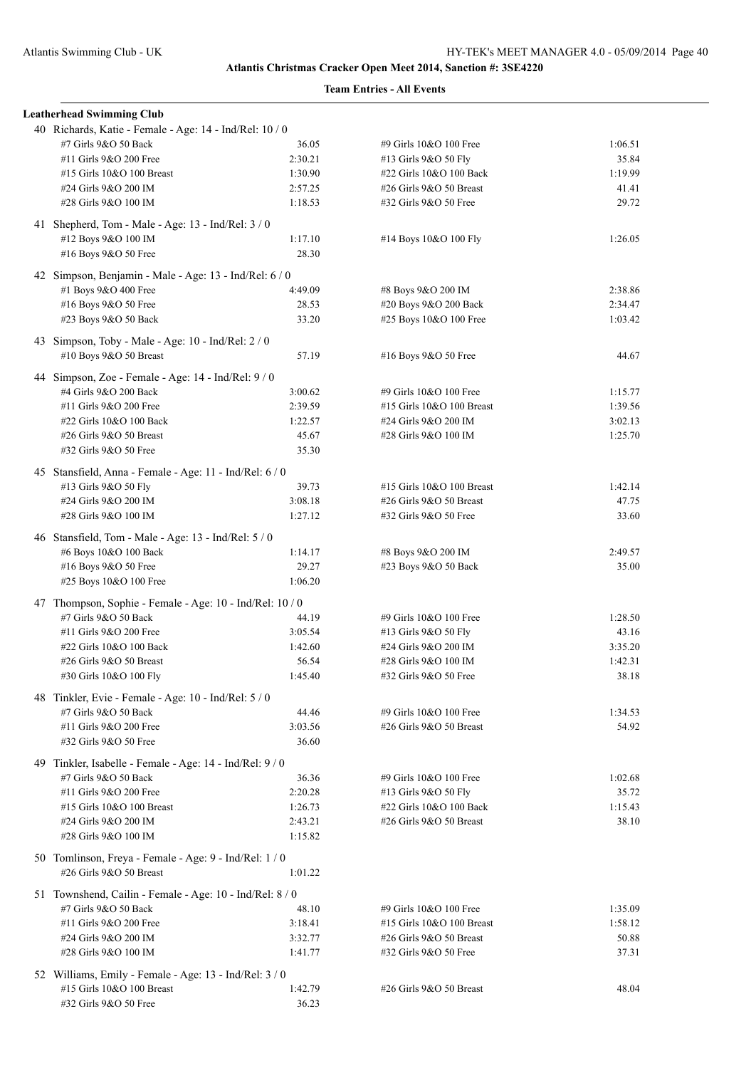| <b>Leatherhead Swimming Club</b>                                              |         |                           |         |
|-------------------------------------------------------------------------------|---------|---------------------------|---------|
| 40 Richards, Katie - Female - Age: 14 - Ind/Rel: 10 / 0                       |         |                           |         |
| #7 Girls 9&O 50 Back                                                          | 36.05   | #9 Girls 10&O 100 Free    | 1:06.51 |
| #11 Girls 9&O 200 Free                                                        | 2:30.21 | #13 Girls 9&O 50 Fly      | 35.84   |
| #15 Girls 10&O 100 Breast                                                     | 1:30.90 | #22 Girls 10&O 100 Back   | 1:19.99 |
| #24 Girls 9&O 200 IM                                                          | 2:57.25 | #26 Girls 9&O 50 Breast   | 41.41   |
| #28 Girls 9&O 100 IM                                                          | 1:18.53 | #32 Girls 9&O 50 Free     | 29.72   |
| 41 Shepherd, Tom - Male - Age: 13 - Ind/Rel: 3 / 0                            |         |                           |         |
| #12 Boys 9&O 100 IM                                                           | 1:17.10 | #14 Boys 10&O 100 Fly     | 1:26.05 |
| #16 Boys 9&O 50 Free                                                          | 28.30   |                           |         |
| 42 Simpson, Benjamin - Male - Age: 13 - Ind/Rel: 6 / 0                        |         |                           |         |
| #1 Boys 9&O 400 Free                                                          | 4:49.09 | #8 Boys 9&O 200 IM        | 2:38.86 |
| #16 Boys 9&O 50 Free                                                          | 28.53   | #20 Boys 9&O 200 Back     | 2:34.47 |
| #23 Boys 9&O 50 Back                                                          | 33.20   | #25 Boys 10&O 100 Free    | 1:03.42 |
| 43 Simpson, Toby - Male - Age: 10 - Ind/Rel: 2 / 0                            |         |                           |         |
| #10 Boys 9&O 50 Breast                                                        | 57.19   | #16 Boys 9&O 50 Free      | 44.67   |
| 44 Simpson, Zoe - Female - Age: 14 - Ind/Rel: 9/0                             |         |                           |         |
| #4 Girls 9&O 200 Back                                                         | 3:00.62 | #9 Girls 10&O 100 Free    | 1:15.77 |
| #11 Girls 9&O 200 Free                                                        | 2:39.59 | #15 Girls 10&O 100 Breast | 1:39.56 |
| #22 Girls 10&O 100 Back                                                       | 1:22.57 | #24 Girls 9&O 200 IM      | 3:02.13 |
| #26 Girls 9&O 50 Breast                                                       | 45.67   | #28 Girls 9&O 100 IM      | 1:25.70 |
| #32 Girls 9&O 50 Free                                                         | 35.30   |                           |         |
| 45 Stansfield, Anna - Female - Age: 11 - Ind/Rel: 6 / 0                       |         |                           |         |
| #13 Girls 9&O 50 Fly                                                          | 39.73   | #15 Girls 10&O 100 Breast | 1:42.14 |
| #24 Girls 9&O 200 IM                                                          | 3:08.18 | #26 Girls 9&O 50 Breast   | 47.75   |
| #28 Girls 9&O 100 IM                                                          | 1:27.12 | #32 Girls 9&O 50 Free     | 33.60   |
|                                                                               |         |                           |         |
| 46 Stansfield, Tom - Male - Age: 13 - Ind/Rel: 5 / 0<br>#6 Boys 10&O 100 Back | 1:14.17 | #8 Boys 9&O 200 IM        | 2:49.57 |
| #16 Boys 9&O 50 Free                                                          | 29.27   | #23 Boys 9&O 50 Back      | 35.00   |
| #25 Boys 10&O 100 Free                                                        | 1:06.20 |                           |         |
|                                                                               |         |                           |         |
| 47 Thompson, Sophie - Female - Age: 10 - Ind/Rel: 10 / 0                      |         |                           |         |
| #7 Girls 9&O 50 Back                                                          | 44.19   | #9 Girls 10&O 100 Free    | 1:28.50 |
| #11 Girls 9&O 200 Free                                                        | 3:05.54 | #13 Girls 9&O 50 Fly      | 43.16   |
| #22 Girls 10&O 100 Back                                                       | 1:42.60 | #24 Girls 9&O 200 IM      | 3:35.20 |
| #26 Girls 9&O 50 Breast                                                       | 56.54   | #28 Girls 9&O 100 IM      | 1:42.31 |
| #30 Girls 10&O 100 Fly                                                        | 1:45.40 | #32 Girls 9&O 50 Free     | 38.18   |
| 48 Tinkler, Evie - Female - Age: 10 - Ind/Rel: 5 / 0                          |         |                           |         |
| #7 Girls 9&O 50 Back                                                          | 44.46   | #9 Girls 10&O 100 Free    | 1:34.53 |
| #11 Girls 9&O 200 Free                                                        | 3:03.56 | #26 Girls 9&O 50 Breast   | 54.92   |
| #32 Girls 9&O 50 Free                                                         | 36.60   |                           |         |
| 49 Tinkler, Isabelle - Female - Age: 14 - Ind/Rel: 9 / 0                      |         |                           |         |
| #7 Girls 9&O 50 Back                                                          | 36.36   | #9 Girls 10&O 100 Free    | 1:02.68 |
| #11 Girls 9&O 200 Free                                                        | 2:20.28 | #13 Girls 9&O 50 Fly      | 35.72   |
| #15 Girls 10&O 100 Breast                                                     | 1:26.73 | #22 Girls 10&O 100 Back   | 1:15.43 |
| #24 Girls 9&O 200 IM                                                          | 2:43.21 | #26 Girls 9&O 50 Breast   | 38.10   |
| #28 Girls 9&O 100 IM                                                          | 1:15.82 |                           |         |
| 50 Tomlinson, Freya - Female - Age: 9 - Ind/Rel: 1 / 0                        |         |                           |         |
| #26 Girls 9&O 50 Breast                                                       | 1:01.22 |                           |         |
| 51 Townshend, Cailin - Female - Age: 10 - Ind/Rel: 8 / 0                      |         |                           |         |
| #7 Girls 9&O 50 Back                                                          | 48.10   | #9 Girls 10&O 100 Free    | 1:35.09 |
| #11 Girls 9&O 200 Free                                                        | 3:18.41 | #15 Girls 10&O 100 Breast | 1:58.12 |
| #24 Girls 9&O 200 IM                                                          | 3:32.77 | #26 Girls $9&O 50$ Breast | 50.88   |
| #28 Girls 9&O 100 IM                                                          | 1:41.77 | #32 Girls 9&O 50 Free     | 37.31   |
| 52 Williams, Emily - Female - Age: 13 - Ind/Rel: 3 / 0                        |         |                           |         |
| #15 Girls 10&O 100 Breast                                                     | 1:42.79 | #26 Girls 9&O 50 Breast   | 48.04   |
| #32 Girls 9&O 50 Free                                                         | 36.23   |                           |         |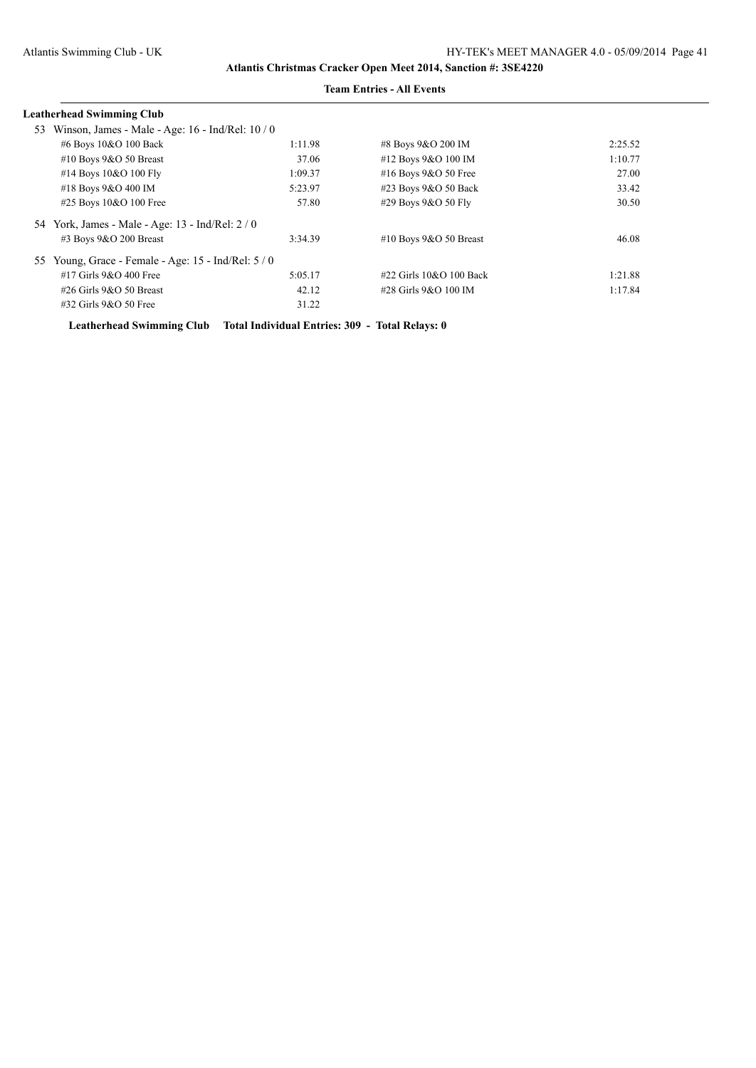| <b>Leatherhead Swimming Club</b>                         |         |                              |         |
|----------------------------------------------------------|---------|------------------------------|---------|
| Winson, James - Male - Age: $16$ - Ind/Rel: $10/0$<br>53 |         |                              |         |
| #6 Boys 10&O 100 Back                                    | 1:11.98 | #8 Boys 9&O 200 IM           | 2:25.52 |
| #10 Boys $9&O$ 50 Breast                                 | 37.06   | #12 Boys 9&O 100 IM          | 1:10.77 |
| #14 Boys 10&O 100 Fly                                    | 1:09.37 | #16 Boys 9&O 50 Free         | 27.00   |
| #18 Boys 9&O 400 IM                                      | 5:23.97 | #23 Boys 9&O 50 Back         | 33.42   |
| #25 Boys 10&O 100 Free                                   | 57.80   | #29 Boys 9&O 50 Fly          | 30.50   |
| 54 York, James - Male - Age: 13 - Ind/Rel: 2/0           |         |                              |         |
| $\#3$ Boys 9&O 200 Breast                                | 3:34.39 | #10 Boys $9&O 50$ Breast     | 46.08   |
| 55 Young, Grace - Female - Age: 15 - Ind/Rel: 5 / 0      |         |                              |         |
| $#17$ Girls 9&O 400 Free                                 | 5:05.17 | $\#22$ Girls $10&O$ 100 Back | 1:21.88 |
| $\#26$ Girls 9&O 50 Breast                               | 42.12   | #28 Girls 9&O 100 IM         | 1:17.84 |
| #32 Girls 9&O 50 Free                                    | 31.22   |                              |         |

#### **Team Entries - All Events**

**Leatherhead Swimming Club Total Individual Entries: 309 - Total Relays: 0**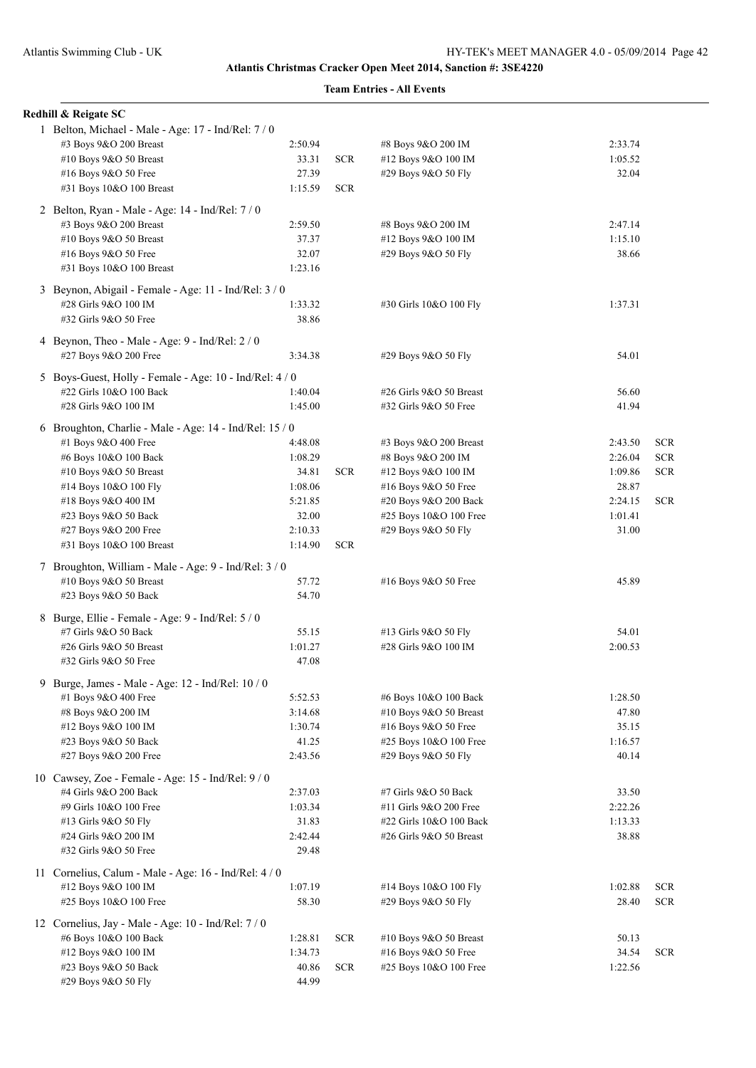|  | Redhill & Reigate SC                                    |         |            |                         |         |            |
|--|---------------------------------------------------------|---------|------------|-------------------------|---------|------------|
|  | 1 Belton, Michael - Male - Age: 17 - Ind/Rel: 7/0       |         |            |                         |         |            |
|  | #3 Boys 9&O 200 Breast                                  | 2:50.94 |            | #8 Boys 9&O 200 IM      | 2:33.74 |            |
|  | #10 Boys 9&O 50 Breast                                  | 33.31   | <b>SCR</b> | #12 Boys 9&O 100 IM     | 1:05.52 |            |
|  | #16 Boys 9&O 50 Free                                    | 27.39   |            | #29 Boys 9&O 50 Fly     | 32.04   |            |
|  | #31 Boys 10&O 100 Breast                                | 1:15.59 | <b>SCR</b> |                         |         |            |
|  | 2 Belton, Ryan - Male - Age: 14 - Ind/Rel: 7 / 0        |         |            |                         |         |            |
|  | #3 Boys 9&O 200 Breast                                  | 2:59.50 |            | #8 Boys 9&O 200 IM      | 2:47.14 |            |
|  | #10 Boys 9&O 50 Breast                                  | 37.37   |            | #12 Boys 9&O 100 IM     | 1:15.10 |            |
|  | #16 Boys 9&O 50 Free                                    | 32.07   |            | #29 Boys 9&O 50 Fly     | 38.66   |            |
|  | #31 Boys 10&O 100 Breast                                | 1:23.16 |            |                         |         |            |
|  |                                                         |         |            |                         |         |            |
|  | 3 Beynon, Abigail - Female - Age: 11 - Ind/Rel: 3 / 0   |         |            |                         |         |            |
|  | #28 Girls 9&O 100 IM                                    | 1:33.32 |            | #30 Girls 10&O 100 Fly  | 1:37.31 |            |
|  | #32 Girls 9&O 50 Free                                   | 38.86   |            |                         |         |            |
|  | 4 Beynon, Theo - Male - Age: 9 - Ind/Rel: 2/0           |         |            |                         |         |            |
|  | #27 Boys 9&O 200 Free                                   | 3:34.38 |            | #29 Boys 9&O 50 Fly     | 54.01   |            |
|  | 5 Boys-Guest, Holly - Female - Age: 10 - Ind/Rel: 4/0   |         |            |                         |         |            |
|  | #22 Girls 10&O 100 Back                                 | 1:40.04 |            | #26 Girls 9&O 50 Breast | 56.60   |            |
|  | #28 Girls 9&O 100 IM                                    | 1:45.00 |            | #32 Girls 9&O 50 Free   | 41.94   |            |
|  | 6 Broughton, Charlie - Male - Age: 14 - Ind/Rel: 15 / 0 |         |            |                         |         |            |
|  | #1 Boys 9&O 400 Free                                    | 4:48.08 |            | #3 Boys 9&O 200 Breast  | 2:43.50 | <b>SCR</b> |
|  | #6 Boys 10&O 100 Back                                   | 1:08.29 |            | #8 Boys 9&O 200 IM      | 2:26.04 | <b>SCR</b> |
|  | #10 Boys 9&O 50 Breast                                  | 34.81   | <b>SCR</b> | #12 Boys 9&O 100 IM     | 1:09.86 | <b>SCR</b> |
|  | #14 Boys 10&O 100 Fly                                   | 1:08.06 |            | #16 Boys 9&O 50 Free    | 28.87   |            |
|  | #18 Boys 9&O 400 IM                                     | 5:21.85 |            | #20 Boys 9&O 200 Back   | 2:24.15 | <b>SCR</b> |
|  | #23 Boys 9&O 50 Back                                    | 32.00   |            | #25 Boys 10&O 100 Free  | 1:01.41 |            |
|  | #27 Boys 9&O 200 Free                                   | 2:10.33 |            | #29 Boys 9&O 50 Fly     | 31.00   |            |
|  | #31 Boys 10&O 100 Breast                                | 1:14.90 | <b>SCR</b> |                         |         |            |
|  |                                                         |         |            |                         |         |            |
|  | 7 Broughton, William - Male - Age: 9 - Ind/Rel: 3 / 0   | 57.72   |            |                         | 45.89   |            |
|  | #10 Boys 9&O 50 Breast<br>#23 Boys 9&O 50 Back          | 54.70   |            | #16 Boys 9&O 50 Free    |         |            |
|  |                                                         |         |            |                         |         |            |
|  | 8 Burge, Ellie - Female - Age: 9 - Ind/Rel: 5 / 0       |         |            |                         |         |            |
|  | #7 Girls 9&O 50 Back                                    | 55.15   |            | #13 Girls 9&O 50 Fly    | 54.01   |            |
|  | #26 Girls 9&O 50 Breast                                 | 1:01.27 |            | #28 Girls 9&O 100 IM    | 2:00.53 |            |
|  | #32 Girls 9&O 50 Free                                   | 47.08   |            |                         |         |            |
|  | 9 Burge, James - Male - Age: 12 - Ind/Rel: 10 / 0       |         |            |                         |         |            |
|  | #1 Boys 9&O 400 Free                                    | 5:52.53 |            | #6 Boys 10&O 100 Back   | 1:28.50 |            |
|  | #8 Boys 9&O 200 IM                                      | 3:14.68 |            | #10 Boys 9&O 50 Breast  | 47.80   |            |
|  | #12 Boys 9&O 100 IM                                     | 1:30.74 |            | #16 Boys 9&O 50 Free    | 35.15   |            |
|  | #23 Boys 9&O 50 Back                                    | 41.25   |            | #25 Boys 10&O 100 Free  | 1:16.57 |            |
|  | #27 Boys 9&O 200 Free                                   | 2:43.56 |            | #29 Boys 9&O 50 Fly     | 40.14   |            |
|  | 10 Cawsey, Zoe - Female - Age: 15 - Ind/Rel: 9/0        |         |            |                         |         |            |
|  | #4 Girls 9&O 200 Back                                   | 2:37.03 |            | #7 Girls 9&O 50 Back    | 33.50   |            |
|  | #9 Girls 10&O 100 Free                                  | 1:03.34 |            | #11 Girls 9&O 200 Free  | 2:22.26 |            |
|  | #13 Girls 9&O 50 Fly                                    | 31.83   |            | #22 Girls 10&O 100 Back | 1:13.33 |            |
|  | #24 Girls 9&O 200 IM                                    | 2:42.44 |            | #26 Girls 9&O 50 Breast | 38.88   |            |
|  | #32 Girls 9&O 50 Free                                   | 29.48   |            |                         |         |            |
|  | 11 Cornelius, Calum - Male - Age: 16 - Ind/Rel: 4 / 0   |         |            |                         |         |            |
|  | #12 Boys 9&O 100 IM                                     | 1:07.19 |            | #14 Boys 10&O 100 Fly   | 1:02.88 | <b>SCR</b> |
|  | #25 Boys 10&O 100 Free                                  | 58.30   |            | #29 Boys 9&O 50 Fly     | 28.40   | <b>SCR</b> |
|  | 12 Cornelius, Jay - Male - Age: 10 - Ind/Rel: 7/0       |         |            |                         |         |            |
|  | #6 Boys 10&O 100 Back                                   | 1:28.81 | <b>SCR</b> | #10 Boys 9&O 50 Breast  | 50.13   |            |
|  | #12 Boys 9&O 100 IM                                     | 1:34.73 |            | #16 Boys 9&O 50 Free    | 34.54   | <b>SCR</b> |
|  | #23 Boys 9&O 50 Back                                    | 40.86   | <b>SCR</b> | #25 Boys 10&O 100 Free  | 1:22.56 |            |
|  | #29 Boys 9&O 50 Fly                                     | 44.99   |            |                         |         |            |
|  |                                                         |         |            |                         |         |            |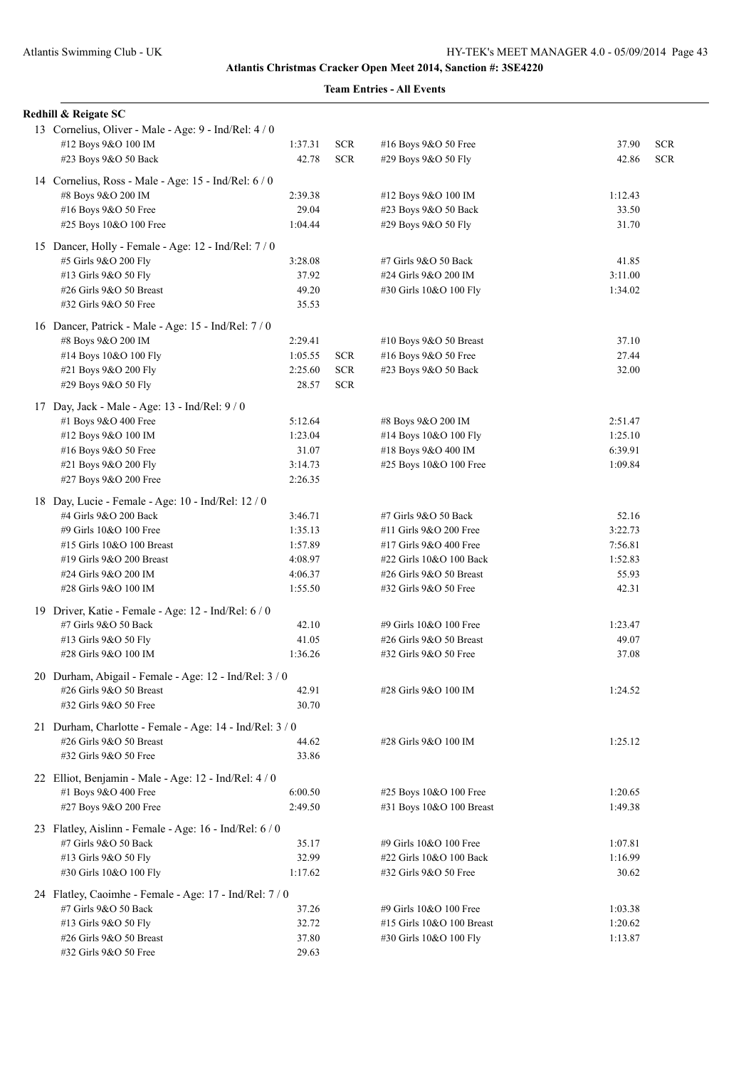| Redhill & Reigate SC                                     |                  |                          |                                             |                |                          |
|----------------------------------------------------------|------------------|--------------------------|---------------------------------------------|----------------|--------------------------|
| 13 Cornelius, Oliver - Male - Age: 9 - Ind/Rel: 4/0      |                  |                          |                                             |                |                          |
| #12 Boys 9&O 100 IM<br>#23 Boys 9&O 50 Back              | 1:37.31<br>42.78 | <b>SCR</b><br><b>SCR</b> | #16 Boys 9&O 50 Free<br>#29 Boys 9&O 50 Fly | 37.90<br>42.86 | <b>SCR</b><br><b>SCR</b> |
|                                                          |                  |                          |                                             |                |                          |
| 14 Cornelius, Ross - Male - Age: 15 - Ind/Rel: 6 / 0     |                  |                          |                                             |                |                          |
| #8 Boys 9&O 200 IM                                       | 2:39.38          |                          | #12 Boys 9&O 100 IM                         | 1:12.43        |                          |
| #16 Boys 9&O 50 Free                                     | 29.04            |                          | #23 Boys 9&O 50 Back                        | 33.50          |                          |
| #25 Boys 10&O 100 Free                                   | 1:04.44          |                          | #29 Boys 9&O 50 Fly                         | 31.70          |                          |
| 15 Dancer, Holly - Female - Age: 12 - Ind/Rel: 7/0       |                  |                          |                                             |                |                          |
| #5 Girls 9&O 200 Fly                                     | 3:28.08          |                          | #7 Girls 9&O 50 Back                        | 41.85          |                          |
| #13 Girls 9&O 50 Fly                                     | 37.92            |                          | #24 Girls 9&O 200 IM                        | 3:11.00        |                          |
| #26 Girls 9&O 50 Breast                                  | 49.20            |                          | #30 Girls 10&O 100 Fly                      | 1:34.02        |                          |
| #32 Girls 9&O 50 Free                                    | 35.53            |                          |                                             |                |                          |
| 16 Dancer, Patrick - Male - Age: 15 - Ind/Rel: 7 / 0     |                  |                          |                                             |                |                          |
| #8 Boys 9&O 200 IM                                       | 2:29.41          |                          | #10 Boys 9&O 50 Breast                      | 37.10          |                          |
| #14 Boys 10&O 100 Fly                                    | 1:05.55          | <b>SCR</b>               | #16 Boys 9&O 50 Free                        | 27.44          |                          |
| #21 Boys 9&O 200 Fly                                     | 2:25.60          | <b>SCR</b>               | #23 Boys 9&O 50 Back                        | 32.00          |                          |
| #29 Boys 9&O 50 Fly                                      | 28.57            | <b>SCR</b>               |                                             |                |                          |
| 17 Day, Jack - Male - Age: 13 - Ind/Rel: 9 / 0           |                  |                          |                                             |                |                          |
| #1 Boys 9&O 400 Free                                     | 5:12.64          |                          | #8 Boys 9&O 200 IM                          | 2:51.47        |                          |
| #12 Boys 9&O 100 IM                                      | 1:23.04          |                          | #14 Boys 10&O 100 Fly                       | 1:25.10        |                          |
| #16 Boys 9&O 50 Free                                     | 31.07            |                          | #18 Boys 9&O 400 IM                         | 6:39.91        |                          |
| #21 Boys 9&O 200 Fly                                     | 3:14.73          |                          | #25 Boys 10&O 100 Free                      | 1:09.84        |                          |
| #27 Boys 9&O 200 Free                                    | 2:26.35          |                          |                                             |                |                          |
| 18 Day, Lucie - Female - Age: 10 - Ind/Rel: 12 / 0       |                  |                          |                                             |                |                          |
| #4 Girls 9&O 200 Back                                    | 3:46.71          |                          | #7 Girls 9&O 50 Back                        | 52.16          |                          |
| #9 Girls 10&O 100 Free                                   | 1:35.13          |                          | #11 Girls 9&O 200 Free                      | 3:22.73        |                          |
| #15 Girls 10&O 100 Breast                                | 1:57.89          |                          | #17 Girls 9&O 400 Free                      | 7:56.81        |                          |
| #19 Girls 9&O 200 Breast                                 | 4:08.97          |                          | #22 Girls 10&O 100 Back                     | 1:52.83        |                          |
| #24 Girls 9&O 200 IM                                     | 4:06.37          |                          | #26 Girls 9&O 50 Breast                     | 55.93          |                          |
| #28 Girls 9&O 100 IM                                     | 1:55.50          |                          | #32 Girls 9&O 50 Free                       | 42.31          |                          |
| 19 Driver, Katie - Female - Age: 12 - Ind/Rel: 6 / 0     |                  |                          |                                             |                |                          |
| #7 Girls 9&O 50 Back                                     | 42.10            |                          | #9 Girls 10&O 100 Free                      | 1:23.47        |                          |
| #13 Girls 9&O 50 Fly                                     | 41.05            |                          | #26 Girls 9&O 50 Breast                     | 49.07          |                          |
| #28 Girls 9&O 100 IM                                     | 1:36.26          |                          | #32 Girls 9&O 50 Free                       | 37.08          |                          |
| 20 Durham, Abigail - Female - Age: 12 - Ind/Rel: 3 / 0   |                  |                          |                                             |                |                          |
| #26 Girls 9&O 50 Breast                                  | 42.91            |                          | #28 Girls 9&O 100 IM                        | 1:24.52        |                          |
| #32 Girls 9&O 50 Free                                    | 30.70            |                          |                                             |                |                          |
| 21 Durham, Charlotte - Female - Age: 14 - Ind/Rel: 3 / 0 |                  |                          |                                             |                |                          |
| #26 Girls 9&O 50 Breast                                  | 44.62            |                          | #28 Girls 9&O 100 IM                        | 1:25.12        |                          |
| #32 Girls 9&O 50 Free                                    | 33.86            |                          |                                             |                |                          |
| 22 Elliot, Benjamin - Male - Age: 12 - Ind/Rel: 4 / 0    |                  |                          |                                             |                |                          |
| #1 Boys 9&O 400 Free                                     | 6:00.50          |                          | #25 Boys 10&O 100 Free                      | 1:20.65        |                          |
| #27 Boys 9&O 200 Free                                    | 2:49.50          |                          | #31 Boys 10&O 100 Breast                    | 1:49.38        |                          |
|                                                          |                  |                          |                                             |                |                          |
| 23 Flatley, Aislinn - Female - Age: 16 - Ind/Rel: 6 / 0  |                  |                          |                                             |                |                          |
| #7 Girls 9&O 50 Back                                     | 35.17            |                          | #9 Girls 10&O 100 Free                      | 1:07.81        |                          |
| #13 Girls 9&O 50 Fly                                     | 32.99            |                          | #22 Girls 10&O 100 Back                     | 1:16.99        |                          |
| #30 Girls 10&O 100 Fly                                   | 1:17.62          |                          | #32 Girls 9&O 50 Free                       | 30.62          |                          |
| 24 Flatley, Caoimhe - Female - Age: 17 - Ind/Rel: 7/0    |                  |                          |                                             |                |                          |
| #7 Girls 9&O 50 Back                                     | 37.26            |                          | #9 Girls 10&O 100 Free                      | 1:03.38        |                          |
| #13 Girls 9&O 50 Fly                                     | 32.72            |                          | #15 Girls 10&O 100 Breast                   | 1:20.62        |                          |
| #26 Girls 9&O 50 Breast                                  | 37.80            |                          | #30 Girls 10&O 100 Fly                      | 1:13.87        |                          |
| #32 Girls 9&O 50 Free                                    | 29.63            |                          |                                             |                |                          |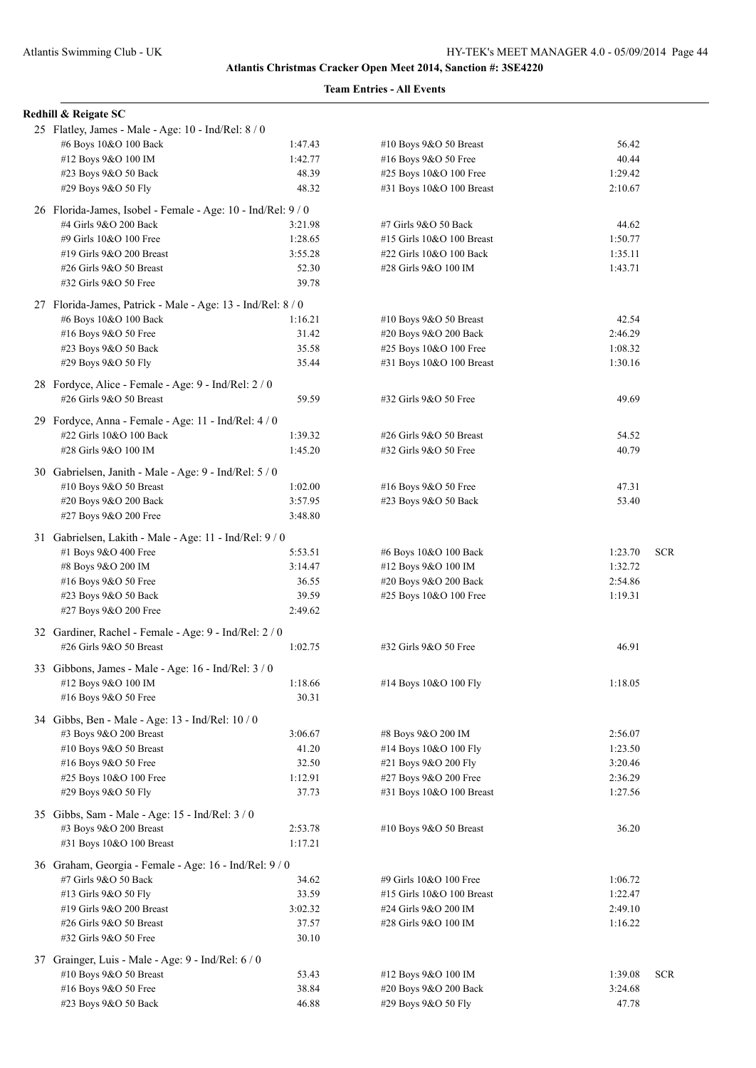| Redhill & Reigate SC                                                              |         |                           |         |            |
|-----------------------------------------------------------------------------------|---------|---------------------------|---------|------------|
| 25 Flatley, James - Male - Age: 10 - Ind/Rel: 8 / 0                               |         |                           |         |            |
| #6 Boys 10&O 100 Back                                                             | 1:47.43 | #10 Boys 9&O 50 Breast    | 56.42   |            |
| #12 Boys 9&O 100 IM                                                               | 1:42.77 | #16 Boys 9&O 50 Free      | 40.44   |            |
| #23 Boys 9&O 50 Back                                                              | 48.39   | #25 Boys 10&O 100 Free    | 1:29.42 |            |
| #29 Boys 9&O 50 Fly                                                               | 48.32   | #31 Boys 10&O 100 Breast  | 2:10.67 |            |
| 26 Florida-James, Isobel - Female - Age: 10 - Ind/Rel: 9 / 0                      |         |                           |         |            |
| #4 Girls 9&O 200 Back                                                             | 3:21.98 | #7 Girls 9&O 50 Back      | 44.62   |            |
| #9 Girls 10&O 100 Free                                                            | 1:28.65 | #15 Girls 10&O 100 Breast | 1:50.77 |            |
| #19 Girls 9&O 200 Breast                                                          | 3:55.28 | #22 Girls 10&O 100 Back   | 1:35.11 |            |
| #26 Girls 9&O 50 Breast                                                           | 52.30   | #28 Girls 9&O 100 IM      | 1:43.71 |            |
| #32 Girls 9&O 50 Free                                                             | 39.78   |                           |         |            |
| 27 Florida-James, Patrick - Male - Age: 13 - Ind/Rel: 8 / 0                       |         |                           |         |            |
| #6 Boys 10&O 100 Back                                                             | 1:16.21 | #10 Boys 9&O 50 Breast    | 42.54   |            |
| #16 Boys 9&O 50 Free                                                              | 31.42   | #20 Boys 9&O 200 Back     | 2:46.29 |            |
| #23 Boys 9&O 50 Back                                                              | 35.58   | #25 Boys 10&O 100 Free    | 1:08.32 |            |
| #29 Boys 9&O 50 Fly                                                               | 35.44   | #31 Boys 10&O 100 Breast  | 1:30.16 |            |
| 28 Fordyce, Alice - Female - Age: 9 - Ind/Rel: 2 / 0                              |         |                           |         |            |
| #26 Girls 9&O 50 Breast                                                           | 59.59   | #32 Girls 9&O 50 Free     | 49.69   |            |
| 29 Fordyce, Anna - Female - Age: 11 - Ind/Rel: 4 / 0                              |         |                           |         |            |
| #22 Girls 10&O 100 Back                                                           | 1:39.32 | #26 Girls 9&O 50 Breast   | 54.52   |            |
| #28 Girls 9&O 100 IM                                                              | 1:45.20 | #32 Girls 9&O 50 Free     | 40.79   |            |
| 30 Gabrielsen, Janith - Male - Age: 9 - Ind/Rel: 5 / 0                            |         |                           |         |            |
| #10 Boys 9&O 50 Breast                                                            | 1:02.00 | #16 Boys 9&O 50 Free      | 47.31   |            |
| #20 Boys 9&O 200 Back                                                             | 3:57.95 | #23 Boys 9&O 50 Back      | 53.40   |            |
| #27 Boys 9&O 200 Free                                                             | 3:48.80 |                           |         |            |
| 31 Gabrielsen, Lakith - Male - Age: 11 - Ind/Rel: 9 / 0                           |         |                           |         |            |
| #1 Boys 9&O 400 Free                                                              | 5:53.51 | #6 Boys 10&O 100 Back     | 1:23.70 | <b>SCR</b> |
| #8 Boys 9&O 200 IM                                                                | 3:14.47 | #12 Boys 9&O 100 IM       | 1:32.72 |            |
| #16 Boys 9&O 50 Free                                                              | 36.55   | #20 Boys 9&O 200 Back     | 2:54.86 |            |
| #23 Boys 9&O 50 Back                                                              | 39.59   | #25 Boys 10&O 100 Free    | 1:19.31 |            |
| #27 Boys 9&O 200 Free                                                             | 2:49.62 |                           |         |            |
|                                                                                   |         |                           |         |            |
| 32 Gardiner, Rachel - Female - Age: 9 - Ind/Rel: 2 / 0<br>#26 Girls 9&O 50 Breast | 1:02.75 | #32 Girls 9&O 50 Free     | 46.91   |            |
|                                                                                   |         |                           |         |            |
| 33 Gibbons, James - Male - Age: 16 - Ind/Rel: 3 / 0                               |         |                           |         |            |
| #12 Boys 9&O 100 IM                                                               | 1:18.66 | #14 Boys 10&O 100 Fly     | 1:18.05 |            |
| #16 Boys 9&O 50 Free                                                              | 30.31   |                           |         |            |
| 34 Gibbs, Ben - Male - Age: 13 - Ind/Rel: 10 / 0                                  |         |                           |         |            |
| #3 Boys 9&O 200 Breast                                                            | 3:06.67 | #8 Boys 9&O 200 IM        | 2:56.07 |            |
| #10 Boys 9&O 50 Breast                                                            | 41.20   | #14 Boys 10&O 100 Fly     | 1:23.50 |            |
| #16 Boys 9&O 50 Free                                                              | 32.50   | #21 Boys 9&O 200 Fly      | 3:20.46 |            |
| #25 Boys 10&O 100 Free                                                            | 1:12.91 | #27 Boys 9&O 200 Free     | 2:36.29 |            |
| #29 Boys 9&O 50 Fly                                                               | 37.73   | #31 Boys 10&O 100 Breast  | 1:27.56 |            |
| 35 Gibbs, Sam - Male - Age: 15 - Ind/Rel: 3 / 0                                   |         |                           |         |            |
| #3 Boys 9&O 200 Breast                                                            | 2:53.78 | #10 Boys $9&O 50$ Breast  | 36.20   |            |
| #31 Boys 10&O 100 Breast                                                          | 1:17.21 |                           |         |            |
| 36 Graham, Georgia - Female - Age: 16 - Ind/Rel: 9/0                              |         |                           |         |            |
| #7 Girls 9&O 50 Back                                                              | 34.62   | #9 Girls 10&O 100 Free    | 1:06.72 |            |
| #13 Girls 9&O 50 Fly                                                              | 33.59   | #15 Girls 10&O 100 Breast | 1:22.47 |            |
| #19 Girls 9&O 200 Breast                                                          | 3:02.32 | #24 Girls 9&O 200 IM      | 2:49.10 |            |
| #26 Girls 9&O 50 Breast                                                           | 37.57   | #28 Girls 9&O 100 IM      | 1:16.22 |            |
| #32 Girls 9&O 50 Free                                                             | 30.10   |                           |         |            |
| 37 Grainger, Luis - Male - Age: 9 - Ind/Rel: 6 / 0                                |         |                           |         |            |
| #10 Boys 9&O 50 Breast                                                            | 53.43   | #12 Boys 9&O 100 IM       | 1:39.08 | <b>SCR</b> |
| #16 Boys 9&O 50 Free                                                              | 38.84   | #20 Boys 9&O 200 Back     | 3:24.68 |            |
| #23 Boys 9&O 50 Back                                                              | 46.88   | #29 Boys 9&O 50 Fly       | 47.78   |            |
|                                                                                   |         |                           |         |            |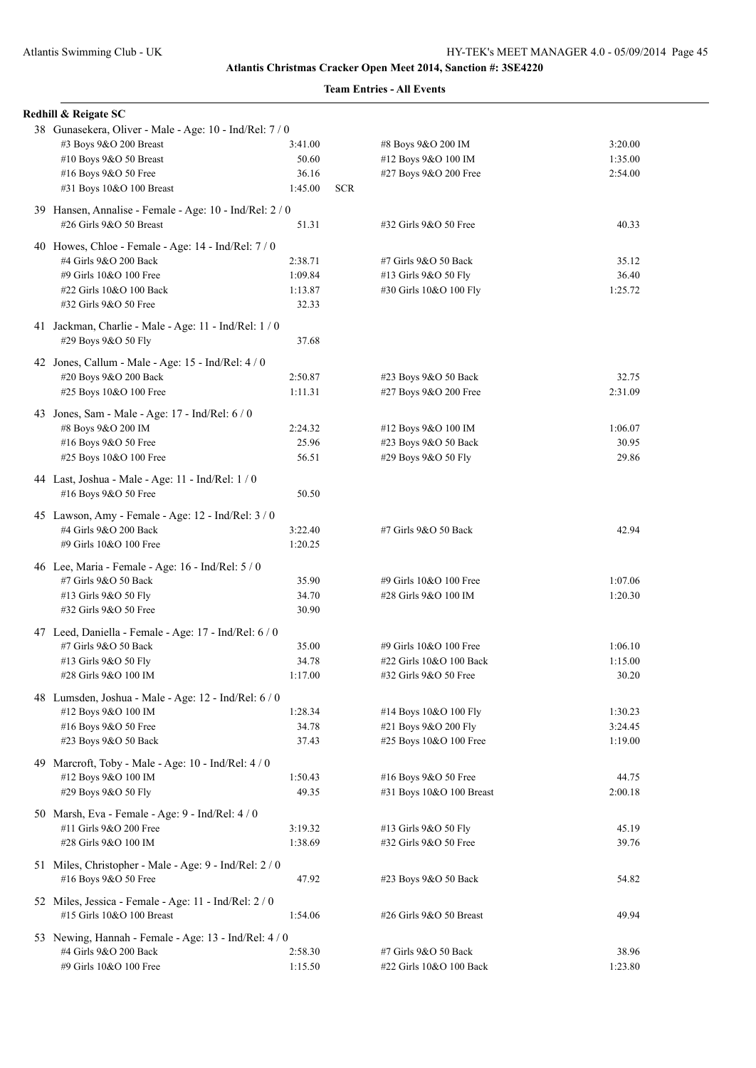| Redhill & Reigate SC                                    |         |            |                          |         |
|---------------------------------------------------------|---------|------------|--------------------------|---------|
| 38 Gunasekera, Oliver - Male - Age: 10 - Ind/Rel: 7 / 0 |         |            |                          |         |
| #3 Boys 9&O 200 Breast                                  | 3:41.00 |            | #8 Boys 9&O 200 IM       | 3:20.00 |
| #10 Boys 9&O 50 Breast                                  | 50.60   |            | #12 Boys 9&O 100 IM      | 1:35.00 |
| #16 Boys 9&O 50 Free                                    | 36.16   |            | #27 Boys 9&O 200 Free    | 2:54.00 |
| #31 Boys 10&O 100 Breast                                | 1:45.00 | <b>SCR</b> |                          |         |
|                                                         |         |            |                          |         |
| 39 Hansen, Annalise - Female - Age: 10 - Ind/Rel: 2 / 0 |         |            |                          |         |
| #26 Girls 9&O 50 Breast                                 | 51.31   |            | #32 Girls 9&O 50 Free    | 40.33   |
|                                                         |         |            |                          |         |
| 40 Howes, Chloe - Female - Age: 14 - Ind/Rel: 7 / 0     |         |            |                          |         |
| #4 Girls 9&O 200 Back                                   | 2:38.71 |            | #7 Girls 9&O 50 Back     | 35.12   |
| #9 Girls 10&O 100 Free                                  | 1:09.84 |            | #13 Girls 9&O 50 Fly     | 36.40   |
| #22 Girls 10&O 100 Back                                 | 1:13.87 |            | #30 Girls 10&O 100 Fly   | 1:25.72 |
| #32 Girls 9&O 50 Free                                   | 32.33   |            |                          |         |
| 41 Jackman, Charlie - Male - Age: 11 - Ind/Rel: 1 / 0   |         |            |                          |         |
| #29 Boys 9&O 50 Fly                                     | 37.68   |            |                          |         |
|                                                         |         |            |                          |         |
| 42 Jones, Callum - Male - Age: $15$ - Ind/Rel: $4/0$    |         |            |                          |         |
| #20 Boys 9&O 200 Back                                   | 2:50.87 |            | #23 Boys 9&O 50 Back     | 32.75   |
| #25 Boys 10&O 100 Free                                  | 1:11.31 |            | #27 Boys 9&O 200 Free    | 2:31.09 |
|                                                         |         |            |                          |         |
| 43 Jones, Sam - Male - Age: 17 - Ind/Rel: 6 / 0         |         |            |                          |         |
| #8 Boys 9&O 200 IM                                      | 2:24.32 |            | #12 Boys 9&O 100 IM      | 1:06.07 |
| #16 Boys 9&O 50 Free                                    | 25.96   |            | #23 Boys 9&O 50 Back     | 30.95   |
| #25 Boys 10&O 100 Free                                  | 56.51   |            | #29 Boys 9&O 50 Fly      | 29.86   |
| 44 Last, Joshua - Male - Age: 11 - Ind/Rel: 1 / 0       |         |            |                          |         |
| #16 Boys 9&O 50 Free                                    | 50.50   |            |                          |         |
|                                                         |         |            |                          |         |
| 45 Lawson, Amy - Female - Age: 12 - Ind/Rel: 3 / 0      |         |            |                          |         |
| #4 Girls 9&O 200 Back                                   | 3:22.40 |            | #7 Girls 9&O 50 Back     | 42.94   |
| #9 Girls 10&O 100 Free                                  | 1:20.25 |            |                          |         |
|                                                         |         |            |                          |         |
| 46 Lee, Maria - Female - Age: 16 - Ind/Rel: 5 / 0       |         |            |                          |         |
| #7 Girls 9&O 50 Back                                    | 35.90   |            | #9 Girls 10&O 100 Free   | 1:07.06 |
| #13 Girls 9&O 50 Fly                                    | 34.70   |            | #28 Girls 9&O 100 IM     | 1:20.30 |
| #32 Girls 9&O 50 Free                                   | 30.90   |            |                          |         |
| 47 Leed, Daniella - Female - Age: 17 - Ind/Rel: 6 / 0   |         |            |                          |         |
| #7 Girls 9&O 50 Back                                    | 35.00   |            | #9 Girls 10&O 100 Free   | 1:06.10 |
| #13 Girls 9&O 50 Fly                                    | 34.78   |            | #22 Girls 10&O 100 Back  | 1:15.00 |
| #28 Girls 9&O 100 IM                                    | 1:17.00 |            | #32 Girls 9&O 50 Free    | 30.20   |
|                                                         |         |            |                          |         |
| 48 Lumsden, Joshua - Male - Age: 12 - Ind/Rel: 6 / 0    |         |            |                          |         |
| #12 Boys 9&O 100 IM                                     | 1:28.34 |            | #14 Boys 10&O 100 Fly    | 1:30.23 |
| #16 Boys 9&O 50 Free                                    | 34.78   |            | #21 Boys 9&O 200 Fly     | 3:24.45 |
| #23 Boys 9&O 50 Back                                    | 37.43   |            | #25 Boys 10&O 100 Free   | 1:19.00 |
|                                                         |         |            |                          |         |
| 49 Marcroft, Toby - Male - Age: 10 - Ind/Rel: 4 / 0     |         |            |                          |         |
| #12 Boys 9&O 100 IM                                     | 1:50.43 |            | #16 Boys 9&O 50 Free     | 44.75   |
| #29 Boys 9&O 50 Fly                                     | 49.35   |            | #31 Boys 10&O 100 Breast | 2:00.18 |
| 50 Marsh, Eva - Female - Age: 9 - Ind/Rel: 4 / 0        |         |            |                          |         |
| #11 Girls 9&O 200 Free                                  | 3:19.32 |            | #13 Girls 9&O 50 Fly     | 45.19   |
| #28 Girls 9&O 100 IM                                    | 1:38.69 |            | #32 Girls 9&O 50 Free    | 39.76   |
|                                                         |         |            |                          |         |
| 51 Miles, Christopher - Male - Age: 9 - Ind/Rel: 2 / 0  |         |            |                          |         |
| #16 Boys 9&O 50 Free                                    | 47.92   |            | #23 Boys 9&O 50 Back     | 54.82   |
|                                                         |         |            |                          |         |
| 52 Miles, Jessica - Female - Age: 11 - Ind/Rel: 2/0     |         |            |                          |         |
| #15 Girls 10&O 100 Breast                               | 1:54.06 |            | #26 Girls 9&O 50 Breast  | 49.94   |
| 53 Newing, Hannah - Female - Age: 13 - Ind/Rel: 4 / 0   |         |            |                          |         |
| #4 Girls 9&O 200 Back                                   | 2:58.30 |            | #7 Girls 9&O 50 Back     | 38.96   |
| #9 Girls 10&O 100 Free                                  | 1:15.50 |            | #22 Girls 10&O 100 Back  | 1:23.80 |
|                                                         |         |            |                          |         |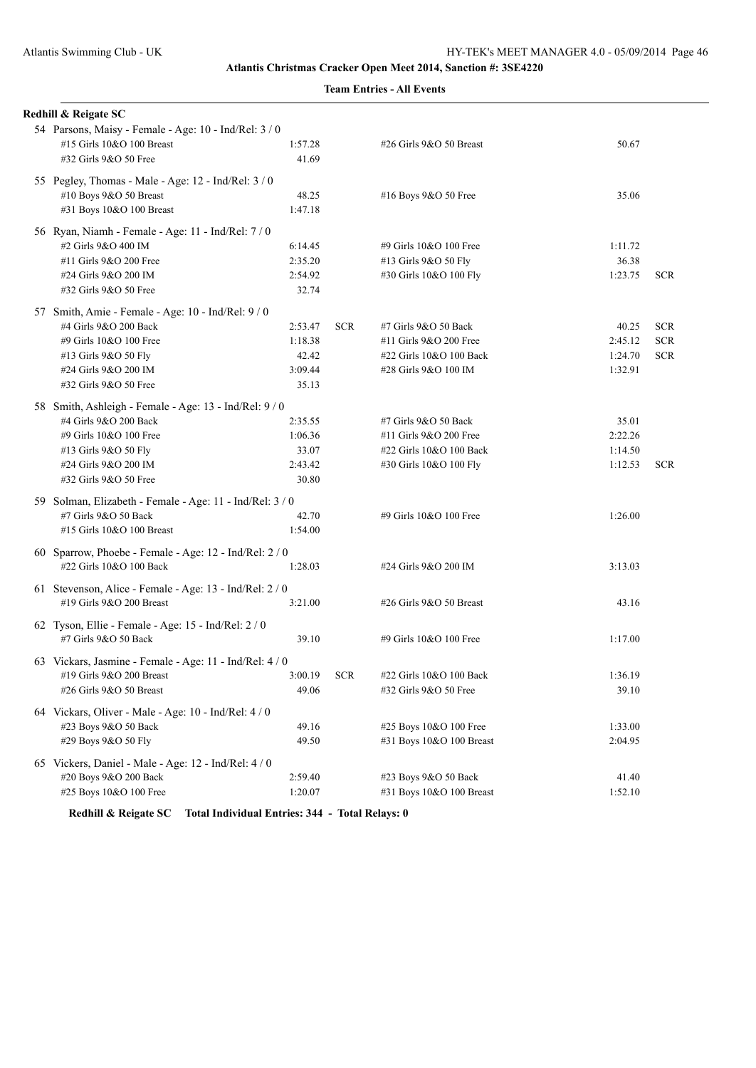## **Team Entries - All Events**

| Redhill & Reigate SC                                                                |                  |            |                          |         |            |
|-------------------------------------------------------------------------------------|------------------|------------|--------------------------|---------|------------|
| 54 Parsons, Maisy - Female - Age: 10 - Ind/Rel: 3 / 0<br>#15 Girls 10&O 100 Breast  | 1:57.28          |            | #26 Girls 9&O 50 Breast  | 50.67   |            |
| #32 Girls 9&O 50 Free                                                               | 41.69            |            |                          |         |            |
| 55 Pegley, Thomas - Male - Age: 12 - Ind/Rel: 3 / 0                                 |                  |            |                          |         |            |
| #10 Boys 9&O 50 Breast                                                              | 48.25            |            | #16 Boys 9&O 50 Free     | 35.06   |            |
| #31 Boys 10&O 100 Breast                                                            | 1:47.18          |            |                          |         |            |
| 56 Ryan, Niamh - Female - Age: 11 - Ind/Rel: 7 / 0                                  |                  |            |                          |         |            |
| #2 Girls 9&O 400 IM                                                                 | 6:14.45          |            | #9 Girls 10&O 100 Free   | 1:11.72 |            |
| #11 Girls 9&O 200 Free                                                              | 2:35.20          |            | #13 Girls 9&O 50 Fly     | 36.38   |            |
| #24 Girls 9&O 200 IM<br>#32 Girls 9&O 50 Free                                       | 2:54.92<br>32.74 |            | #30 Girls 10&O 100 Fly   | 1:23.75 | <b>SCR</b> |
| 57 Smith, Amie - Female - Age: 10 - Ind/Rel: 9 / 0                                  |                  |            |                          |         |            |
| #4 Girls 9&O 200 Back                                                               | 2:53.47          | <b>SCR</b> | #7 Girls 9&O 50 Back     | 40.25   | <b>SCR</b> |
| #9 Girls 10&O 100 Free                                                              | 1:18.38          |            | #11 Girls 9&O 200 Free   | 2:45.12 | <b>SCR</b> |
| #13 Girls 9&O 50 Fly                                                                | 42.42            |            | #22 Girls 10&O 100 Back  | 1:24.70 | <b>SCR</b> |
| #24 Girls 9&O 200 IM                                                                | 3:09.44          |            | #28 Girls 9&O 100 IM     | 1:32.91 |            |
| #32 Girls 9&O 50 Free                                                               | 35.13            |            |                          |         |            |
| 58 Smith, Ashleigh - Female - Age: 13 - Ind/Rel: 9/0                                |                  |            |                          |         |            |
| #4 Girls 9&O 200 Back                                                               | 2:35.55          |            | #7 Girls 9&O 50 Back     | 35.01   |            |
| #9 Girls 10&O 100 Free                                                              | 1:06.36          |            | #11 Girls 9&O 200 Free   | 2:22.26 |            |
| #13 Girls 9&O 50 Fly                                                                | 33.07            |            | #22 Girls 10&O 100 Back  | 1:14.50 |            |
| #24 Girls 9&O 200 IM                                                                | 2:43.42          |            | #30 Girls 10&O 100 Fly   | 1:12.53 | <b>SCR</b> |
| #32 Girls 9&O 50 Free                                                               | 30.80            |            |                          |         |            |
| 59 Solman, Elizabeth - Female - Age: 11 - Ind/Rel: 3 / 0                            |                  |            |                          |         |            |
| #7 Girls 9&O 50 Back                                                                | 42.70            |            | #9 Girls 10&O 100 Free   | 1:26.00 |            |
| #15 Girls 10&O 100 Breast                                                           | 1:54.00          |            |                          |         |            |
| 60 Sparrow, Phoebe - Female - Age: 12 - Ind/Rel: 2 / 0                              |                  |            |                          |         |            |
| #22 Girls 10&O 100 Back                                                             | 1:28.03          |            | #24 Girls 9&O 200 IM     | 3:13.03 |            |
| 61 Stevenson, Alice - Female - Age: 13 - Ind/Rel: 2 / 0                             |                  |            |                          |         |            |
| #19 Girls 9&O 200 Breast                                                            | 3:21.00          |            | #26 Girls 9&O 50 Breast  | 43.16   |            |
| 62 Tyson, Ellie - Female - Age: 15 - Ind/Rel: 2 / 0                                 |                  |            |                          |         |            |
| #7 Girls 9&O 50 Back                                                                | 39.10            |            | #9 Girls 10&O 100 Free   | 1:17.00 |            |
| 63 Vickars, Jasmine - Female - Age: 11 - Ind/Rel: 4 / 0<br>#19 Girls 9&O 200 Breast | 3:00.19          | <b>SCR</b> | #22 Girls 10&O 100 Back  | 1:36.19 |            |
| #26 Girls 9&O 50 Breast                                                             | 49.06            |            | #32 Girls 9&O 50 Free    | 39.10   |            |
|                                                                                     |                  |            |                          |         |            |
| 64 Vickars, Oliver - Male - Age: 10 - Ind/Rel: 4 / 0<br>#23 Boys 9&O 50 Back        | 49.16            |            | #25 Boys 10&O 100 Free   | 1:33.00 |            |
| #29 Boys 9&O 50 Fly                                                                 | 49.50            |            | #31 Boys 10&O 100 Breast | 2:04.95 |            |
|                                                                                     |                  |            |                          |         |            |
| 65 Vickers, Daniel - Male - Age: 12 - Ind/Rel: 4 / 0                                |                  |            |                          |         |            |
| #20 Boys 9&O 200 Back                                                               | 2:59.40          |            | #23 Boys 9&O 50 Back     | 41.40   |            |
| #25 Boys 10&O 100 Free                                                              | 1:20.07          |            | #31 Boys 10&O 100 Breast | 1:52.10 |            |
|                                                                                     |                  |            |                          |         |            |

**Redhill & Reigate SC Total Individual Entries: 344 - Total Relays: 0**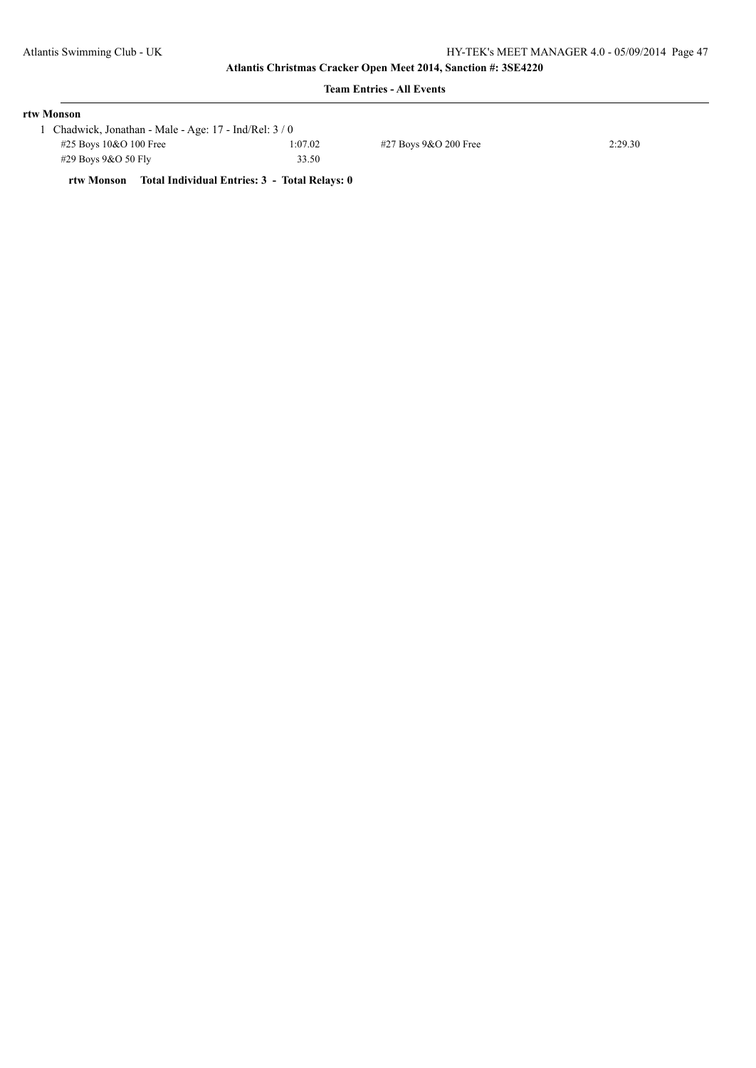## **Team Entries - All Events**

| rtw Monson                |                                                      |         |                       |         |  |  |  |
|---------------------------|------------------------------------------------------|---------|-----------------------|---------|--|--|--|
|                           | Chadwick, Jonathan - Male - Age: 17 - Ind/Rel: 3 / 0 |         |                       |         |  |  |  |
| $\#25$ Boys 10&O 100 Free |                                                      | 1:07.02 | #27 Boys 9&O 200 Free | 2:29.30 |  |  |  |
| #29 Boys $9&O 50$ Fly     |                                                      | 33.50   |                       |         |  |  |  |
|                           |                                                      |         |                       |         |  |  |  |

**rtw Monson Total Individual Entries: 3 - Total Relays: 0**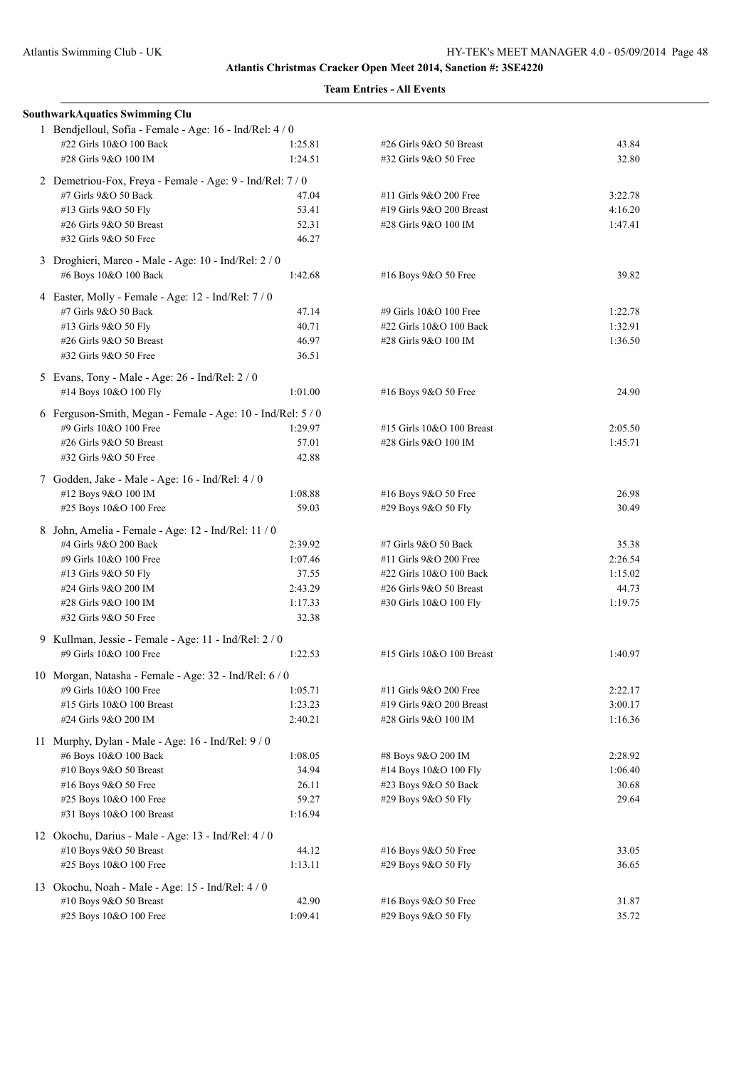| <b>SouthwarkAquatics Swimming Clu</b>                       |         |                           |         |
|-------------------------------------------------------------|---------|---------------------------|---------|
| 1 Bendjelloul, Sofia - Female - Age: 16 - Ind/Rel: 4 / 0    |         |                           |         |
| #22 Girls 10&O 100 Back                                     | 1:25.81 | #26 Girls 9&O 50 Breast   | 43.84   |
| #28 Girls 9&O 100 IM                                        | 1:24.51 | #32 Girls 9&O 50 Free     | 32.80   |
| 2 Demetriou-Fox, Freya - Female - Age: 9 - Ind/Rel: 7 / 0   |         |                           |         |
| #7 Girls 9&O 50 Back                                        | 47.04   | #11 Girls 9&O 200 Free    | 3:22.78 |
| #13 Girls 9&O 50 Fly                                        | 53.41   | #19 Girls 9&O 200 Breast  | 4:16.20 |
| #26 Girls 9&O 50 Breast                                     | 52.31   | #28 Girls 9&O 100 IM      | 1:47.41 |
| #32 Girls 9&O 50 Free                                       | 46.27   |                           |         |
| 3 Droghieri, Marco - Male - Age: 10 - Ind/Rel: 2 / 0        |         |                           |         |
| #6 Boys 10&O 100 Back                                       | 1:42.68 | #16 Boys 9&O 50 Free      | 39.82   |
| 4 Easter, Molly - Female - Age: 12 - Ind/Rel: 7 / 0         |         |                           |         |
| #7 Girls 9&O 50 Back                                        | 47.14   | #9 Girls 10&O 100 Free    | 1:22.78 |
| #13 Girls 9&O 50 Fly                                        | 40.71   | #22 Girls 10&O 100 Back   | 1:32.91 |
| #26 Girls 9&O 50 Breast                                     | 46.97   | #28 Girls 9&O 100 IM      | 1:36.50 |
| #32 Girls 9&O 50 Free                                       | 36.51   |                           |         |
| 5 Evans, Tony - Male - Age: 26 - Ind/Rel: 2 / 0             |         |                           |         |
| #14 Boys 10&O 100 Fly                                       | 1:01.00 | #16 Boys 9&O 50 Free      | 24.90   |
| 6 Ferguson-Smith, Megan - Female - Age: 10 - Ind/Rel: 5 / 0 |         |                           |         |
| #9 Girls 10&O 100 Free                                      | 1:29.97 | #15 Girls 10&O 100 Breast | 2:05.50 |
| #26 Girls 9&O 50 Breast                                     | 57.01   | #28 Girls 9&O 100 IM      | 1:45.71 |
| #32 Girls 9&O 50 Free                                       | 42.88   |                           |         |
| 7 Godden, Jake - Male - Age: 16 - Ind/Rel: 4 / 0            |         |                           |         |
| #12 Boys 9&O 100 IM                                         | 1:08.88 | #16 Boys 9&O 50 Free      | 26.98   |
| #25 Boys 10&O 100 Free                                      | 59.03   | #29 Boys 9&O 50 Fly       | 30.49   |
|                                                             |         |                           |         |
| 8 John, Amelia - Female - Age: 12 - Ind/Rel: 11 / 0         |         |                           |         |
| #4 Girls 9&O 200 Back                                       | 2:39.92 | #7 Girls 9&O 50 Back      | 35.38   |
| #9 Girls 10&O 100 Free                                      | 1:07.46 | #11 Girls 9&O 200 Free    | 2:26.54 |
| #13 Girls 9&O 50 Fly                                        | 37.55   | #22 Girls 10&O 100 Back   | 1:15.02 |
| #24 Girls 9&O 200 IM                                        | 2:43.29 | #26 Girls 9&O 50 Breast   | 44.73   |
| #28 Girls 9&O 100 IM                                        | 1:17.33 | #30 Girls 10&O 100 Fly    | 1:19.75 |
| #32 Girls 9&O 50 Free                                       | 32.38   |                           |         |
| 9 Kullman, Jessie - Female - Age: 11 - Ind/Rel: 2 / 0       |         |                           |         |
| #9 Girls 10&O 100 Free                                      | 1:22.53 | #15 Girls 10&O 100 Breast | 1:40.97 |
| 10 Morgan, Natasha - Female - Age: 32 - Ind/Rel: 6 / 0      |         |                           |         |
| #9 Girls 10&O 100 Free                                      | 1:05.71 | #11 Girls 9&O 200 Free    | 2:22.17 |
| #15 Girls 10&O 100 Breast                                   | 1:23.23 | #19 Girls 9&O 200 Breast  | 3:00.17 |
| #24 Girls 9&O 200 IM                                        | 2:40.21 | #28 Girls 9&O 100 IM      | 1:16.36 |
| 11 Murphy, Dylan - Male - Age: $16$ - Ind/Rel: $9/0$        |         |                           |         |
| #6 Boys 10&O 100 Back                                       | 1:08.05 | #8 Boys 9&O 200 IM        | 2:28.92 |
| #10 Boys 9&O 50 Breast                                      | 34.94   | #14 Boys 10&O 100 Fly     | 1:06.40 |
| #16 Boys 9&O 50 Free                                        | 26.11   | #23 Boys 9&O 50 Back      | 30.68   |
| #25 Boys 10&O 100 Free                                      | 59.27   | #29 Boys 9&O 50 Fly       | 29.64   |
| #31 Boys 10&O 100 Breast                                    | 1:16.94 |                           |         |
| 12 Okochu, Darius - Male - Age: 13 - Ind/Rel: 4 / 0         |         |                           |         |
| #10 Boys 9&O 50 Breast                                      | 44.12   | #16 Boys 9&O 50 Free      | 33.05   |
| #25 Boys 10&O 100 Free                                      | 1:13.11 | #29 Boys 9&O 50 Fly       | 36.65   |
|                                                             |         |                           |         |
| 13 Okochu, Noah - Male - Age: 15 - Ind/Rel: 4/0             | 42.90   | #16 Boys 9&O 50 Free      | 31.87   |
| #10 Boys 9&O 50 Breast                                      |         |                           |         |
| #25 Boys 10&O 100 Free                                      | 1:09.41 | #29 Boys 9&O 50 Fly       | 35.72   |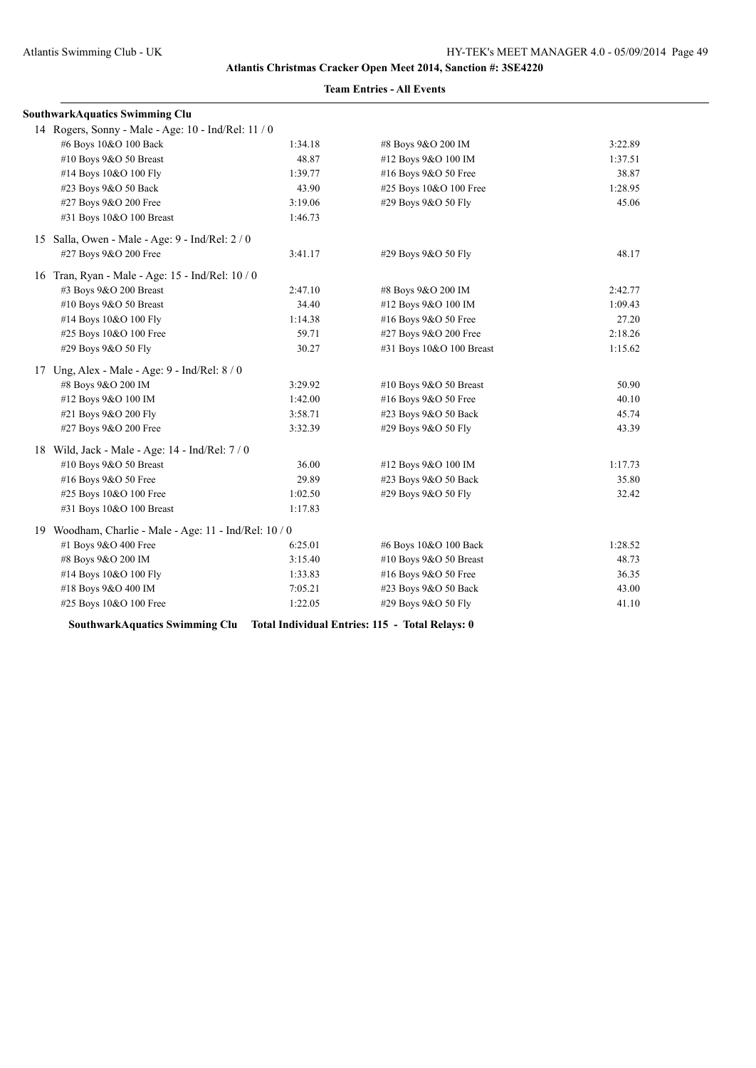| SouthwarkAquatics Swimming Clu                         |         |                          |         |  |  |
|--------------------------------------------------------|---------|--------------------------|---------|--|--|
| 14 Rogers, Sonny - Male - Age: 10 - Ind/Rel: 11 / 0    |         |                          |         |  |  |
| #6 Boys 10&O 100 Back                                  | 1:34.18 | #8 Boys 9&O 200 IM       | 3:22.89 |  |  |
| #10 Boys 9&O 50 Breast                                 | 48.87   | #12 Boys 9&O 100 IM      | 1:37.51 |  |  |
| #14 Boys 10&O 100 Fly                                  | 1:39.77 | #16 Boys 9&O 50 Free     | 38.87   |  |  |
| #23 Boys 9&O 50 Back                                   | 43.90   | #25 Boys 10&O 100 Free   | 1:28.95 |  |  |
| #27 Boys 9&O 200 Free                                  | 3:19.06 | #29 Boys 9&O 50 Fly      | 45.06   |  |  |
| #31 Boys 10&O 100 Breast                               | 1:46.73 |                          |         |  |  |
| 15 Salla, Owen - Male - Age: 9 - Ind/Rel: 2 / 0        |         |                          |         |  |  |
| #27 Boys 9&O 200 Free                                  | 3:41.17 | #29 Boys 9&O 50 Fly      | 48.17   |  |  |
| 16 Tran, Ryan - Male - Age: 15 - Ind/Rel: 10 / 0       |         |                          |         |  |  |
| #3 Boys 9&O 200 Breast                                 | 2:47.10 | #8 Boys 9&O 200 IM       | 2:42.77 |  |  |
| #10 Boys 9&O 50 Breast                                 | 34.40   | #12 Boys 9&O 100 IM      | 1:09.43 |  |  |
| #14 Boys 10&O 100 Fly                                  | 1:14.38 | #16 Boys 9&O 50 Free     | 27.20   |  |  |
| #25 Boys 10&O 100 Free                                 | 59.71   | #27 Boys 9&O 200 Free    | 2:18.26 |  |  |
| #29 Boys 9&O 50 Fly                                    | 30.27   | #31 Boys 10&O 100 Breast | 1:15.62 |  |  |
| 17 Ung, Alex - Male - Age: 9 - Ind/Rel: 8/0            |         |                          |         |  |  |
| #8 Boys 9&O 200 IM                                     | 3:29.92 | #10 Boys 9&O 50 Breast   | 50.90   |  |  |
| #12 Boys 9&O 100 IM                                    | 1:42.00 | #16 Boys 9&O 50 Free     | 40.10   |  |  |
| #21 Boys 9&O 200 Fly                                   | 3:58.71 | #23 Boys 9&O 50 Back     | 45.74   |  |  |
| #27 Boys 9&O 200 Free                                  | 3:32.39 | #29 Boys 9&O 50 Fly      | 43.39   |  |  |
| 18 Wild, Jack - Male - Age: 14 - Ind/Rel: 7/0          |         |                          |         |  |  |
| #10 Boys 9&O 50 Breast                                 | 36.00   | #12 Boys 9&O 100 IM      | 1:17.73 |  |  |
| #16 Boys 9&O 50 Free                                   | 29.89   | #23 Boys 9&O 50 Back     | 35.80   |  |  |
| #25 Boys 10&O 100 Free                                 | 1:02.50 | #29 Boys 9&O 50 Fly      | 32.42   |  |  |
| #31 Boys 10&O 100 Breast                               | 1:17.83 |                          |         |  |  |
| 19 Woodham, Charlie - Male - Age: 11 - Ind/Rel: 10 / 0 |         |                          |         |  |  |
| #1 Boys 9&O 400 Free                                   | 6:25.01 | #6 Boys 10&O 100 Back    | 1:28.52 |  |  |
| #8 Boys 9&O 200 IM                                     | 3:15.40 | #10 Boys 9&O 50 Breast   | 48.73   |  |  |
| #14 Boys 10&O 100 Fly                                  | 1:33.83 | #16 Boys 9&O 50 Free     | 36.35   |  |  |
| #18 Boys 9&O 400 IM                                    | 7:05.21 | #23 Boys 9&O 50 Back     | 43.00   |  |  |
| #25 Boys 10&O 100 Free                                 | 1:22.05 | #29 Boys 9&O 50 Fly      | 41.10   |  |  |

**Team Entries - All Events**

**SouthwarkAquatics Swimming Clu Total Individual Entries: 115 - Total Relays: 0**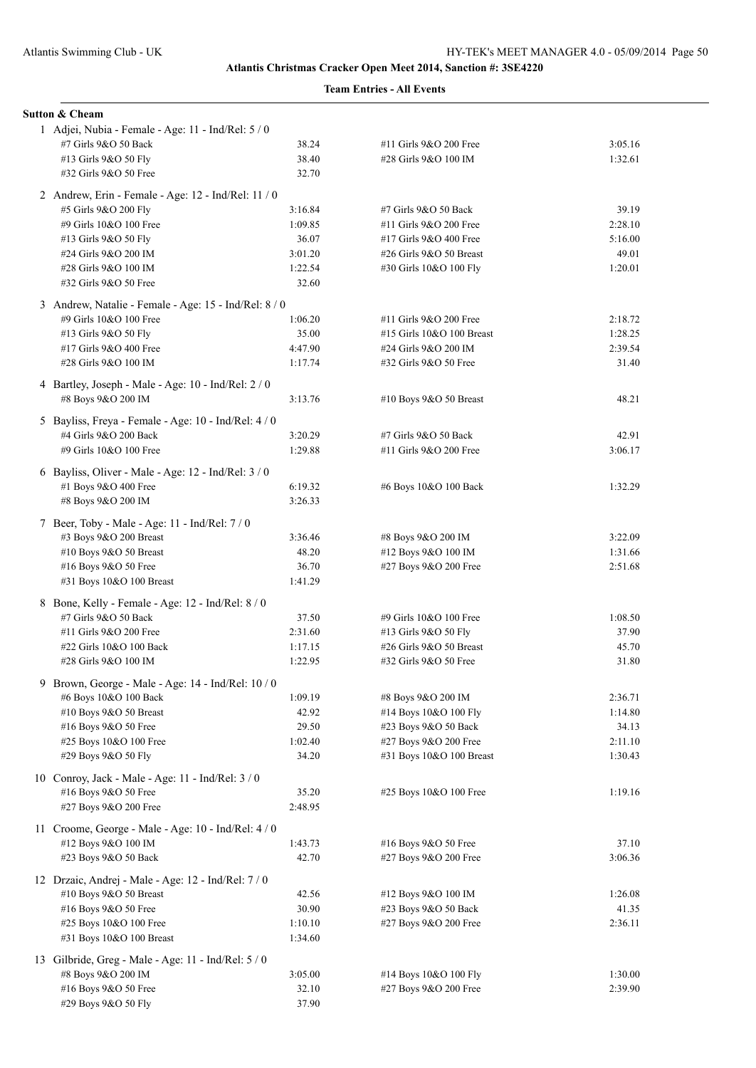|   | <b>Sutton &amp; Cheam</b>                                                   |                  |                           |         |
|---|-----------------------------------------------------------------------------|------------------|---------------------------|---------|
|   | 1 Adjei, Nubia - Female - Age: 11 - Ind/Rel: 5 / 0                          |                  |                           |         |
|   | #7 Girls 9&O 50 Back                                                        | 38.24            | #11 Girls 9&O 200 Free    | 3:05.16 |
|   | #13 Girls 9&O 50 Fly<br>#32 Girls 9&O 50 Free                               | 38.40<br>32.70   | #28 Girls 9&O 100 IM      | 1:32.61 |
|   |                                                                             |                  |                           |         |
|   | 2 Andrew, Erin - Female - Age: 12 - Ind/Rel: 11 / 0<br>#5 Girls 9&O 200 Fly | 3:16.84          | #7 Girls 9&O 50 Back      | 39.19   |
|   | #9 Girls 10&O 100 Free                                                      | 1:09.85          | #11 Girls 9&O 200 Free    | 2:28.10 |
|   | #13 Girls 9&O 50 Fly                                                        | 36.07            | #17 Girls 9&O 400 Free    | 5:16.00 |
|   | #24 Girls 9&O 200 IM                                                        | 3:01.20          | #26 Girls 9&O 50 Breast   | 49.01   |
|   | #28 Girls 9&O 100 IM                                                        | 1:22.54          | #30 Girls 10&O 100 Fly    | 1:20.01 |
|   | #32 Girls 9&O 50 Free                                                       | 32.60            |                           |         |
|   | 3 Andrew, Natalie - Female - Age: 15 - Ind/Rel: 8 / 0                       |                  |                           |         |
|   | #9 Girls 10&O 100 Free                                                      | 1:06.20          | #11 Girls 9&O 200 Free    | 2:18.72 |
|   | #13 Girls 9&O 50 Fly                                                        | 35.00            | #15 Girls 10&O 100 Breast | 1:28.25 |
|   | #17 Girls 9&O 400 Free                                                      | 4:47.90          | #24 Girls 9&O 200 IM      | 2:39.54 |
|   | #28 Girls 9&O 100 IM                                                        | 1:17.74          | #32 Girls 9&O 50 Free     | 31.40   |
|   | 4 Bartley, Joseph - Male - Age: 10 - Ind/Rel: 2 / 0                         |                  |                           |         |
|   | #8 Boys 9&O 200 IM                                                          | 3:13.76          | #10 Boys 9&O 50 Breast    | 48.21   |
|   | 5 Bayliss, Freya - Female - Age: 10 - Ind/Rel: 4/0                          |                  |                           |         |
|   | #4 Girls 9&O 200 Back                                                       | 3:20.29          | #7 Girls 9&O 50 Back      | 42.91   |
|   | #9 Girls 10&O 100 Free                                                      | 1:29.88          | #11 Girls 9&O 200 Free    | 3:06.17 |
|   | 6 Bayliss, Oliver - Male - Age: 12 - Ind/Rel: 3 / 0                         |                  |                           |         |
|   | #1 Boys 9&O 400 Free                                                        | 6:19.32          | #6 Boys 10&O 100 Back     | 1:32.29 |
|   | #8 Boys 9&O 200 IM                                                          | 3:26.33          |                           |         |
|   | 7 Beer, Toby - Male - Age: 11 - Ind/Rel: 7 / 0                              |                  |                           |         |
|   | #3 Boys 9&O 200 Breast                                                      | 3:36.46          | #8 Boys 9&O 200 IM        | 3:22.09 |
|   | #10 Boys 9&O 50 Breast                                                      | 48.20            | #12 Boys 9&O 100 IM       | 1:31.66 |
|   | #16 Boys 9&O 50 Free<br>#31 Boys 10&O 100 Breast                            | 36.70<br>1:41.29 | #27 Boys 9&O 200 Free     | 2:51.68 |
|   |                                                                             |                  |                           |         |
|   | 8 Bone, Kelly - Female - Age: 12 - Ind/Rel: 8 / 0<br>#7 Girls 9&O 50 Back   | 37.50            | #9 Girls 10&O 100 Free    | 1:08.50 |
|   | #11 Girls 9&O 200 Free                                                      | 2:31.60          | #13 Girls 9&O 50 Fly      | 37.90   |
|   | #22 Girls 10&O 100 Back                                                     | 1:17.15          | #26 Girls 9&O 50 Breast   | 45.70   |
|   | #28 Girls 9&O 100 IM                                                        | 1:22.95          | #32 Girls 9&O 50 Free     | 31.80   |
| 9 | Brown, George - Male - Age: 14 - Ind/Rel: 10 / 0                            |                  |                           |         |
|   | #6 Boys 10&O 100 Back                                                       | 1:09.19          | #8 Boys 9&O 200 IM        | 2:36.71 |
|   | #10 Boys 9&O 50 Breast                                                      | 42.92            | #14 Boys 10&O 100 Fly     | 1:14.80 |
|   | #16 Boys 9&O 50 Free                                                        | 29.50            | #23 Boys 9&O 50 Back      | 34.13   |
|   | #25 Boys 10&O 100 Free                                                      | 1:02.40          | #27 Boys 9&O 200 Free     | 2:11.10 |
|   | #29 Boys 9&O 50 Fly                                                         | 34.20            | #31 Boys 10&O 100 Breast  | 1:30.43 |
|   | 10 Conroy, Jack - Male - Age: 11 - Ind/Rel: $3/0$                           |                  |                           |         |
|   | #16 Boys 9&O 50 Free                                                        | 35.20            | #25 Boys 10&O 100 Free    | 1:19.16 |
|   | #27 Boys 9&O 200 Free                                                       | 2:48.95          |                           |         |
|   | 11 Croome, George - Male - Age: 10 - Ind/Rel: 4 / 0                         |                  |                           |         |
|   | #12 Boys 9&O 100 IM                                                         | 1:43.73          | #16 Boys 9&O 50 Free      | 37.10   |
|   | #23 Boys 9&O 50 Back                                                        | 42.70            | #27 Boys 9&O 200 Free     | 3:06.36 |
|   | 12 Drzaic, Andrej - Male - Age: 12 - Ind/Rel: 7 / 0                         |                  |                           |         |
|   | #10 Boys 9&O 50 Breast                                                      | 42.56            | #12 Boys 9&O 100 IM       | 1:26.08 |
|   | #16 Boys 9&O 50 Free                                                        | 30.90            | #23 Boys 9&O 50 Back      | 41.35   |
|   | #25 Boys 10&O 100 Free                                                      | 1:10.10          | #27 Boys 9&O 200 Free     | 2:36.11 |
|   | #31 Boys 10&O 100 Breast                                                    | 1:34.60          |                           |         |
|   | 13 Gilbride, Greg - Male - Age: 11 - Ind/Rel: 5 / 0                         |                  |                           |         |
|   | #8 Boys 9&O 200 IM                                                          | 3:05.00          | #14 Boys 10&O 100 Fly     | 1:30.00 |
|   | #16 Boys 9&O 50 Free                                                        | 32.10            | #27 Boys 9&O 200 Free     | 2:39.90 |
|   | #29 Boys 9&O 50 Fly                                                         | 37.90            |                           |         |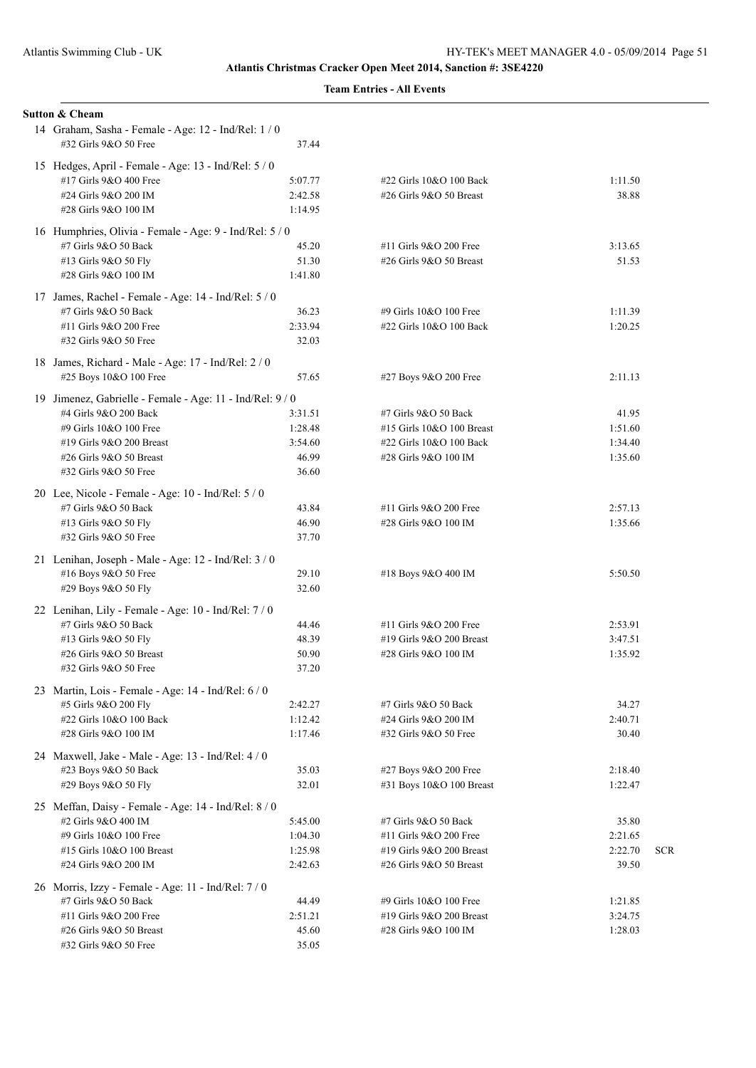|  |  | <b>Team Entries - All Events</b> |
|--|--|----------------------------------|
|--|--|----------------------------------|

| Sutton & Cheam                                                                |                    |                           |                  |            |
|-------------------------------------------------------------------------------|--------------------|---------------------------|------------------|------------|
| 14 Graham, Sasha - Female - Age: 12 - Ind/Rel: 1 / 0<br>#32 Girls 9&O 50 Free | 37.44              |                           |                  |            |
| 15 Hedges, April - Female - Age: 13 - Ind/Rel: 5 / 0                          |                    |                           |                  |            |
| #17 Girls 9&O 400 Free                                                        | 5:07.77            | #22 Girls 10&O 100 Back   | 1:11.50          |            |
| #24 Girls 9&O 200 IM                                                          | 2:42.58            | #26 Girls 9&O 50 Breast   | 38.88            |            |
| #28 Girls 9&O 100 IM                                                          | 1:14.95            |                           |                  |            |
| 16 Humphries, Olivia - Female - Age: 9 - Ind/Rel: 5 / 0                       |                    |                           |                  |            |
| #7 Girls 9&O 50 Back                                                          | 45.20              | #11 Girls 9&O 200 Free    | 3:13.65          |            |
| #13 Girls 9&O 50 Fly<br>#28 Girls 9&O 100 IM                                  | 51.30              | #26 Girls 9&O 50 Breast   | 51.53            |            |
|                                                                               | 1:41.80            |                           |                  |            |
| 17 James, Rachel - Female - Age: 14 - Ind/Rel: 5 / 0                          |                    |                           |                  |            |
| #7 Girls 9&O 50 Back                                                          | 36.23              | #9 Girls 10&O 100 Free    | 1:11.39          |            |
| #11 Girls 9&O 200 Free                                                        | 2:33.94            | #22 Girls 10&O 100 Back   | 1:20.25          |            |
| #32 Girls 9&O 50 Free                                                         | 32.03              |                           |                  |            |
| 18 James, Richard - Male - Age: 17 - Ind/Rel: 2 / 0                           |                    |                           |                  |            |
| #25 Boys 10&O 100 Free                                                        | 57.65              | #27 Boys 9&O 200 Free     | 2:11.13          |            |
| 19 Jimenez, Gabrielle - Female - Age: 11 - Ind/Rel: 9/0                       |                    |                           |                  |            |
| #4 Girls 9&O 200 Back                                                         | 3:31.51            | #7 Girls 9&O 50 Back      | 41.95            |            |
| #9 Girls 10&O 100 Free                                                        | 1:28.48            | #15 Girls 10&O 100 Breast | 1:51.60          |            |
| #19 Girls 9&O 200 Breast                                                      | 3:54.60            | #22 Girls 10&O 100 Back   | 1:34.40          |            |
| #26 Girls 9&O 50 Breast                                                       | 46.99              | #28 Girls 9&O 100 IM      | 1:35.60          |            |
| #32 Girls 9&O 50 Free                                                         | 36.60              |                           |                  |            |
| 20 Lee, Nicole - Female - Age: $10$ - Ind/Rel: $5/0$                          |                    |                           |                  |            |
| #7 Girls 9&O 50 Back                                                          | 43.84              | #11 Girls 9&O 200 Free    | 2:57.13          |            |
| #13 Girls 9&O 50 Fly                                                          | 46.90              | #28 Girls 9&O 100 IM      | 1:35.66          |            |
| #32 Girls 9&O 50 Free                                                         | 37.70              |                           |                  |            |
| 21 Lenihan, Joseph - Male - Age: 12 - Ind/Rel: 3 / 0                          |                    |                           |                  |            |
| #16 Boys 9&O 50 Free                                                          | 29.10              | #18 Boys 9&O 400 IM       | 5:50.50          |            |
| #29 Boys 9&O 50 Fly                                                           | 32.60              |                           |                  |            |
|                                                                               |                    |                           |                  |            |
| 22 Lenihan, Lily - Female - Age: 10 - Ind/Rel: 7/0<br>#7 Girls 9&O 50 Back    | 44.46              | #11 Girls 9&O 200 Free    | 2:53.91          |            |
| #13 Girls 9&O 50 Fly                                                          | 48.39              | #19 Girls 9&O 200 Breast  | 3:47.51          |            |
| #26 Girls $9&O 50$ Breast                                                     | 50.90              | #28 Girls 9&O 100 IM      | 1:35.92          |            |
| #32 Girls 9&O 50 Free                                                         | 37.20              |                           |                  |            |
|                                                                               |                    |                           |                  |            |
| 23 Martin, Lois - Female - Age: 14 - Ind/Rel: 6 / 0                           |                    | #7 Girls 9&O 50 Back      |                  |            |
| #5 Girls 9&O 200 Fly<br>#22 Girls 10&O 100 Back                               | 2:42.27<br>1:12.42 | #24 Girls 9&O 200 IM      | 34.27<br>2:40.71 |            |
| #28 Girls 9&O 100 IM                                                          | 1:17.46            | #32 Girls 9&O 50 Free     | 30.40            |            |
|                                                                               |                    |                           |                  |            |
| 24 Maxwell, Jake - Male - Age: 13 - Ind/Rel: 4 / 0                            |                    |                           |                  |            |
| #23 Boys 9&O 50 Back                                                          | 35.03              | #27 Boys 9&O 200 Free     | 2:18.40          |            |
| #29 Boys 9&O 50 Fly                                                           | 32.01              | #31 Boys 10&O 100 Breast  | 1:22.47          |            |
| 25 Meffan, Daisy - Female - Age: 14 - Ind/Rel: 8 / 0                          |                    |                           |                  |            |
| #2 Girls 9&O 400 IM                                                           | 5:45.00            | #7 Girls 9&O 50 Back      | 35.80            |            |
| #9 Girls 10&O 100 Free                                                        | 1:04.30            | #11 Girls 9&O 200 Free    | 2:21.65          |            |
| #15 Girls 10&O 100 Breast                                                     | 1:25.98            | #19 Girls 9&O 200 Breast  | 2:22.70          | <b>SCR</b> |
| #24 Girls 9&O 200 IM                                                          | 2:42.63            | #26 Girls 9&O 50 Breast   | 39.50            |            |
| 26 Morris, Izzy - Female - Age: 11 - Ind/Rel: 7/0                             |                    |                           |                  |            |
| #7 Girls 9&O 50 Back                                                          | 44.49              | #9 Girls 10&O 100 Free    | 1:21.85          |            |
| #11 Girls 9&O 200 Free                                                        | 2:51.21            | #19 Girls 9&O 200 Breast  | 3:24.75          |            |
| #26 Girls 9&O 50 Breast                                                       | 45.60              | #28 Girls 9&O 100 IM      | 1:28.03          |            |
| #32 Girls 9&O 50 Free                                                         | 35.05              |                           |                  |            |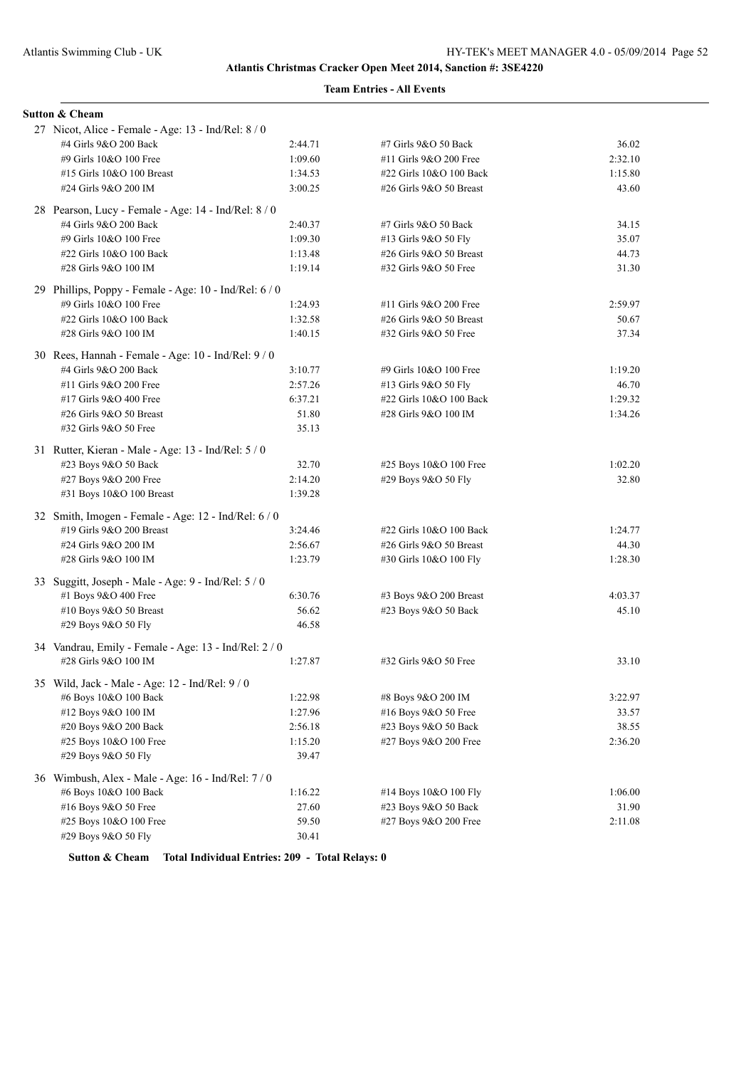## **Team Entries - All Events**

| <b>Sutton &amp; Cheam</b>                              |         |                           |         |
|--------------------------------------------------------|---------|---------------------------|---------|
| 27 Nicot, Alice - Female - Age: 13 - Ind/Rel: 8 / 0    |         |                           |         |
| #4 Girls 9&O 200 Back                                  | 2:44.71 | #7 Girls 9&O 50 Back      | 36.02   |
| #9 Girls 10&O 100 Free                                 | 1:09.60 | #11 Girls 9&O 200 Free    | 2:32.10 |
| #15 Girls 10&O 100 Breast                              | 1:34.53 | #22 Girls 10&O 100 Back   | 1:15.80 |
| #24 Girls 9&O 200 IM                                   | 3:00.25 | #26 Girls $9&O 50$ Breast | 43.60   |
| 28 Pearson, Lucy - Female - Age: 14 - Ind/Rel: 8 / 0   |         |                           |         |
| #4 Girls 9&O 200 Back                                  | 2:40.37 | #7 Girls 9&O 50 Back      | 34.15   |
| #9 Girls 10&O 100 Free                                 | 1:09.30 | #13 Girls 9&O 50 Fly      | 35.07   |
| #22 Girls 10&O 100 Back                                | 1:13.48 | #26 Girls 9&O 50 Breast   | 44.73   |
| #28 Girls 9&O 100 IM                                   | 1:19.14 | #32 Girls 9&O 50 Free     | 31.30   |
| 29 Phillips, Poppy - Female - Age: 10 - Ind/Rel: 6 / 0 |         |                           |         |
| #9 Girls 10&O 100 Free                                 | 1:24.93 | #11 Girls 9&O 200 Free    | 2:59.97 |
| #22 Girls 10&O 100 Back                                | 1:32.58 | #26 Girls $9&O 50$ Breast | 50.67   |
| #28 Girls 9&O 100 IM                                   | 1:40.15 | #32 Girls 9&O 50 Free     | 37.34   |
| 30 Rees, Hannah - Female - Age: 10 - Ind/Rel: 9/0      |         |                           |         |
| #4 Girls 9&O 200 Back                                  | 3:10.77 | #9 Girls 10&O 100 Free    | 1:19.20 |
| #11 Girls 9&O 200 Free                                 | 2:57.26 | #13 Girls 9&O 50 Fly      | 46.70   |
| #17 Girls 9&O 400 Free                                 | 6:37.21 | #22 Girls 10&O 100 Back   | 1:29.32 |
| #26 Girls 9&O 50 Breast                                | 51.80   | #28 Girls 9&O 100 IM      | 1:34.26 |
| #32 Girls 9&O 50 Free                                  | 35.13   |                           |         |
| 31 Rutter, Kieran - Male - Age: 13 - Ind/Rel: 5 / 0    |         |                           |         |
| #23 Boys 9&O 50 Back                                   | 32.70   | #25 Boys 10&O 100 Free    | 1:02.20 |
| #27 Boys 9&O 200 Free                                  | 2:14.20 | #29 Boys 9&O 50 Fly       | 32.80   |
| #31 Boys 10&O 100 Breast                               | 1:39.28 |                           |         |
| 32 Smith, Imogen - Female - Age: 12 - Ind/Rel: 6 / 0   |         |                           |         |
| #19 Girls 9&O 200 Breast                               | 3:24.46 | #22 Girls 10&O 100 Back   | 1:24.77 |
| #24 Girls 9&O 200 IM                                   | 2:56.67 | #26 Girls 9&O 50 Breast   | 44.30   |
| #28 Girls 9&O 100 IM                                   | 1:23.79 | #30 Girls 10&O 100 Fly    | 1:28.30 |
| 33 Suggitt, Joseph - Male - Age: 9 - Ind/Rel: 5 / 0    |         |                           |         |
| #1 Boys 9&O 400 Free                                   | 6:30.76 | #3 Boys 9&O 200 Breast    | 4:03.37 |
| #10 Boys 9&O 50 Breast                                 | 56.62   | #23 Boys 9&O 50 Back      | 45.10   |
| #29 Boys 9&O 50 Fly                                    | 46.58   |                           |         |
| 34 Vandrau, Emily - Female - Age: 13 - Ind/Rel: 2 / 0  |         |                           |         |
| #28 Girls 9&O 100 IM                                   | 1:27.87 | #32 Girls 9&O 50 Free     | 33.10   |
| 35 Wild, Jack - Male - Age: 12 - Ind/Rel: 9 / 0        |         |                           |         |
| #6 Boys 10&O 100 Back                                  | 1:22.98 | #8 Boys 9&O 200 IM        | 3:22.97 |
| #12 Boys 9&O 100 IM                                    | 1:27.96 | #16 Boys 9&O 50 Free      | 33.57   |
| #20 Boys 9&O 200 Back                                  | 2:56.18 | #23 Boys 9&O 50 Back      | 38.55   |
| #25 Boys 10&O 100 Free                                 | 1:15.20 | #27 Boys 9&O 200 Free     | 2:36.20 |
| #29 Boys 9&O 50 Fly                                    | 39.47   |                           |         |
| 36 Wimbush, Alex - Male - Age: 16 - Ind/Rel: 7/0       |         |                           |         |
| #6 Boys 10&O 100 Back                                  | 1:16.22 | #14 Boys 10&O 100 Fly     | 1:06.00 |
| #16 Boys 9&O 50 Free                                   | 27.60   | #23 Boys 9&O 50 Back      | 31.90   |
| #25 Boys 10&O 100 Free                                 | 59.50   | #27 Boys 9&O 200 Free     | 2:11.08 |
| #29 Boys 9&O 50 Fly                                    | 30.41   |                           |         |

**Sutton & Cheam Total Individual Entries: 209 - Total Relays: 0**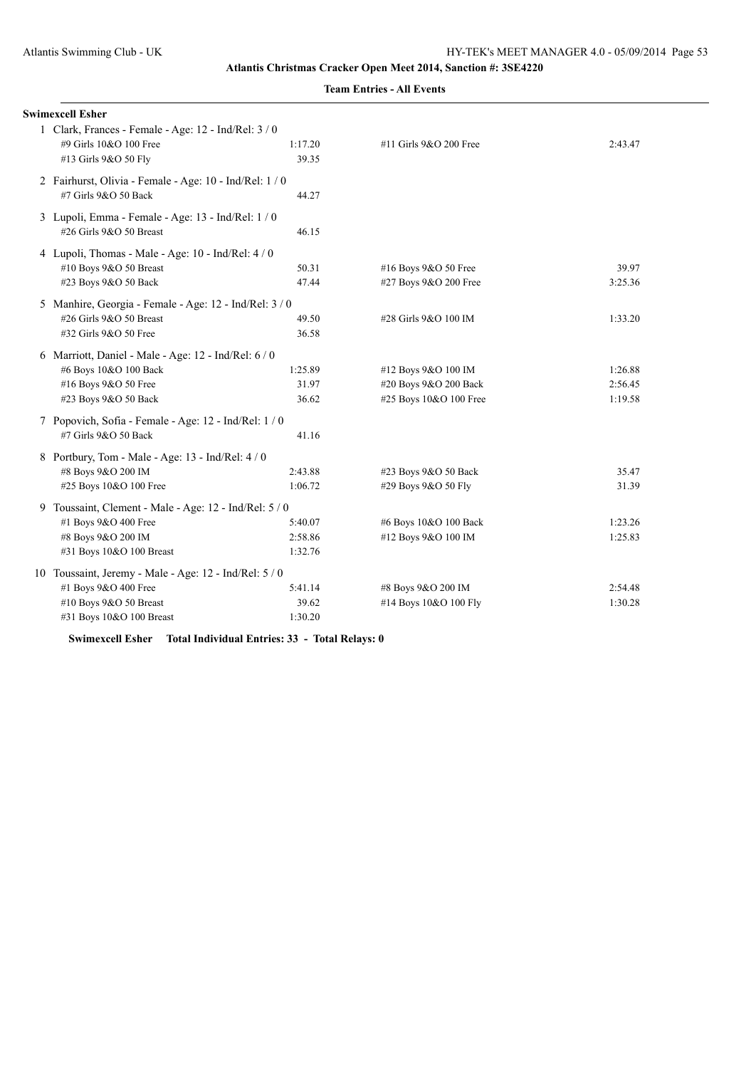| <b>Swimexcell Esher</b>                                 |         |                        |         |  |  |
|---------------------------------------------------------|---------|------------------------|---------|--|--|
| 1 Clark, Frances - Female - Age: 12 - Ind/Rel: 3 / 0    |         |                        |         |  |  |
| #9 Girls 10&O 100 Free                                  | 1:17.20 | #11 Girls 9&O 200 Free | 2:43.47 |  |  |
| #13 Girls 9&O 50 Fly                                    | 39.35   |                        |         |  |  |
| 2 Fairhurst, Olivia - Female - Age: 10 - Ind/Rel: 1 / 0 |         |                        |         |  |  |
| #7 Girls 9&O 50 Back                                    | 44.27   |                        |         |  |  |
| 3 Lupoli, Emma - Female - Age: 13 - Ind/Rel: 1/0        |         |                        |         |  |  |
| #26 Girls 9&O 50 Breast                                 | 46.15   |                        |         |  |  |
| 4 Lupoli, Thomas - Male - Age: 10 - Ind/Rel: 4 / 0      |         |                        |         |  |  |
| #10 Boys 9&O 50 Breast                                  | 50.31   | #16 Boys 9&O 50 Free   | 39.97   |  |  |
| #23 Boys 9&O 50 Back                                    | 47.44   | #27 Boys 9&O 200 Free  | 3:25.36 |  |  |
| 5 Manhire, Georgia - Female - Age: 12 - Ind/Rel: 3 / 0  |         |                        |         |  |  |
| #26 Girls 9&O 50 Breast                                 | 49.50   | #28 Girls 9&O 100 IM   | 1:33.20 |  |  |
| #32 Girls 9&O 50 Free                                   | 36.58   |                        |         |  |  |
| 6 Marriott, Daniel - Male - Age: 12 - Ind/Rel: 6 / 0    |         |                        |         |  |  |
| #6 Boys 10&O 100 Back                                   | 1:25.89 | #12 Boys 9&O 100 IM    | 1:26.88 |  |  |
| #16 Boys 9&O 50 Free                                    | 31.97   | #20 Boys 9&O 200 Back  | 2:56.45 |  |  |
| #23 Boys 9&O 50 Back                                    | 36.62   | #25 Boys 10&O 100 Free | 1:19.58 |  |  |
| 7 Popovich, Sofia - Female - Age: 12 - Ind/Rel: 1 / 0   |         |                        |         |  |  |
| #7 Girls 9&O 50 Back                                    | 41.16   |                        |         |  |  |
| 8 Portbury, Tom - Male - Age: 13 - Ind/Rel: 4 / 0       |         |                        |         |  |  |
| #8 Boys 9&O 200 IM                                      | 2:43.88 | #23 Boys 9&O 50 Back   | 35.47   |  |  |
| #25 Boys 10&O 100 Free                                  | 1:06.72 | #29 Boys 9&O 50 Fly    | 31.39   |  |  |
| 9 Toussaint, Clement - Male - Age: 12 - Ind/Rel: 5 / 0  |         |                        |         |  |  |
| #1 Boys 9&O 400 Free                                    | 5:40.07 | #6 Boys 10&O 100 Back  | 1:23.26 |  |  |
| #8 Boys 9&O 200 IM                                      | 2:58.86 | #12 Boys 9&O 100 IM    | 1:25.83 |  |  |
| #31 Boys 10&O 100 Breast                                | 1:32.76 |                        |         |  |  |
| 10 Toussaint, Jeremy - Male - Age: 12 - Ind/Rel: 5 / 0  |         |                        |         |  |  |
| #1 Boys 9&O 400 Free                                    | 5:41.14 | #8 Boys 9&O 200 IM     | 2:54.48 |  |  |
| #10 Boys 9&O 50 Breast                                  | 39.62   | #14 Boys 10&O 100 Fly  | 1:30.28 |  |  |
| #31 Boys 10&O 100 Breast                                | 1:30.20 |                        |         |  |  |

**Team Entries - All Events**

**Swimexcell Esher Total Individual Entries: 33 - Total Relays: 0**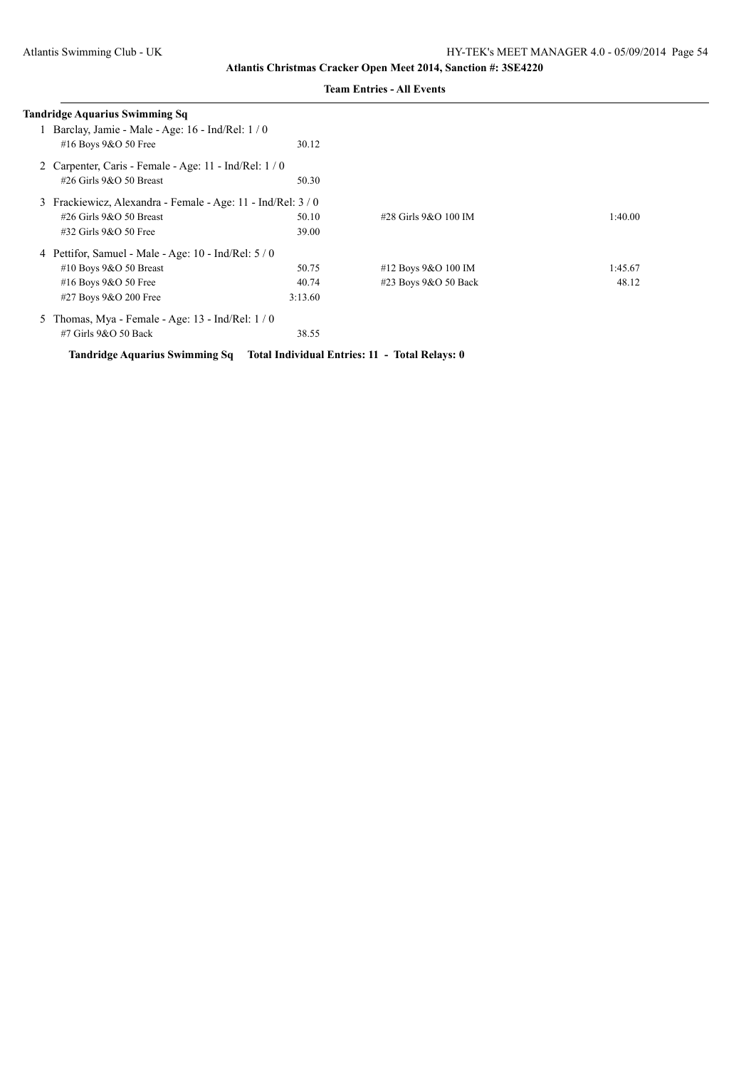| Tandridge Aquarius Swimming Sq |                                                            |                      |         |  |  |
|--------------------------------|------------------------------------------------------------|----------------------|---------|--|--|
|                                | Barclay, Jamie - Male - Age: 16 - Ind/Rel: 1/0             |                      |         |  |  |
| #16 Boys 9&O 50 Free           | 30.12                                                      |                      |         |  |  |
|                                | 2 Carpenter, Caris - Female - Age: 11 - Ind/Rel: 1/0       |                      |         |  |  |
| #26 Girls $9&O$ 50 Breast      | 50.30                                                      |                      |         |  |  |
|                                | 3 Frackiewicz, Alexandra - Female - Age: 11 - Ind/Rel: 3/0 |                      |         |  |  |
| #26 Girls $9&O$ 50 Breast      | 50.10                                                      | #28 Girls 9&O 100 IM | 1:40.00 |  |  |
| $\#32$ Girls $9&O$ 50 Free     | 39.00                                                      |                      |         |  |  |
|                                | 4 Pettifor, Samuel - Male - Age: $10$ - Ind/Rel: $5/0$     |                      |         |  |  |
| #10 Boys $9&O 50$ Breast       | 50.75                                                      | #12 Boys 9&O 100 IM  | 1:45.67 |  |  |
| #16 Boys 9&O 50 Free           | 40.74                                                      | #23 Boys 9&O 50 Back | 48.12   |  |  |
| #27 Boys 9&O 200 Free          | 3:13.60                                                    |                      |         |  |  |
| 5.                             | Thomas, Mya - Female - Age: $13$ - Ind/Rel: $1/0$          |                      |         |  |  |
| $#7$ Girls $9&O$ 50 Back       | 38.55                                                      |                      |         |  |  |

**Tandridge Aquarius Swimming Sq Total Individual Entries: 11 - Total Relays: 0**